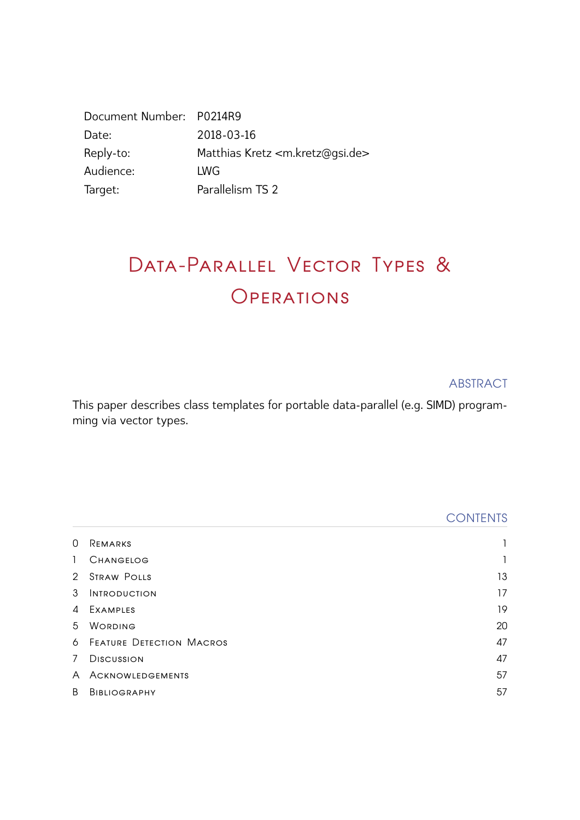| Document Number: P0214R9 |                                                  |
|--------------------------|--------------------------------------------------|
| Date:                    | 2018-03-16                                       |
| Reply-to:                | Matthias Kretz <m.kretz@gsi.de></m.kretz@gsi.de> |
| Audience:                | <b>LWG</b>                                       |
| Target:                  | Parallelism TS 2                                 |

# DATA-PARALLEL VECTOR TYPES & **OPERATIONS**

ABSTRACT

This paper describes class templates for portable data-parallel (e.g. SIMD) programming via vector types.

|              |                                   | <b>CONTENTS</b> |
|--------------|-----------------------------------|-----------------|
| 0            | REMARKS                           |                 |
| $\mathbf{1}$ | <b>CHANGELOG</b>                  | 1               |
| 2            | <b>STRAW POLLS</b>                | 13              |
| 3            | <b>INTRODUCTION</b>               | 17              |
| 4            | EXAMPLES                          | 19              |
| 5            | WORDING                           | 20              |
|              | <b>6 FEATURE DETECTION MACROS</b> | 47              |
| $7^{\circ}$  | <b>DISCUSSION</b>                 | 47              |
| A            | ACKNOWLEDGEMENTS                  | 57              |
| B            | <b>BIBLIOGRAPHY</b>               | 57              |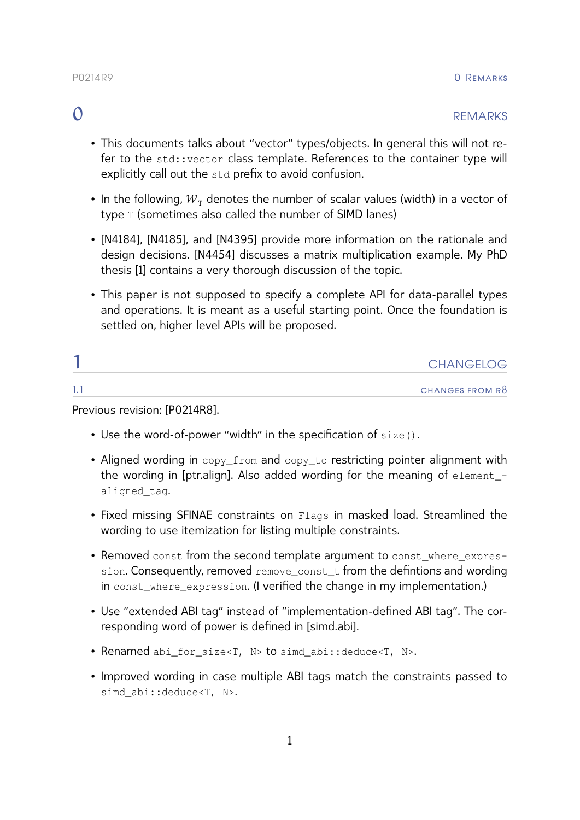- <span id="page-1-0"></span>• This documents talks about "vector" types/objects. In general this will not refer to the std::vector class template. References to the container type will explicitly call out the std prefix to avoid confusion.
- In the following,  $W_T$  denotes the number of scalar values (width) in a vector of type T (sometimes also called the number of SIMD lanes)
- [\[N4184\]](#page-57-2), [\[N4185\]](#page-58-0), and [\[N4395\]](#page-58-1) provide more information on the rationale and design decisions. [\[N4454\]](#page-58-2) discusses a matrix multiplication example. My PhD thesis [\[1\]](#page-57-3) contains a very thorough discussion of the topic.
- This paper is not supposed to specify a complete API for data-parallel types and operations. It is meant as a useful starting point. Once the foundation is settled on, higher level APIs will be proposed.

<span id="page-1-1"></span>

|     | <b>CHANGELOG</b> |
|-----|------------------|
| . . | CHANGES FROM R8  |

Previous revision: [\[P0214R8\]](#page-58-3).

- Use the word-of-power "width" in the specification of size().
- Aligned wording in copy\_from and copy\_to restricting pointer alignment with the wording in [ptr.align]. Also added wording for the meaning of element aligned\_tag.
- Fixed missing SFINAE constraints on Flags in masked load. Streamlined the wording to use itemization for listing multiple constraints.
- Removed const from the second template argument to const where expression. Consequently, removed remove const t from the defintions and wording in const where expression. (I verified the change in my implementation.)
- Use "extended ABI tag" instead of "implementation-defined ABI tag". The corresponding word of power is definedin [\[simd.abi\].](#page-23-0)
- Renamed abi for size<T, N> to simd abi::deduce<T, N>.
- Improved wording in case multiple ABI tags match the constraints passed to simd\_abi::deduce<T, N>.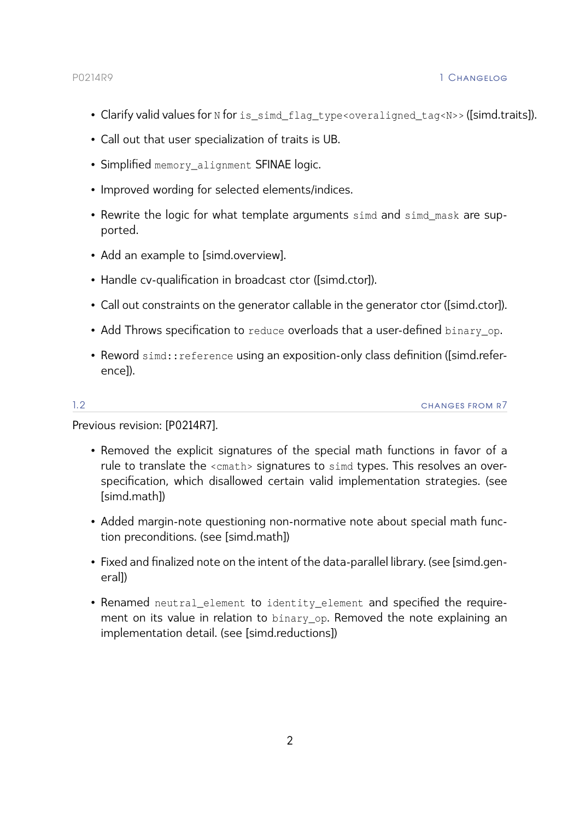- Clarify valid values for N for is\_simd\_flag\_type<overaligned\_tag<N>>>>>>> [\(\[simd.traits\]\)](#page-25-0).
- Call out that user specialization of traits is UB.
- Simplified memory\_alignment SFINAE logic.
- Improved wording for selected elements/indices.
- Rewrite the logic for what template arguments simd and simd\_mask are supported.
- Add an example to [\[simd.overview\].](#page-31-0)
- Handle cv-qualification in broadcast ctor [\(\[simd.ctor\]\)](#page-33-0).
- Call out constraints on the generator callable in the generator ctor [\(\[simd.ctor\]\)](#page-33-0).
- Add Throws specification to reduce overloads that a user-defined binary op.
- Reword simd:: reference using an exposition-only class definition [\(\[simd.refer](#page-31-1)[ence\]\)](#page-31-1).

1.2 changes from r7

Previous revision: [\[P0214R7\]](#page-58-4).

- Removed the explicit signatures of the special math functions in favor of a rule to translate the <cmath> signatures to simd types. This resolves an overspecification, which disallowed certain valid implementation strategies. (see [\[simd.math\]\)](#page-41-0)
- Added margin-note questioning non-normative note about special math function preconditions. (see [\[simd.math\]\)](#page-41-0)
- Fixed and finalized note on the intent of the data-parallel library. (see [\[simd.gen](#page-20-1)[eral\]\)](#page-20-1)
- Renamed neutral element to identity element and specified the requirement on its value in relation to binary op. Removed the note explaining an implementation detail. (see [\[simd.reductions\]\)](#page-37-0)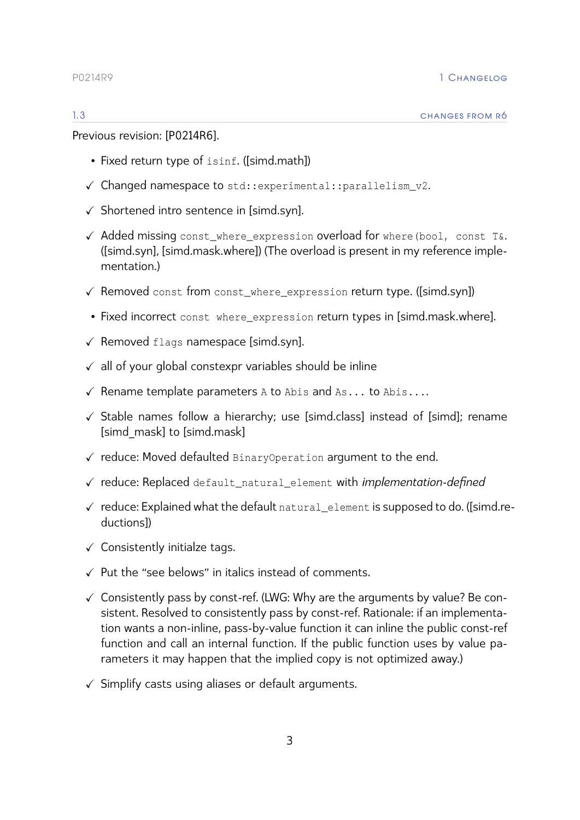Previous revision: [\[P0214R6\]](#page-58-5).

- Fixed return type of isinf. [\(\[simd.math\]\)](#page-41-0)
- ✓ Changed namespace to std::experimental::parallelism\_v2.
- ✓ Shortened intro sentence in [\[simd.syn\].](#page-20-2)
- √ Added missing const where expression overload for where(bool, const T&. [\(\[simd.syn\],](#page-20-2) [\[simd.mask.where\]\)](#page-46-0) (The overload is present in my reference implementation.)
- ✓ Removed const from const\_where\_expression return type. [\(\[simd.syn\]\)](#page-20-2)
- Fixed incorrect const where expression return types in [\[simd.mask.where\].](#page-46-0)
- ✓ Removed flags namespace [\[simd.syn\].](#page-20-2)
- $\checkmark$  all of your global constexpr variables should be inline
- $\checkmark$  Rename template parameters A to Abis and As... to Abis....
- ✓ Stable names follow a hierarchy; use [simd.class] instead of [simd]; rename [simd\_mask] to [simd.mask]
- ✓ reduce: Moved defaulted BinaryOperation argument to the end.
- ✓ reduce: Replaced default\_natural\_element with *implementation-defined*
- ✓ reduce: Explained what the default natural\_element is supposed to do. [\(\[simd.re](#page-37-0)[ductions\]\)](#page-37-0)
- $\checkmark$  Consistently initialze tags.
- ✓ Put the "see belows" in italics instead of comments.
- ✓ Consistently pass by const-ref. (LWG: Why are the arguments by value? Be consistent. Resolved to consistently pass by const-ref. Rationale: if an implementation wants a non-inline, pass-by-value function it can inline the public const-ref function and call an internal function. If the public function uses by value parameters it may happen that the implied copy is not optimized away.)
- $\checkmark$  Simplify casts using aliases or default arguments.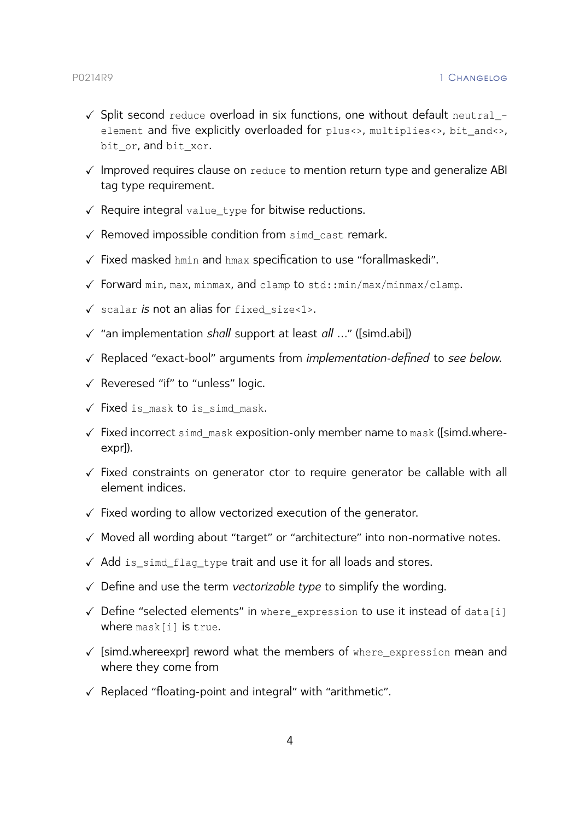- $\checkmark$  Split second reduce overload in six functions, one without default neutral\_element and five explicitly overloaded for plus<>, multiplies<>, bit\_and<>, bit or, and bit xor.
- ✓ Improved requires clause on reduce to mention return type and generalize ABI tag type requirement.
- $\checkmark$  Require integral value\_type for bitwise reductions.
- $\checkmark$  Removed impossible condition from sime cast remark.
- $\checkmark$  Fixed masked hmin and hmax specification to use "forallmaskedi".
- ✓ Forward min, max, minmax, and clamp to std::min/max/minmax/clamp.
- ✓ scalar *is* not an alias for fixed\_size<1>.
- ✓ "an implementation *shall* support at least *all* …" [\(\[simd.abi\]\)](#page-23-1)
- ✓ Replaced "exact-bool" arguments from *implementation-defined* to *see below*.
- ✓ Reveresed "if" to "unless" logic.
- ✓ Fixed is\_mask to is\_simd\_mask.
- ✓ Fixed incorrect simd\_mask exposition-only member name to mask [\(\[simd.where](#page-26-0)[expr\]\)](#page-26-0).
- ✓ Fixed constraints on generator ctor to require generator be callable with all element indices.
- ✓ Fixed wording to allow vectorized execution of the generator.
- ✓ Moved all wording about "target" or "architecture" into non-normative notes.
- ✓ Add is\_simd\_flag\_type trait and use it for all loads and stores.
- ✓ Define and use the term *vectorizable type* to simplify the wording.
- ✓ Define "selected elements" in where\_expression to use it instead of data[i] where mask[i] is true.
- $\checkmark$  [\[simd.whereexpr\]](#page-26-0) reword what the members of where\_expression mean and where they come from
- ✓ Replaced "floating-point and integral" with "arithmetic".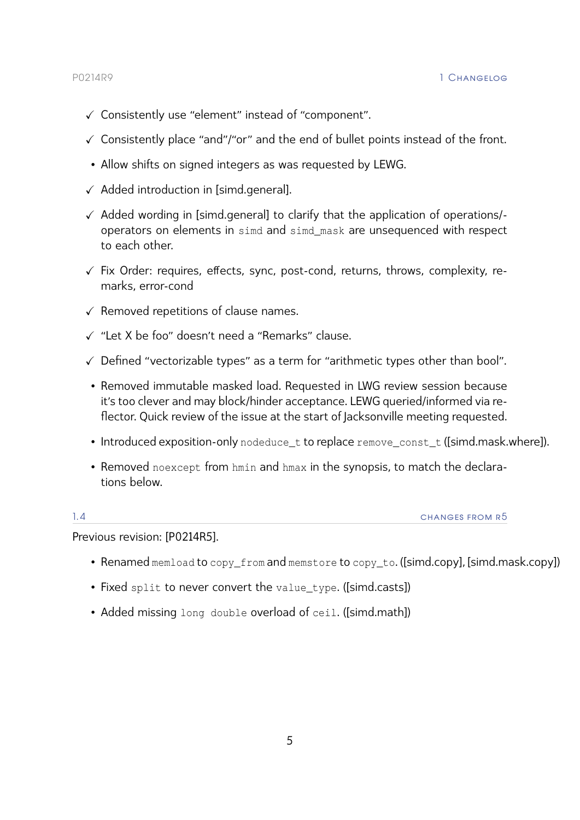- ✓ Consistently use "element" instead of "component".
- ✓ Consistently place "and"/"or" and the end of bullet points instead of the front.
- Allow shifts on signed integers as was requested by LEWG.
- $\checkmark$  Added introduction in [\[simd.general\].](#page-20-1)
- ✓ Added wording in [\[simd.general\]](#page-20-1) to clarify that the application of operations/ operators on elements in simd and simd\_mask are unsequenced with respect to each other.
- $\checkmark$  Fix Order: requires, effects, sync, post-cond, returns, throws, complexity, remarks, error-cond
- $\checkmark$  Removed repetitions of clause names.
- ✓ "Let X be foo" doesn't need a "Remarks" clause.
- ✓ Defined "vectorizable types" as a term for "arithmetic types other than bool".
- Removed immutable masked load. Requested in LWG review session because it's too clever and may block/hinder acceptance. LEWG queried/informed via reflector. Quick review of the issue at the start of Jacksonville meeting requested.
- Introduced exposition-only nodeduce t to replace remove const t [\(\[simd.mask.where\]\)](#page-46-0).
- Removed noexcept from hmin and hmax in the synopsis, to match the declarations below.

1.4 changes from r5

# Previous revision: [\[P0214R5\]](#page-58-6).

- Renamed memload to copy\_from and memstore to copy\_to. [\(\[simd.copy\],](#page-34-0) [\[simd.mask.copy\]\)](#page-44-0)
- Fixed split to never convert the value\_type. [\(\[simd.casts\]\)](#page-39-0)
- Added missing long double overload of ceil. [\(\[simd.math\]\)](#page-41-0)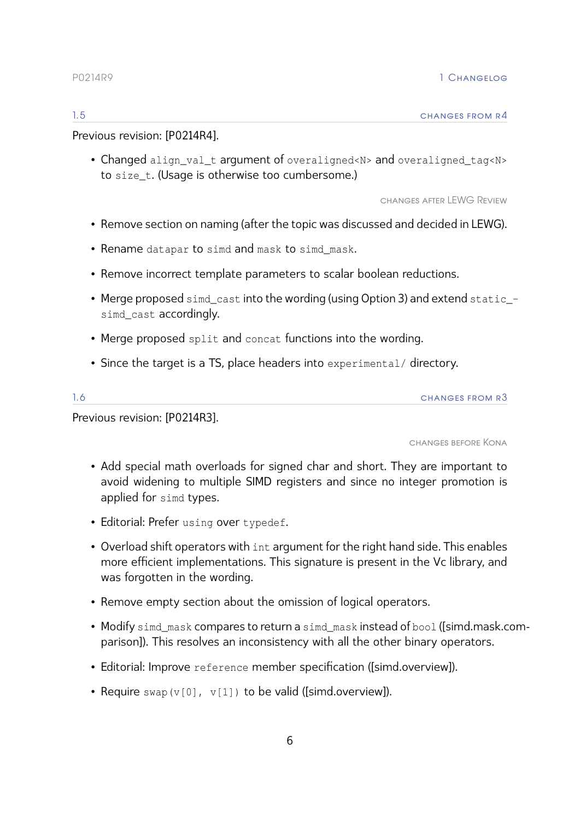# 1.5 changes from r4

Previous revision: [\[P0214R4\]](#page-58-7).

• Changed align\_val\_t argument of overaligned<N> and overaligned\_tag<N> to size\_t. (Usage is otherwise too cumbersome.)

changes after LEWG Review

- Remove section on naming (after the topic was discussed and decided in LEWG).
- Rename datapar to simd and mask to simd\_mask.
- Remove incorrect template parameters to scalar boolean reductions.
- Merge proposed simd cast into the wording (using Option 3) and extend static simd cast accordingly.
- Merge proposed split and concat functions into the wording.
- Since the target is a TS, place headers into experimental/ directory.

| $\sim$<br>. | CHANGES FROM R3 |
|-------------|-----------------|
|             |                 |

Previous revision: [\[P0214R3\]](#page-58-8).

changes before Kona

- Add special math overloads for signed char and short. They are important to avoid widening to multiple SIMD registers and since no integer promotion is applied for simd types.
- Editorial: Prefer using over typedef.
- Overload shift operators with int argument for the right hand side. This enables more efficient implementations. This signature is present in the Vc library, and was forgotten in the wording.
- Remove empty section about the omission of logical operators.
- Modify simd\_mask compares to return a simd\_mask instead of bool [\(\[simd.mask.c](#page-45-0)om[parison\]\)](#page-45-0). This resolves an inconsistency with all the other binary operators.
- Editorial: Improve reference member specification [\(\[simd.overview\]\)](#page-29-0).
- Require swap(v[0], v[1]) to be valid [\(\[simd.overview\]\)](#page-29-0).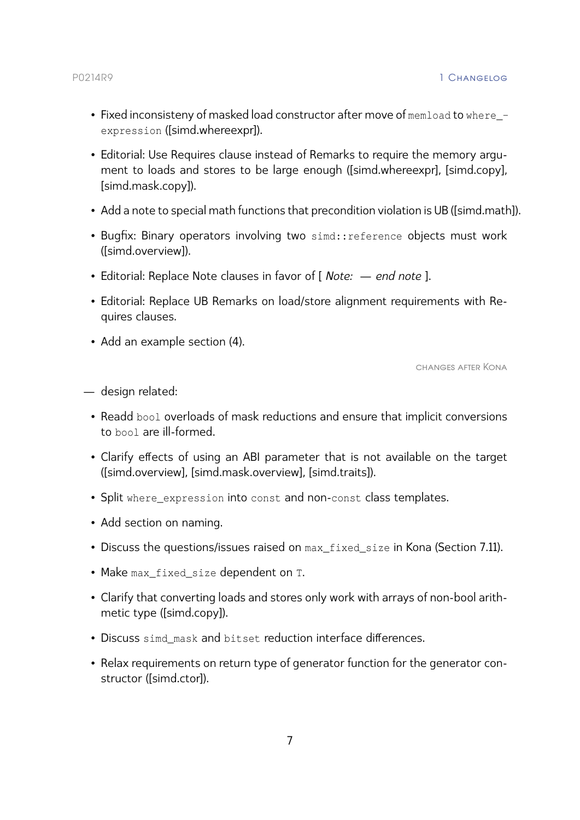- Fixed inconsisteny of masked load constructor after move of memload to where expression [\(\[simd.whereexpr\]\)](#page-26-0).
- Editorial: Use Requires clause instead of Remarks to require the memory argument to loads and stores to be large enough [\(\[simd.whereexpr\],](#page-26-0) [\[simd.copy\],](#page-34-0) [\[simd.mask.copy\]\)](#page-44-0).
- Add a note to special math functions that precondition violation is UB [\(\[simd.math\]\)](#page-41-0).
- Bugfix: Binary operators involving two simd:: reference objects must work [\(\[simd.overview\]\)](#page-29-0).
- Editorial: Replace Note clauses in favor of [ *Note: end note* ].
- Editorial: Replace UB Remarks on load/store alignment requirements with Requires clauses.
- Add an example section [\(4\)](#page-19-0).

changes after Kona

- design related:
	- Readd bool overloads of mask reductions and ensure that implicit conversions to bool are ill-formed.
	- Clarify effects of using an ABI parameter that is not available on the target [\(\[simd.overview\],](#page-30-0) [\[simd.mask.overview\],](#page-43-0) [\[simd.traits\]\)](#page-25-1).
	- Split where\_expression into const and non-const class templates.
	- Add section on naming.
	- Discuss the questions/issues raised on max fixed size in Kona [\(Section 7.11\)](#page-56-0).
	- Make max fixed size dependent on T.
	- Clarify that converting loads and stores only work with arrays of non-bool arithmetic type [\(\[simd.copy\]\)](#page-34-0).
	- Discuss simd mask and bitset reduction interface differences.
	- Relax requirements on return type of generator function for the generator constructor [\(\[simd.ctor\]\)](#page-33-0).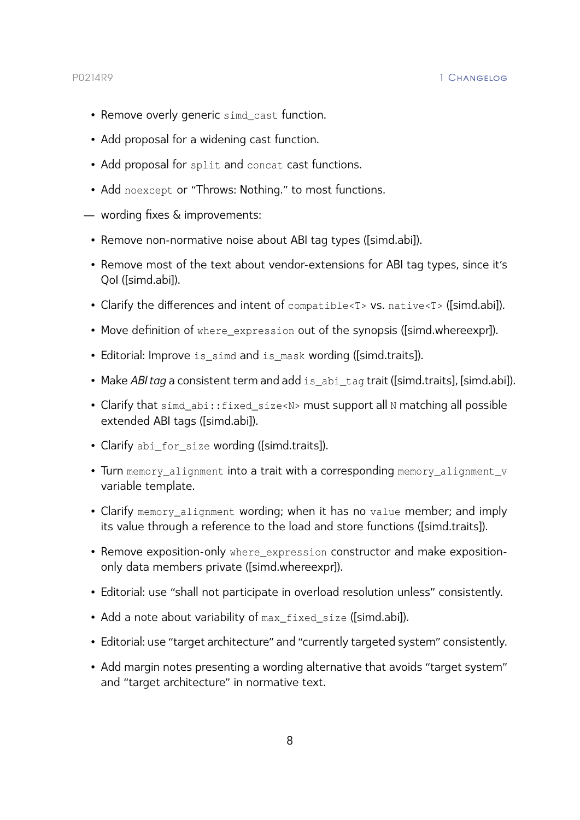# P0214R9 1 Changelog

- Remove overly generic simd\_cast function.
- Add proposal for a widening cast function.
- Add proposal for split and concat cast functions.
- Add noexcept or "Throws: Nothing." to most functions.
- wording fixes & improvements:
	- Remove non-normative noise about ABI tag types [\(\[simd.abi\]\)](#page-23-1).
	- Remove most of the text about vendor-extensions for ABI tag types, since it's QoI [\(\[simd.abi\]\)](#page-23-1).
	- Clarify the differences and intent of compatible<T> vs. native<T> [\(\[simd.abi\]\)](#page-23-1).
	- Move definition of where\_expression out of the synopsis [\(\[simd.whereexpr\]\)](#page-26-0).
	- Editorial: Improve is\_simd and is\_mask wording [\(\[simd.traits\]\)](#page-25-2).
	- Make *ABI tag* a consistent term and add is\_abi\_tag trait [\(\[simd.traits\],](#page-25-2) [\[simd.abi\]\)](#page-23-1).
	- Clarify that simd\_abi::fixed\_size<N> must support all N matching all possible extended ABI tags [\(\[simd.abi\]\)](#page-23-1).
	- Clarify abi\_for\_size wording [\(\[simd.traits\]\)](#page-25-2).
	- Turn memory alignment into a trait with a corresponding memory alignment v variable template.
	- Clarify memory\_alignment wording; when it has no value member; and imply its value through a reference to the load and store functions [\(\[simd.traits\]\)](#page-25-2).
	- Remove exposition-only where\_expression constructor and make expositiononly data members private [\(\[simd.whereexpr\]\)](#page-26-0).
	- Editorial: use "shall not participate in overload resolution unless" consistently.
	- Add a note about variability of max\_fixed\_size [\(\[simd.abi\]\)](#page-23-1).
	- Editorial: use "target architecture" and "currently targeted system" consistently.
	- Add margin notes presenting a wording alternative that avoids "target system" and "target architecture" in normative text.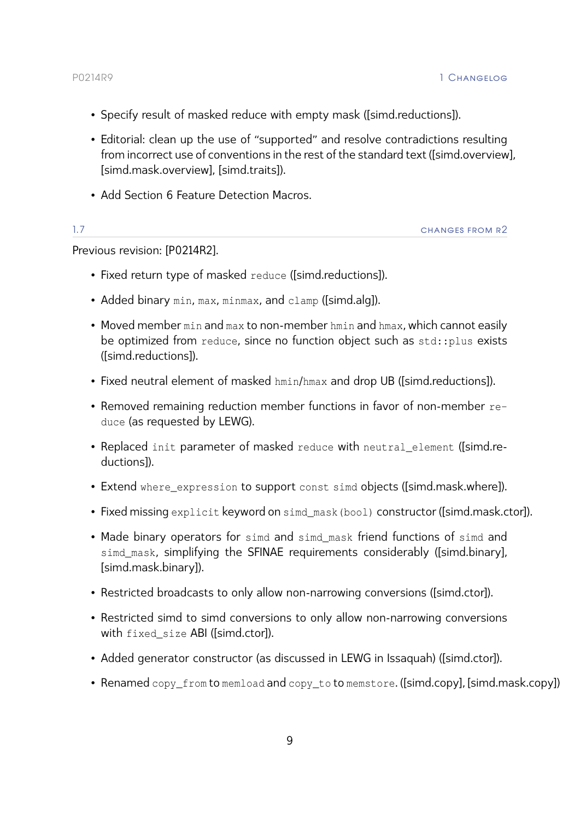- Specify result of masked reduce with empty mask [\(\[simd.reductions\]\)](#page-37-0).
- Editorial: clean up the use of "supported" and resolve contradictions resulting from incorrect use of conventions in the rest of the standard text [\(\[simd.overview\],](#page-30-0) [\[simd.mask.overview\],](#page-43-0) [\[simd.traits\]\)](#page-25-2).
- Add [Section 6 Feature Detection Macros.](#page-47-0)

| - - | CHANGES FROM R2 |
|-----|-----------------|
|     |                 |

Previous revision: [\[P0214R2\]](#page-58-9).

- Fixed return type of masked reduce [\(\[simd.reductions\]\)](#page-37-0).
- Added binary min, max, minmax, and clamp [\(\[simd.alg\]\)](#page-41-1).
- Moved member min and max to non-member hmin and hmax, which cannot easily be optimized from reduce, since no function object such as std::plus exists [\(\[simd.reductions\]\)](#page-37-0).
- Fixed neutral element of masked hmin/hmax and drop UB [\(\[simd.reductions\]\)](#page-37-0).
- Removed remaining reduction member functions in favor of non-member reduce (as requested by LEWG).
- Replaced init parameter of masked reduce with neutral\_element [\(\[simd.re](#page-37-0)[ductions\]\)](#page-37-0).
- Extend where\_expression to support const simd objects [\(\[simd.mask.where\]\)](#page-46-0).
- Fixed missing explicit keyword on simd\_mask(bool) constructor [\(\[simd.mask.ctor\]\)](#page-43-1).
- Made binary operators for simd and simd\_mask friend functions of simd and simd\_mask, simplifying the SFINAE requirements considerably [\(\[simd.binary\],](#page-36-0) [\[simd.mask.binary\]\)](#page-45-1).
- Restricted broadcasts to only allow non-narrowing conversions [\(\[simd.ctor\]\)](#page-33-0).
- Restricted simd to simd conversions to only allow non-narrowing conversions with fixed size ABI [\(\[simd.ctor\]\)](#page-33-0).
- Added generator constructor (as discussed in LEWG in Issaquah) [\(\[simd.ctor\]\)](#page-33-0).
- Renamed copy\_from to memload and copy\_to to memstore. [\(\[simd.copy\],](#page-34-0) [\[simd.mask.copy\]\)](#page-44-0)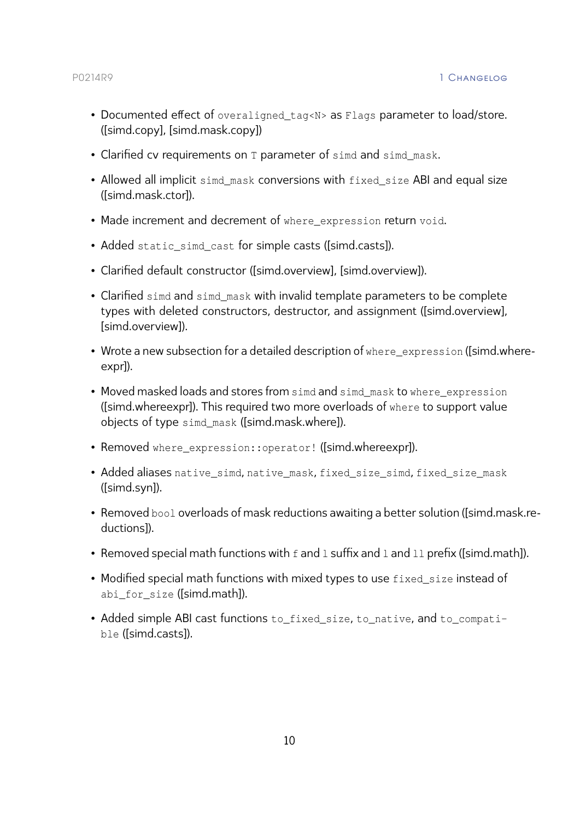- Documented effect of overaligned\_tag<N> as Flags parameter to load/store. [\(\[simd.copy\],](#page-34-0) [\[simd.mask.copy\]\)](#page-44-0)
- Clarified cv requirements on T parameter of simd and simd mask.
- Allowed all implicit simd\_mask conversions with fixed\_size ABI and equal size [\(\[simd.mask.ctor\]\)](#page-43-1).
- Made increment and decrement of where expression return void.
- Added static\_simd\_cast for simple casts [\(\[simd.casts\]\)](#page-39-0).
- Clarified default constructor [\(\[simd.overview\], \[simd.overview\]\)](#page-29-0).
- Clarified simd and simd mask with invalid template parameters to be complete types with deleted constructors, destructor, and assignment [\(\[simd.overview\],](#page-29-0) [\[simd.overview\]\)](#page-29-0).
- Wrote a new subsection for a detailed description of where\_expression [\(\[simd.wh](#page-26-0)ere[expr\]\)](#page-26-0).
- Moved masked loads and stores from simd and simd mask to where expression [\(\[simd.whereexpr\]\)](#page-26-0). This required two more overloads of where to support value objects of type simd\_mask [\(\[simd.mask.where\]\)](#page-46-0).
- Removed where\_expression::operator! [\(\[simd.whereexpr\]\)](#page-26-0).
- Added aliases native simd, native mask, fixed size simd, fixed size mask [\(\[simd.syn\]\)](#page-20-2).
- Removed bool overloads of mask reductions awaiting a better solution [\(\[simd.ma](#page-45-2)sk.re[ductions\]\)](#page-45-2).
- Removed special math functions with f and 1 suffix and 1 and 11 prefix [\(\[simd.math\]\)](#page-41-0).
- Modified special math functions with mixed types to use fixed size instead of abi for size [\(\[simd.math\]\)](#page-41-0).
- Added simple ABI cast functions to\_fixed\_size, to\_native, and to\_compatible [\(\[simd.casts\]\)](#page-39-0).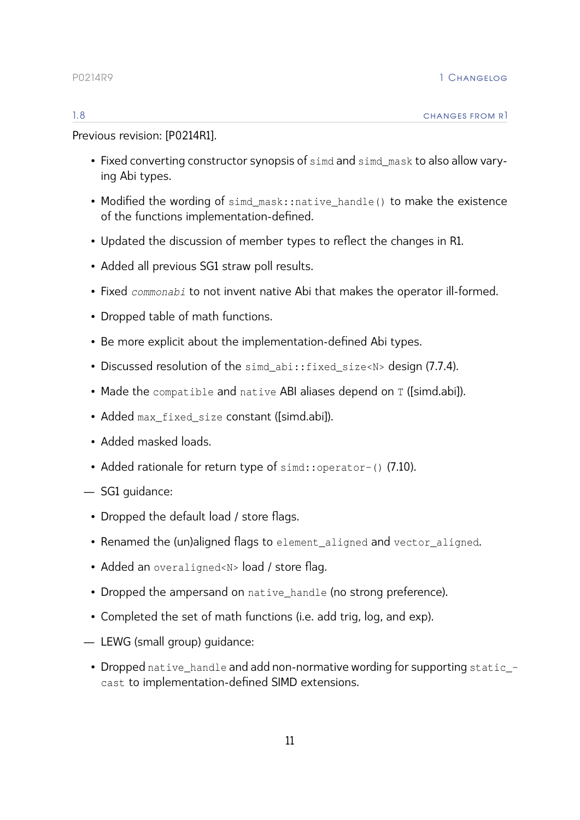Previous revision: [\[P0214R1\]](#page-58-10).

- Fixed converting constructor synopsis of simd and simd mask to also allow varying Abi types.
- Modified the wording of simd mask::native handle() to make the existence of the functions implementation-defined.
- Updated the discussion of member types to reflect the changes in R1.
- Added all previous SG1 straw poll results.
- Fixed *commonabi* to not invent native Abi that makes the operator ill-formed.
- Dropped table of math functions.
- Be more explicit about the implementation-defined Abi types.
- Discussed resolution of the simd\_abi::fixed\_size<N> design [\(7.7.4\)](#page-52-0).
- Made the compatible and native ABI aliases depend on T [\(\[simd.abi\]\)](#page-23-1).
- Added max\_fixed\_size constant [\(\[simd.abi\]\)](#page-23-0).
- Added masked loads.
- Added rationale for return type of simd::operator-() [\(7.10\)](#page-55-0).
- SG1 guidance:
	- Dropped the default load / store flags.
	- Renamed the (un)aligned flags to element\_aligned and vector\_aligned.
	- Added an overaligned<N> load / store flag.
	- Dropped the ampersand on native\_handle (no strong preference).
	- Completed the set of math functions (i.e. add trig, log, and exp).
- LEWG (small group) guidance:
- Dropped native\_handle and add non-normative wording for supporting static\_ cast to implementation-defined SIMD extensions.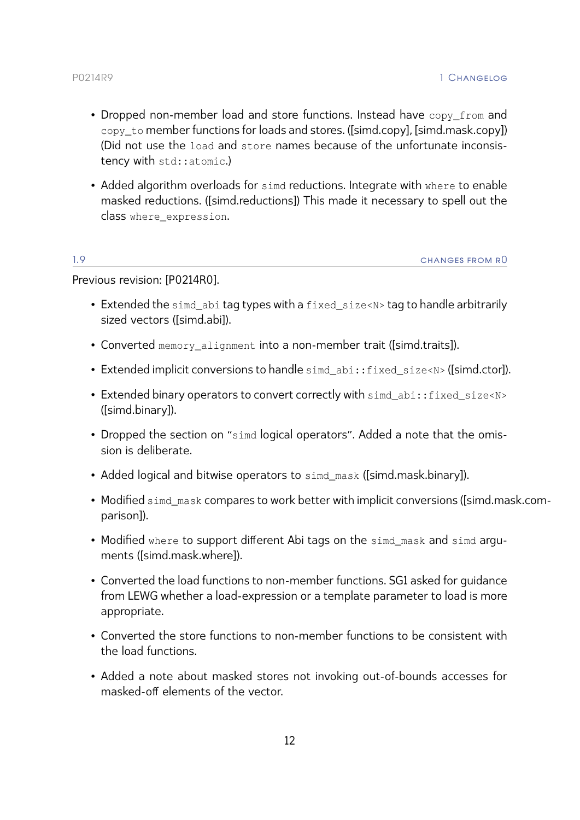- Dropped non-member load and store functions. Instead have copy from and copy to member functions for loads and stores. [\(\[simd.copy\],](#page-34-0) [\[simd.mask.copy\]\)](#page-44-0) (Did not use the load and store names because of the unfortunate inconsistency with std::atomic.)
- Added algorithm overloads for simd reductions. Integrate with where to enable masked reductions. [\(\[simd.reductions\]\)](#page-37-0) This made it necessary to spell out the class where\_expression.

1.9 changes from r0

Previous revision: [\[P0214R0\]](#page-58-11).

- Extended the simd\_abi tag types with a fixed\_size<N> tag to handle arbitrarily sized vectors [\(\[simd.abi\]\)](#page-23-1).
- Converted memory\_alignment into a non-member trait [\(\[simd.traits\]\)](#page-25-2).
- Extended implicit conversions to handle sime abi:: fixed\_size<N> [\(\[simd.ctor\]\)](#page-33-0).
- Extended binary operators to convert correctly with simd\_abi::fixed\_size<N> [\(\[simd.binary\]\)](#page-36-0).
- Dropped the section on "simd logical operators". Added a note that the omission is deliberate.
- Added logical and bitwise operators to simd mask [\(\[simd.mask.binary\]\)](#page-45-1).
- Modified simd\_mask compares to work better with implicit conversions [\(\[simd.ma](#page-45-0)sk.com[parison\]\)](#page-45-0).
- Modified where to support different Abi tags on the simd\_mask and simd arguments [\(\[simd.mask.where\]\)](#page-46-0).
- Converted the load functions to non-member functions. SG1 asked for guidance from LEWG whether a load-expression or a template parameter to load is more appropriate.
- Converted the store functions to non-member functions to be consistent with the load functions.
- Added a note about masked stores not invoking out-of-bounds accesses for masked-off elements of the vector.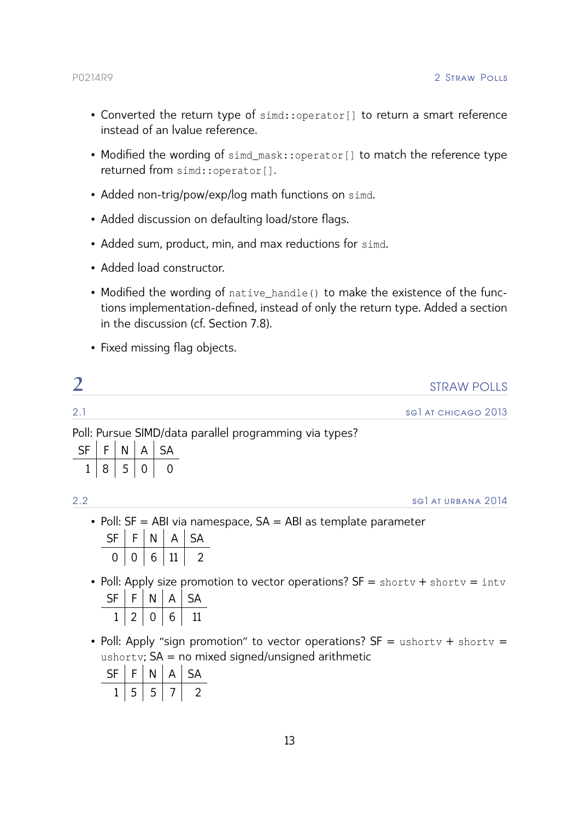- Converted the return type of simd::operator[] to return a smart reference instead of an lvalue reference.
- Modified the wording of simd\_mask::operator[] to match the reference type returned from simd::operator[].
- Added non-trig/pow/exp/log math functions on simd.
- Added discussion on defaulting load/store flags.
- Added sum, product, min, and max reductions for simd.
- Added load constructor.
- Modified the wording of native handle() to make the existence of the functions implementation-defined, instead of only the return type. Added a section in the discussion (cf. Section [7.8\)](#page-54-0).
- Fixed missing flag objects.

<span id="page-13-0"></span>

| ⌒   | <b>STRAW POLLS</b>         |
|-----|----------------------------|
| 2.1 | <b>SGI AT CHICAGO 2013</b> |

Poll: Pursue SIMD/data parallel programming via types?

| ςF | F. | N | $\mathsf{A}$ | <b>SA</b> |
|----|----|---|--------------|-----------|
|    | 8  | 5 | 0            |           |

2.2 sg1 at urbana 2014

- Poll: SF = ABI via namespace, SA = ABI as template parameter  $\mathsf{SF} \mid \mathsf{F} \mid \mathsf{N} \mid \mathsf{A} \mid \mathsf{SA}$  $0 | 0 | 6 | 11 | 2$
- Poll: Apply size promotion to vector operations? SF = shortv + shortv = intv

| 5F | - | $\mathsf{A}$ | $\sim$ $\sim$ |
|----|---|--------------|---------------|
|    |   | 6            |               |

• Poll: Apply "sign promotion" to vector operations?  $SF =$  ushortv + shortv = ushorty;  $SA = no$  mixed signed/unsigned arithmetic

| ⊂⊫ | F      | N | $\mathsf{A}$ | <b>SA</b> |
|----|--------|---|--------------|-----------|
|    | −<br>כ | כ |              |           |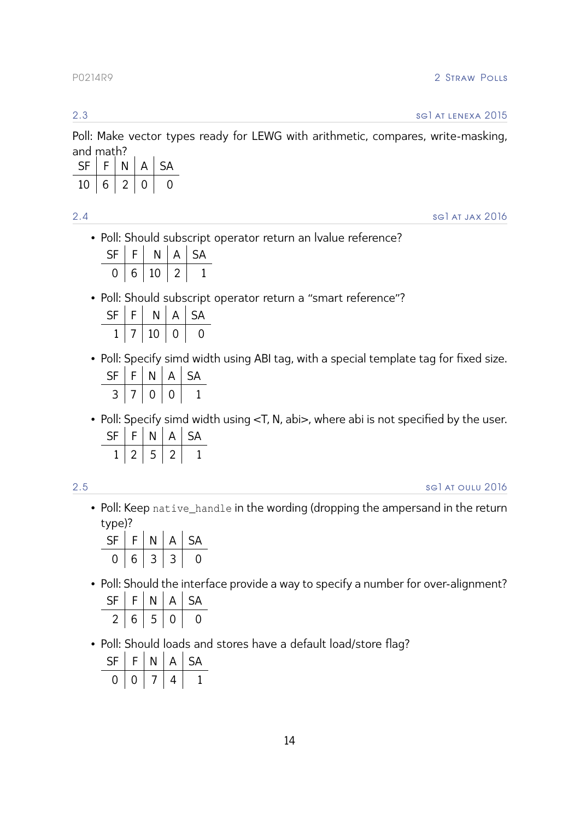2.3 sg1 at lenexa 2015

Poll: Make vector types ready for LEWG with arithmetic, compares, write-masking, and math?

| SF | $F \mid$          |              | $N \mid A$ | SA S |
|----|-------------------|--------------|------------|------|
| 10 | $+6$ <sup>+</sup> | $\sqrt{2}$ 0 |            |      |

2.4 sg1 at jax 2016

• Poll: Should subscript operator return an lvalue reference?

| SF | F | N           | $\mathsf{A}$ | SA |
|----|---|-------------|--------------|----|
|    |   | $6 \mid 10$ | -2.          |    |

• Poll: Should subscript operator return a "smart reference"?

| <b>SF</b> | F | N  | A            | -SA |
|-----------|---|----|--------------|-----|
|           |   | 10 | $\mathbf{0}$ |     |

• Poll: Specify simd width using ABI tag, with a special template tag for fixed size.

| S⊧ | F. | N | $\mathsf{A}$ | $S_{\mathbf{A}}$ |
|----|----|---|--------------|------------------|
|    |    |   |              |                  |

• Poll: Specify simd width using <T, N, abi>, where abi is not specified by the user.  $SF$   $F$   $N$   $\Delta$ 

|  | יי | 宀 | ∼ |
|--|----|---|---|
|  | ┍  |   |   |

2.5 sg1 at oulu 2016

• Poll: Keep native\_handle in the wording (dropping the ampersand in the return type)?

| SF | FI | N              | IA. | <b>SA</b> |
|----|----|----------------|-----|-----------|
| 0  | 6  | $\overline{3}$ |     |           |

• Poll: Should the interface provide a way to specify a number for over-alignment?

| SF | F | N      | A | <b>SA</b> |
|----|---|--------|---|-----------|
|    | 6 | ┍<br>C |   |           |

• Poll: Should loads and stores have a default load/store flag?

| SF | F. | Ν | $\mathsf{A}$ | <b>SA</b> |
|----|----|---|--------------|-----------|
|    |    |   | 4            |           |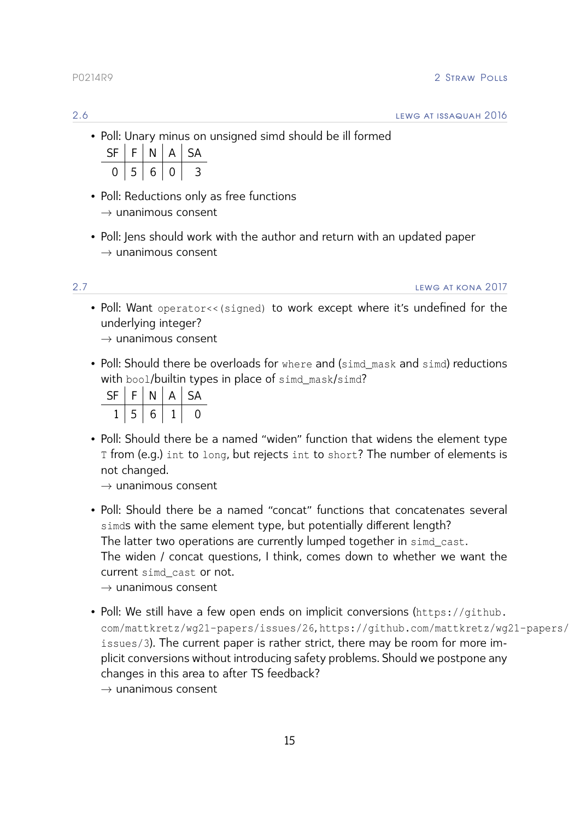• Poll: Unary minus on unsigned simd should be ill formed

| SF | F.   | N | IA.              | SA            |
|----|------|---|------------------|---------------|
|    | $-5$ | 6 | $\left( \right)$ | $\rightarrow$ |

- Poll: Reductions only as free functions  $\rightarrow$  unanimous consent
- Poll: Jens should work with the author and return with an updated paper  $\rightarrow$  unanimous consent

2.7 LEWG AT KONA 2017

• Poll: Want operator<< (signed) to work except where it's undefined for the underlying integer?

 $\rightarrow$  unanimous consent

• Poll: Should there be overloads for where and (simd mask and simd) reductions with bool/builtin types in place of simd\_mask/simd?

| SF | ⊏ | Ν | $\overline{A}$ | -SA |
|----|---|---|----------------|-----|
|    | 5 | 6 |                |     |

• Poll: Should there be a named "widen" function that widens the element type T from (e.g.) int to long, but rejects int to short? The number of elements is not changed.

 $\rightarrow$  unanimous consent

- Poll: Should there be a named "concat" functions that concatenates several simds with the same element type, but potentially different length? The latter two operations are currently lumped together in simd cast. The widen / concat questions, I think, comes down to whether we want the current simd\_cast or not.
	- $\rightarrow$  unanimous consent
- Poll: We still have a few open ends on implicit conversions ([https://github.](https://github.com/mattkretz/wg21-papers/issues/26) [com/mattkretz/wg21- papers/issues/26](https://github.com/mattkretz/wg21-papers/issues/26), [https://github.com/mattkretz/wg2](https://github.com/mattkretz/wg21-papers/issues/3)1- papers/ [issues/3](https://github.com/mattkretz/wg21-papers/issues/3)). The current paper is rather strict, there may be room for more implicit conversions without introducing safety problems. Should we postpone any changes in this area to after TS feedback?

 $\rightarrow$  unanimous consent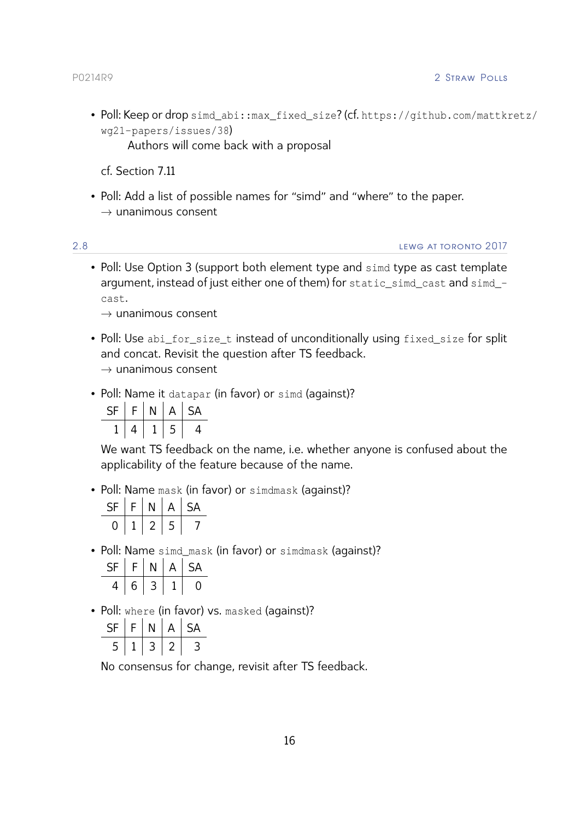• Poll: Keep or drop simd\_abi::max\_fixed\_size? (cf. [https://github.com/mattkr](https://github.com/mattkretz/wg21-papers/issues/38)etz/ [wg21- papers/issues/38](https://github.com/mattkretz/wg21-papers/issues/38))

Authors will come back with a proposal

cf. [Section 7.11](#page-56-0)

• Poll: Add a list of possible names for "simd" and "where" to the paper.  $\rightarrow$  unanimous consent

2.8 lewg at toronto 2017

• Poll: Use Option 3 (support both element type and simd type as cast template argument, instead of just either one of them) for static\_simd\_cast and simd\_ cast.

 $\rightarrow$  unanimous consent

- Poll: Use abi\_for\_size\_t instead of unconditionally using fixed\_size for split and concat. Revisit the question after TS feedback.  $\rightarrow$  unanimous consent
- Poll: Name it datapar (in favor) or simd (against)?

| <b>SF</b> | F. | N | $\Delta$ | <b>SA</b> |
|-----------|----|---|----------|-----------|
|           | 4  |   | 5        | 4         |

We want TS feedback on the name, i.e. whether anyone is confused about the applicability of the feature because of the name.

• Poll: Name mask (in favor) or simdmask (against)?

| -SF | c. | Ν | A | -SA |
|-----|----|---|---|-----|
|     |    | 2 |   |     |

• Poll: Name simd\_mask (in favor) or simdmask (against)?

| SF | F | N | д | $\overline{a}$ |
|----|---|---|---|----------------|
|    | 6 |   |   |                |

• Poll: where (in favor) vs. masked (against)?

| SF     | F | N | $\mathsf{A}$ | <b>SA</b> |
|--------|---|---|--------------|-----------|
| ┍<br>⊐ |   | ┘ |              |           |

No consensus for change, revisit after TS feedback.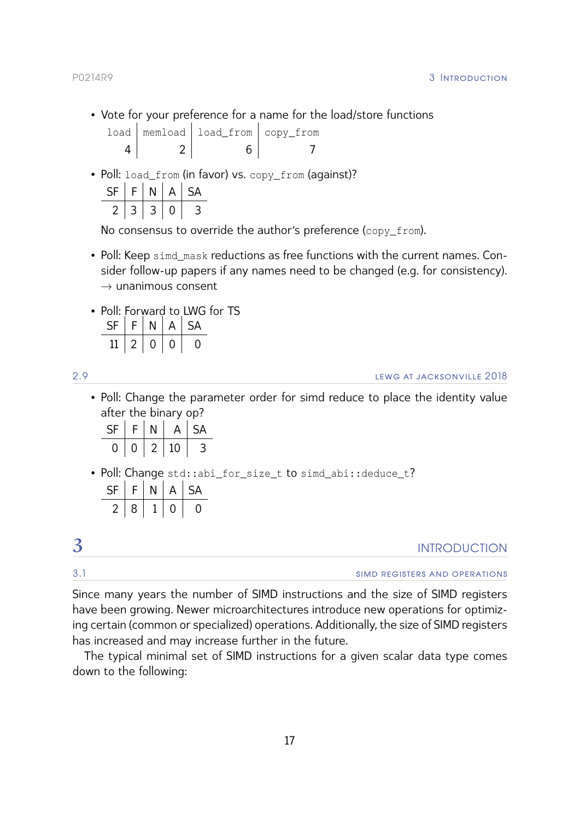# P0214R9 3 INTRODUCTION

• Vote for your preference for a name for the load/store functions

|  | load   memload   load_from   copy_from |  |
|--|----------------------------------------|--|
|  |                                        |  |

• Poll: load\_from (in favor) vs. copy\_from (against)?  $SF \mid F \mid N \mid A \mid SA$ 

No consensus to override the author's preference (copy\_from).

- Poll: Keep simd\_mask reductions as free functions with the current names. Consider follow-up papers if any names need to be changed (e.g. for consistency).  $\rightarrow$  unanimous consent
- Poll: Forward to LWG for TS

| F.           |              | $\mathsf{A}$ | $\sim$ $\sim$ |
|--------------|--------------|--------------|---------------|
| $\mathbf{v}$ | $\mathbf{I}$ |              |               |

2.9 lewg at jacksonville 2018

• Poll: Change the parameter order for simd reduce to place the identity value after the binary op?

| -SF | F. |    | $\overline{A}$ | -SA |
|-----|----|----|----------------|-----|
|     | 0  | -2 | 10             | З   |

• Poll: Change std::abi\_for\_size\_t to simd\_abi::deduce\_t?  $\mathsf{SF} \mid \mathsf{F} \mid \mathsf{N} \mid \mathsf{A} \mid \mathsf{SA}$  $2 | 8 | 1 | 0 | 0$ 

<span id="page-17-0"></span>

| ⌒   | <b>INTRODUCTION</b>           |
|-----|-------------------------------|
| 3.1 | SIMD REGISTERS AND OPERATIONS |

Since many years the number of SIMD instructions and the size of SIMD registers have been growing. Newer microarchitectures introduce new operations for optimizing certain (common or specialized) operations. Additionally, the size of SIMD registers has increased and may increase further in the future.

The typical minimal set of SIMD instructions for a given scalar data type comes down to the following: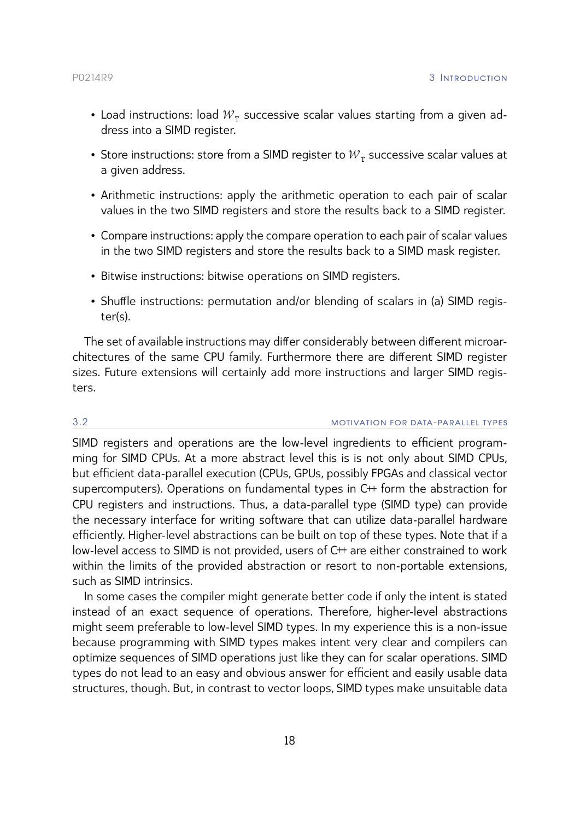- $\bullet$  Load instructions: load  ${\cal W}_{\tt T}$  successive scalar values starting from a given address into a SIMD register.
- $\bullet\,$  Store instructions: store from a SIMD register to  ${\cal W}^{}_{\mathtt{T}}$  successive scalar values at a given address.
- Arithmetic instructions: apply the arithmetic operation to each pair of scalar values in the two SIMD registers and store the results back to a SIMD register.
- Compare instructions: apply the compare operation to each pair of scalar values in the two SIMD registers and store the results back to a SIMD mask register.
- Bitwise instructions: bitwise operations on SIMD registers.
- Shuffle instructions: permutation and/or blending of scalars in (a) SIMD register(s).

The set of available instructions may differ considerably between different microarchitectures of the same CPU family. Furthermore there are different SIMD register sizes. Future extensions will certainly add more instructions and larger SIMD registers.

# 3.2 motivation for data -parallel types

SIMD registers and operations are the low-level ingredients to efficient programming for SIMD CPUs. At a more abstract level this is is not only about SIMD CPUs, but efficient data-parallel execution (CPUs, GPUs, possibly FPGAs and classical vector supercomputers). Operations on fundamental types in C++ form the abstraction for CPU registers and instructions. Thus, a data-parallel type (SIMD type) can provide the necessary interface for writing software that can utilize data-parallel hardware efficiently. Higher-level abstractions can be built on top of these types. Note that if a low-level access to SIMD is not provided, users of C<sup>++</sup> are either constrained to work within the limits of the provided abstraction or resort to non-portable extensions, such as SIMD intrinsics.

In some cases the compiler might generate better code if only the intent is stated instead of an exact sequence of operations. Therefore, higher-level abstractions might seem preferable to low-level SIMD types. In my experience this is a non-issue because programming with SIMD types makes intent very clear and compilers can optimize sequences of SIMD operations just like they can for scalar operations. SIMD types do not lead to an easy and obvious answer for efficient and easily usable data structures, though. But, in contrast to vector loops, SIMD types make unsuitable data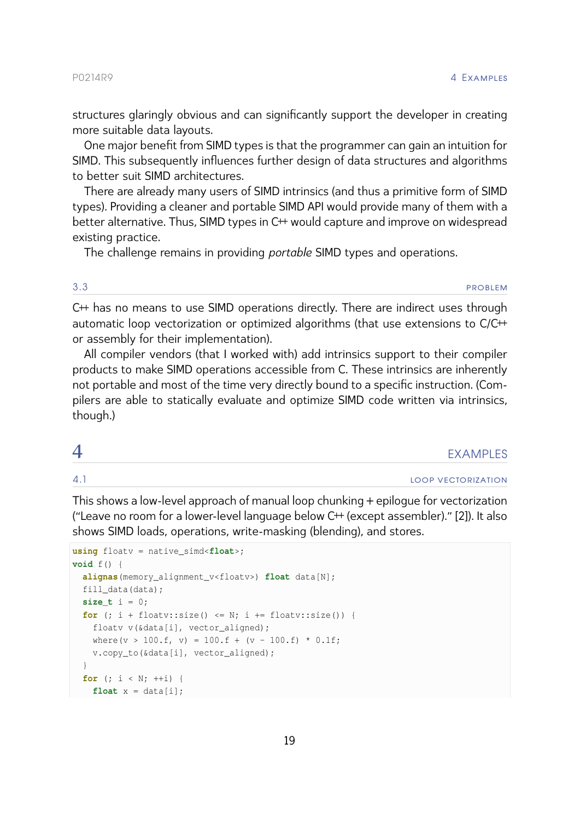structures glaringly obvious and can significantly support the developer in creating more suitable data layouts.

One major benefit from SIMD types is that the programmer can gain an intuition for SIMD. This subsequently influences further design of data structures and algorithms to better suit SIMD architectures.

There are already many users of SIMD intrinsics (and thus a primitive form of SIMD types). Providing a cleaner and portable SIMD API would provide many of them with a better alternative. Thus, SIMD types in C<sup>++</sup> would capture and improve on widespread existing practice.

The challenge remains in providing *portable* SIMD types and operations.

3.3 problem in the contract of the contract of the contract of the contract of the contract of the contract of the contract of the contract of the contract of the contract of the contract of the contract of the contract of

C++ has no means to use SIMD operations directly. There are indirect uses through automatic loop vectorization or optimized algorithms (that use extensions to C/C<sup>++</sup> or assembly for their implementation).

All compiler vendors (that I worked with) add intrinsics support to their compiler products to make SIMD operations accessible from C. These intrinsics are inherently not portable and most of the time very directly bound to a specific instruction. (Compilers are able to statically evaluate and optimize SIMD code written via intrinsics, though.)

<span id="page-19-0"></span>

| - | - - |
|---|-----|
|   |     |

4.1 loop vectorization

This shows a low-level approach of manual loop chunking + epilogue for vectorization ("Leave no room for a lower-level language below C++ (except assembler)." [\[2\]](#page-58-12)). It also shows SIMD loads, operations, write-masking (blending), and stores.

```
using floatv = native_simd<float>;
void f() {
 alignas(memory_alignment_v<floatv>) float data[N];
 fill_data(data);
 size_t i = 0;
 for (; i + floatv::size() <= N; i += floatv::size()) {
   floatv v(&data[i], vector aligned);
   where(v > 100.f, v) = 100.f + (v - 100.f) * 0.1f;
   v.copy_to(&data[i], vector_aligned);
  }
  for (; i < N; ++i) {
   float x = data[i];
```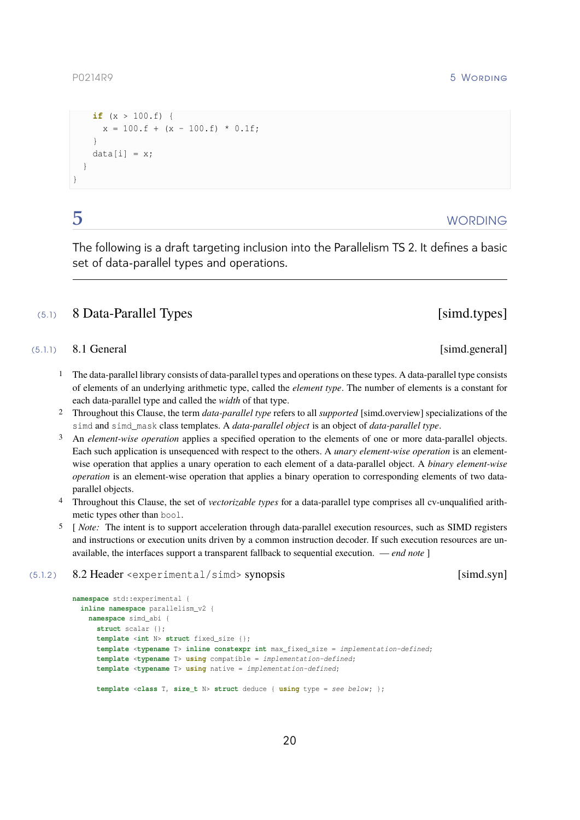```
if (x > 100.f) {
    x = 100.f + (x - 100.f) * 0.1f;
  }
 data[i] = x;}
```
}

# <span id="page-20-0"></span> $5$  WORDING

The following is a draft targeting inclusion into the Parallelism TS 2. It defines a basic set of data-parallel types and operations.

# (5.1) 8 Data-Parallel Types [simd.types]

# $(5.1.1)$  8.1 General  $\sim$  8.1 General  $\sim$  8.1 General  $\sim$  8.1 General  $\sim$  8.1 General  $\sim$  8.1 General  $\sim$  8.1 General  $\sim$  8.1 General  $\sim$  8.1 General  $\sim$  8.1 General  $\sim$  8.1 General  $\sim$  8.1 General  $\sim$  8.1 Gen

- <span id="page-20-1"></span>1 The data-parallel library consists of data-parallel types and operations on these types. A data-parallel type consists of elements of an underlying arithmetic type, called the *element type*. The number of elements is a constant for each data-parallel type and called the *width* of that type.
- 2 Throughout this Clause, the term *data-parallel type* refers to all *supported* [\[simd.overview\]](#page-29-0) specializations of the simd and simd\_mask class templates. A *data-parallel object* is an object of *data-parallel type*.
- 3 An *element-wise operation* applies a specified operation to the elements of one or more data-parallel objects. Each such application is unsequenced with respect to the others. A *unary element-wise operation* is an elementwise operation that applies a unary operation to each element of a data-parallel object. A *binary element-wise operation* is an element-wise operation that applies a binary operation to corresponding elements of two dataparallel objects.
- 4 Throughout this Clause, the set of *vectorizable types* for a data-parallel type comprises all cv-unqualified arithmetic types other than bool.
- 5 [ *Note:* The intent is to support acceleration through data-parallel execution resources, such as SIMD registers and instructions or execution units driven by a common instruction decoder. If such execution resources are unavailable, the interfaces support a transparent fallback to sequential execution. — *end note* ]

# (5.1.2 ) 8.2 Header <experimental/simd> synopsis [simd.syn]

```
namespace std::experimental {
  inline namespace parallelism_v2 {
   namespace simd_abi {
      struct scalar {};
      template <int N> struct fixed_size {};
      template <typename T> inline constexpr int max_fixed_size = implementation-defined;
      template <typename T> using compatible = implementation-defined;
      template <typename T> using native = implementation-defined;
      template <class T, size_t N> struct deduce { using type = see below ; };
```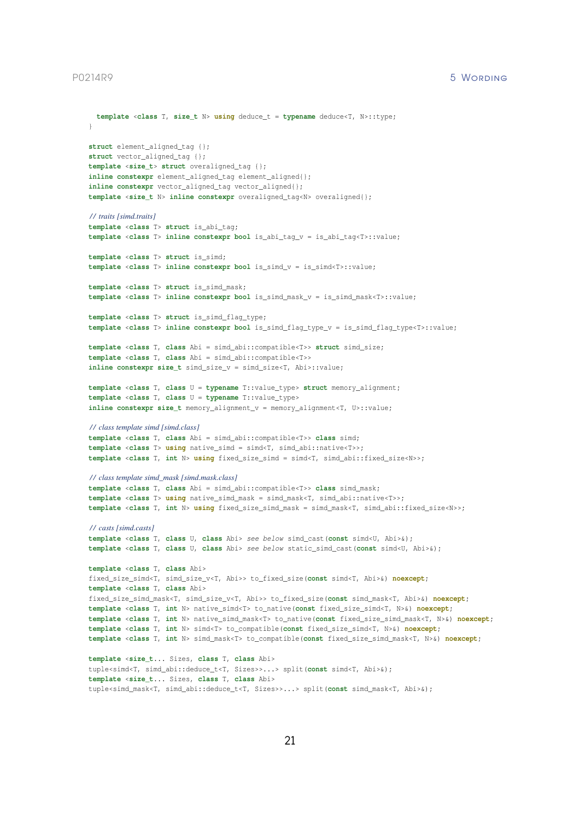```
\mathbf{1}struct element_aligned_tag {};
struct vector_aligned_tag {};
template <size_t> struct overaligned_tag {};
inline constexpr element_aligned_tag element_aligned{};
inline constexpr vector_aligned_tag vector_aligned{};
template <size_t N> inline constexpr overaligned_tag<N> overaligned{};
/ / traits [simd.traits]
template <class T> struct is_abi_tag;
template <class T> inline constexpr bool is_abi_tag_v = is_abi_tag<T>::value;
template <class T> struct is_simd;
template <class T> inline constexpr bool is_simd_v = is_simd<T>::value;
template <class T> struct is_simd_mask;
template <class T> inline constexpr bool is_simd_mask_v = is_simd_mask<T>::value;
template <class T> struct is_simd_flag_type;
template <class T> inline constexpr bool is_simd_flag_type_v = is_simd_flag_type<T>::value;
template <class T, class Abi = simd_abi::compatible<T>> struct simd_size;
template <class T, class Abi = simd_abi::compatible<T>>
inline constexpr size_t simd_size_v = simd_size<T, Abi>::value;
template <class T, class U = typename T::value_type> struct memory_alignment;
template <class T, class U = typename T::value_type>
inline constexpr size_t memory_alignment_v = memory_alignment<T, U>::value;
/ / class template simd [simd.class]
template <class T, class Abi = simd_abi::compatible<T>> class simd;
template <class T> using native_simd = simd<T, simd_abi::native<T>>;
template <class T, int N> using fixed_size_simd = simd<T, simd_abi::fixed_size<N>>;
/ / class template simd_mask [simd.mask.class]
template <class T, class Abi = simd_abi::compatible<T>> class simd_mask;
template <class T> using native simd mask = simd mask<T, simd abi::native<T>>;
template <class T, int N> using fixed_size_simd_mask = simd_mask<T, simd_abi::fixed_size<N>>;
/ / casts [simd.casts]
template <class T, class U, class Abi> see below simd_cast(const simd<U, Abi>&);
template <class T, class U, class Abi> see below static_simd_cast(const simd<U, Abi>&);
template <class T, class Abi>
fixed_size_simd<T, simd_size_v<T, Abi>> to_fixed_size(const simd<T, Abi>&) noexcept;
template <class T, class Abi>
fixed_size_simd_mask<T, simd_size_v<T, Abi>> to_fixed_size(const simd_mask<T, Abi>&) noexcept;
template <class T, int N> native_simd<T> to_native(const fixed_size_simd<T, N>&) noexcept;
template <class T, int N> native_simd_mask<T> to_native(const fixed_size_simd_mask<T, N>&) noexcept;
template <class T, int N> simd<T> to_compatible(const fixed_size_simd<T, N>&) noexcept;
template <class T, int N> simd_mask<T> to_compatible(const fixed_size_simd_mask<T, N>&) noexcept;
template <size_t... Sizes, class T, class Abi>
tuple<simd<T, simd_abi::deduce_t<T, Sizes>>...> split(const simd<T, Abi>&);
template <size_t... Sizes, class T, class Abi>
tuple<simd_mask<T, simd_abi::deduce_t<T, Sizes>>...> split(const simd_mask<T, Abi>&);
```
**template** <**class** T, **size\_t** N> **using** deduce\_t = **typename** deduce<T, N>::type;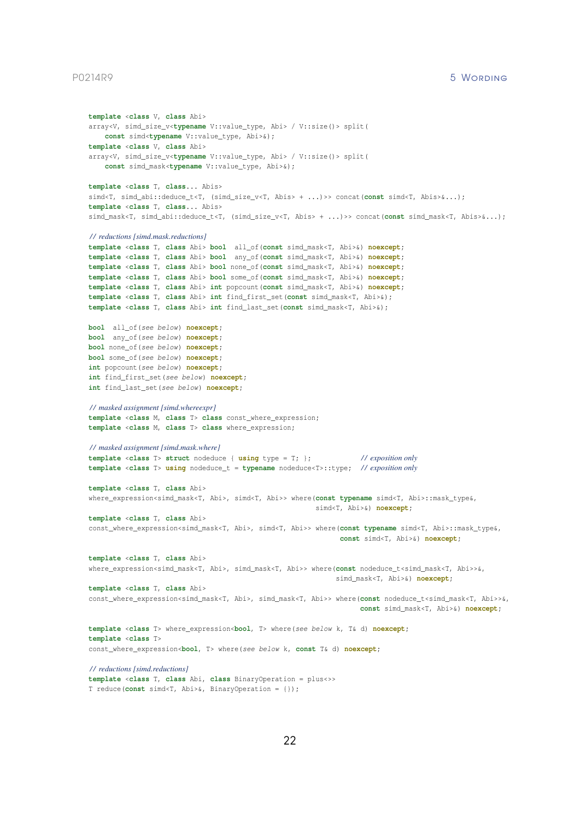```
template <class V, class Abi>
array<V, simd_size_v<typename V::value_type, Abi> / V::size()> split(
    const simd<typename V::value_type, Abi>&);
template <class V, class Abi>
array<V, simd_size_v<typename V::value_type, Abi> / V::size()> split(
    const simd_mask<typename V::value_type, Abi>&);
template <class T, class... Abis>
simd<T, simd_abi::deduce_t<T, (simd_size_v<T, Abis> + ...)>> concat(const simd<T, Abis>&...);
template <class T, class... Abis>
simd_mask<T, simd_abi::deduce_t<T, (simd_size_v<T, Abis> + ...)>> concat(const simd_mask<T, Abis>&...);
/ / reductions [simd.mask.reductions]
template <class T, class Abi> bool all_of(const simd_mask<T, Abi>&) noexcept;
template <class T, class Abi> bool any_of(const simd_mask<T, Abi>&) noexcept;
template <class T, class Abi> bool none_of(const simd_mask<T, Abi>&) noexcept;
template <class T, class Abi> bool some_of(const simd_mask<T, Abi>&) noexcept;
template <class T, class Abi> int popcount(const simd_mask<T, Abi>&) noexcept;
template <class T, class Abi> int find_first_set(const simd_mask<T, Abi>&);
template <class T, class Abi> int find_last_set(const simd_mask<T, Abi>&);
bool all_of(see below ) noexcept;
bool any_of(see below ) noexcept;
bool none_of(see below ) noexcept;
bool some_of(see below ) noexcept;
int popcount (see below) noexcept;
int find_first_set(see below ) noexcept;
int find_last_set(see below ) noexcept;
/ / masked assignment [simd.whereexpr]
template <class M, class T> class const_where_expression;
template <class M, class T> class where_expression;
/ / masked assignment [simd.mask.where]
template <class T> struct nodeduce { using type = T; }; / / exposition only
template <class T> using nodeduce_t = typename nodeduce<T>::type; / / exposition only
template <class T, class Abi>
where_expression<simd_mask<T, Abi>, simd<T, Abi>> where(const typename simd<T, Abi>::mask_type&,
                                                         simd<T, Abi>&) noexcept;
template <class T, class Abi>
const_where_expression<simd_mask<T, Abi>, simd<T, Abi>> where(const typename simd<T, Abi>::mask_type&,
                                                               const simd<T, Abi>&) noexcept;
template <class T, class Abi>
where_expression<simd_mask<T, Abi>, simd_mask<T, Abi>> where(const nodeduce_t<simd_mask<T, Abi>>&,
                                                              simd_mask<T, Abi>&) noexcept;
template <class T, class Abi>
const_where_expression<simd_mask<T, Abi>, simd_mask<T, Abi>> where(const nodeduce_t<simd_mask<T, Abi>>&,
                                                                    const simd_mask<T, Abi>&) noexcept;
template <class T> where_expression<bool, T> where(see below k, T& d) noexcept;
template <class T>
const_where_expression<bool, T> where(see below k, const T& d) noexcept;
/ / reductions [simd.reductions]
template <class T, class Abi, class BinaryOperation = plus<>>
```

```
T reduce(const simd<T, Abi>&, BinaryOperation = {});
```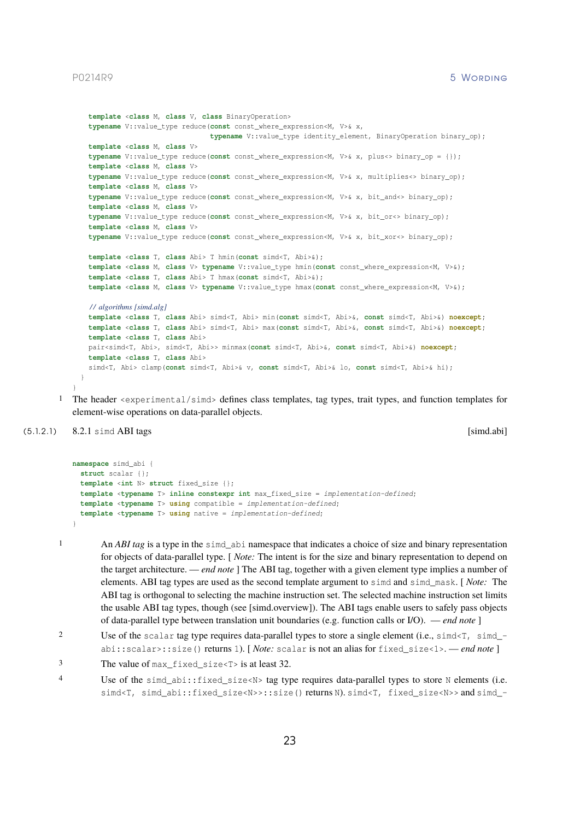```
template <class M, class V, class BinaryOperation>
  typename V:: value type reduce (const const where expression<M, V>& x,
                                typename V::value_type identity_element, BinaryOperation binary_op);
 template <class M, class V>
  typename V::value_type reduce(const const_where_expression<M, V>& x, plus<> binary_op = {});
  template <class M, class V>
 typename V::value_type reduce(const const_where_expression<M, V>& x, multiplies<> binary_op);
  template <class M, class V>
  typename V::value_type reduce(const const_where_expression<M, V>& x, bit_and<> binary_op);
  template <class M, class V>
 typename V::value_type reduce(const const_where_expression<M, V>& x, bit_or<> binary_op);
  template <class M, class V>
 typename V::value_type reduce(const const_where_expression<M, V>& x, bit_xor<> binary_op);
  template <class T, class Abi> T hmin(const simd<T, Abi>&);
  template <class M, class V> typename V::value_type hmin(const const_where_expression<M, V>&);
  template <class T, class Abi> T hmax(const simd<T, Abi>&);
 template <class M, class V> typename V::value_type hmax(const const_where_expression<M, V>&);
  / / algorithms [simd.alg]
  template <class T, class Abi> simd<T, Abi> min(const simd<T, Abi>&, const simd<T, Abi>&) noexcept;
  template <class T, class Abi> simd<T, Abi> max(const simd<T, Abi>&, const simd<T, Abi>&) noexcept;
 template <class T, class Abi>
 pair<simd<T, Abi>, simd<T, Abi>> minmax(const simd<T, Abi>&, const simd<T, Abi>&) noexcept;
 template <class T, class Abi>
 simd<T, Abi> clamp(const simd<T, Abi>& v, const simd<T, Abi>& lo, const simd<T, Abi>& hi);
}
```
<span id="page-23-1"></span>1 The header <experimental/simd> defines class templates, tag types, trait types, and function templates for element-wise operations on data-parallel objects.

# (5.1.2.1) 8.2.1 simd ABI tags [simd.abi] [simd.abi]

}

```
namespace simd_abi {
  struct scalar {};
  template <int N> struct fixed_size {};
  template <typename T> inline constexpr int max_fixed_size = implementation-defined;
  template <typename T> using compatible = implementation-defined;
  template <typename T> using native = implementation-defined;
\overline{ }
```
<span id="page-23-0"></span>1 An *ABI tag* is a type in the simd\_abi namespace that indicates a choice of size and binary representation for objects of data-parallel type. [ *Note:* The intent is for the size and binary representation to depend on the target architecture. — *end note* ] The ABI tag, together with a given element type implies a number of elements. ABI tag types are used as the second template argument to simd and simd\_mask. [ *Note:* The ABI tag is orthogonal to selecting the machine instruction set. The selected machine instruction set limits the usable ABI tag types, though (see [\[simd.overview\]\)](#page-30-0). The ABI tags enable users to safely pass objects of data-parallel type between translation unit boundaries (e.g. function calls or I/O). — *end note* ]

<sup>2</sup> Use of the scalar tag type requires data-parallel types to store a single element (i.e., simd  $\leq$  7, simd  $$ abi::scalar>::size() returns 1). [ *Note:* scalar is not an alias for fixed\_size<1>. — *end note* ]

<sup>3</sup> The value of max fixed size <T> is at least 32.

<sup>4</sup> Use of the simd\_abi::fixed\_size<N> tag type requires data-parallel types to store N elements (i.e. simd<T, simd\_abi::fixed\_size<N>>::size() returns N). simd<T, fixed\_size<N>> and simd\_-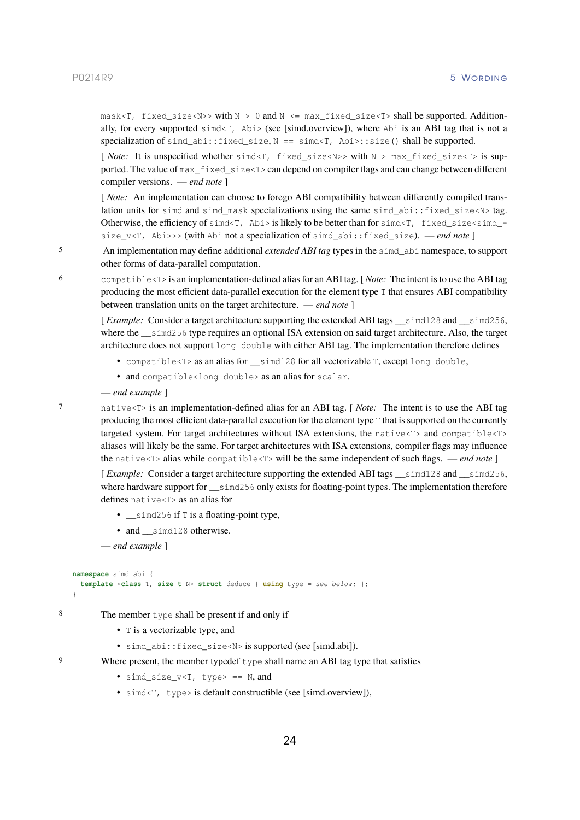mask<T, fixed\_size<N>> with  $N > 0$  and  $N \leq max\_fixed\_size$ <T> shall be supported. Additionally, for every supported  $sim\$ T, Abi> (see [\[simd.overview\]\)](#page-30-0), where Abi is an ABI tag that is not a specialization of simd  $abi$ :: fixed size, N == simd<T,  $Abi$ :: size() shall be supported.

[ *Note:* It is unspecified whether simd<T, fixed\_size<N>> with N > max\_fixed\_size<T> is supported. The value of max\_fixed\_size<T> can depend on compiler flags and can change between different compiler versions. — *end note* ]

[*Note:* An implementation can choose to forego ABI compatibility between differently compiled translation units for simd and simd mask specializations using the same simd abi::fixed size<N> tag. Otherwise, the efficiency of  $s$  ind $\leq$  7, Abi  $>$  is likely to be better than for  $s$  ind $\leq$  7, fixed\_size $\leq$  simd\_size\_v<T, Abi>>> (with Abi not a specialization of simd\_abi::fixed\_size). — *end note* ]

5 An implementation may define additional *extended ABI tag* types in the simd\_abi namespace, to support other forms of data-parallel computation.

6 compatible<T> is an implementation-defined alias for an ABI tag. [ *Note:* The intent is to use the ABI tag producing the most efficient data-parallel execution for the element type T that ensures ABI compatibility between translation units on the target architecture. — *end note* ]

[ *Example:* Consider a target architecture supporting the extended ABI tags \_\_simd128 and \_\_simd256, where the simd256 type requires an optional ISA extension on said target architecture. Also, the target architecture does not support long double with either ABI tag. The implementation therefore defines

- compatible<T> as an alias for  $\sin(128)$  for all vectorizable T, except long double,
- and compatible<long double> as an alias for scalar.
- *end example* ]

7 native<T> is an implementation-defined alias for an ABI tag. [ *Note:* The intent is to use the ABI tag producing the most efficient data-parallel execution for the element type T that is supported on the currently targeted system. For target architectures without ISA extensions, the native<T> and compatible<T> aliases will likely be the same. For target architectures with ISA extensions, compiler flags may influence the native<T> alias while compatible<T> will be the same independent of such flags. — *end note* ]

[ *Example:* Consider a target architecture supporting the extended ABI tags \_\_simd128 and \_\_simd256, where hardware support for simd256 only exists for floating-point types. The implementation therefore defines native<T> as an alias for

- $\_\$ simd256 if T is a floating-point type,
- and simd128 otherwise.

— *end example* ]

```
namespace simd_abi {
  template <class T, size_t N> struct deduce { using type = see below ; };
}
```
8 The member type shall be present if and only if

- T is a vectorizable type, and
- simd abi::fixed size<N> is supported (see [\[simd.abi\]\)](#page-23-0).

- 9 Where present, the member typedef type shall name an ABI tag type that satisfies
	- simd size  $v < T$ , type> == N, and
	- simd<T, type> is default constructible (see [\[simd.overview\]\)](#page-30-0),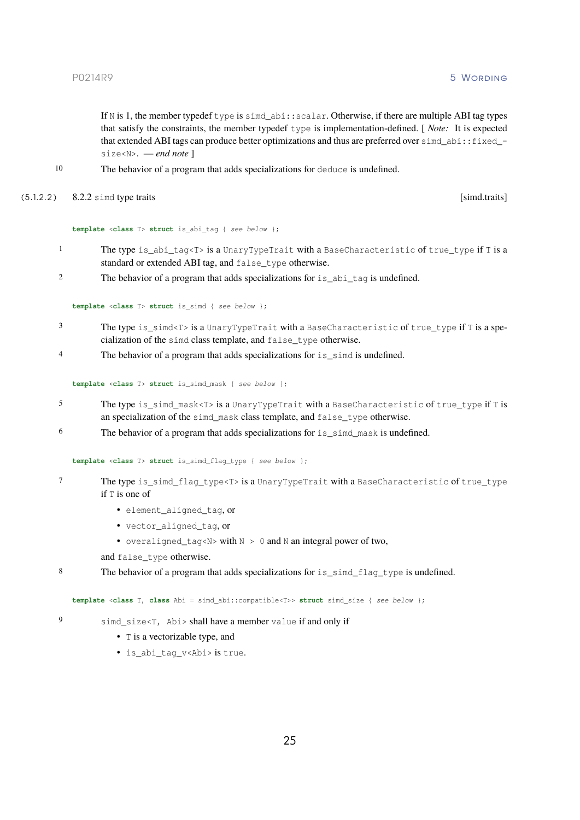If N is 1, the member typedef type is simd\_abi::scalar. Otherwise, if there are multiple ABI tag types that satisfy the constraints, the member typedef type is implementation-defined. [ *Note:* It is expected that extended ABI tags can produce better optimizations and thus are preferred over simd abi::fixed size<N>. — *end note* ]

- <span id="page-25-2"></span>10 The behavior of a program that adds specializations for deduce is undefined.
- (5.1.2.2 ) 8.2.2 simd type traits [simd.traits]

### **template** <**class** T> **struct** is\_abi\_tag { *see below* };

- 1 The type is\_abi\_tag<T> is a UnaryTypeTrait with a BaseCharacteristic of true\_type if T is a standard or extended ABI tag, and false\_type otherwise.
- <sup>2</sup> The behavior of a program that adds specializations for is abi tag is undefined.

**template** <**class** T> **struct** is\_simd { *see below* };

- 3 The type is simd<T> is a UnaryTypeTrait with a BaseCharacteristic of true type if T is a specialization of the simd class template, and false\_type otherwise.
- <sup>4</sup> The behavior of a program that adds specializations for is\_simd is undefined.

**template** <**class** T> **struct** is\_simd\_mask { *see below* };

- 5 The type is\_simd\_mask<T> is a UnaryTypeTrait with a BaseCharacteristic of true\_type if T is an specialization of the simd mask class template, and false type otherwise.
- 6 The behavior of a program that adds specializations for is\_simd\_mask is undefined.

<span id="page-25-0"></span>**template** <**class** T> **struct** is\_simd\_flag\_type { *see below* };

- 7 The type is\_simd\_flag\_type<T> is a UnaryTypeTrait with a BaseCharacteristic of true\_type if T is one of
	- element\_aligned\_tag, or
	- vector\_aligned\_tag, or
	- overaligned\_tag<N> with N > 0 and N an integral power of two,
	- and false\_type otherwise.
- 8 The behavior of a program that adds specializations for is\_simd\_flag\_type is undefined.

<span id="page-25-1"></span>**template** <**class** T, **class** Abi = simd\_abi::compatible<T>> **struct** simd\_size { *see below* };

- 9 simd\_size<T, Abi> shall have a member value if and only if
	- T is a vectorizable type, and
	- is\_abi\_tag\_v<Abi> is true.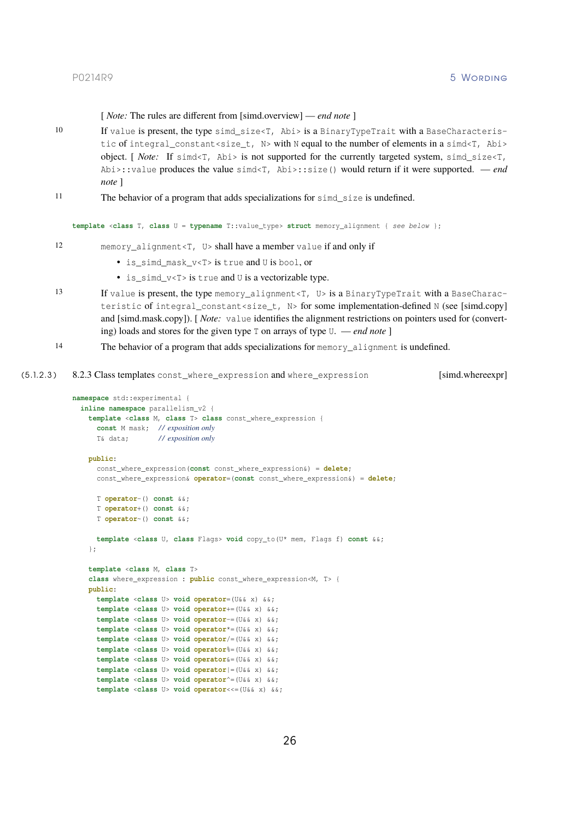[ *Note:* The rules are different from [\[simd.overview\]](#page-30-0) — *end note* ]

- 10 If value is present, the type simd\_size<T, Abi> is a BinaryTypeTrait with a BaseCharacteristic of integral constant<size  $t$ , N> with N equal to the number of elements in a simd<T, Abi> object. [ *Note:* If simd<T, Abi> is not supported for the currently targeted system, simd\_size<T, Abi>::value produces the value simd<T, Abi>::size() would return if it were supported. — *end note* ]
- 11 The behavior of a program that adds specializations for simd\_size is undefined.

**template** <**class** T, **class** U = **typename** T::value\_type> **struct** memory\_alignment { *see below* };

- 12 memory\_alignment<T, U> shall have a member value if and only if
	- is simd mask v<T> is true and U is bool, or
	- is\_simd\_v<T> is true and U is a vectorizable type.
- 13 If value is present, the type memory\_alignment<T, U> is a BinaryTypeTrait with a BaseCharac-teristic of integral constant<size t, N> for some implementation-defined N (see [\[simd.copy\]](#page-34-0) and [\[simd.mask.copy\]\)](#page-44-0). [*Note: value identifies the alignment restrictions on pointers used for (convert*ing) loads and stores for the given type T on arrays of type U. — *end note* ]
- 14 The behavior of a program that adds specializations for memory\_alignment is undefined.

```
(5.1.2.3 ) 8.2.3 Class templates const_where_expression and where_expression [simd.whereexpr]
```

```
namespace std::experimental {
 inline namespace parallelism_v2 {
   template <class M, class T> class const_where_expression {
     const M mask; / / exposition only
     T& data; / / exposition only
    public:
     const_where_expression(const const_where_expression&) = delete;
     const_where_expression& operator=(const const_where_expression&) = delete;
     T operator-() const &&;
      T operator+() const &&;
      T operator~() const &&;
     template <class U, class Flags> void copy_to(U* mem, Flags f) const &&;
    };
    template <class M, class T>
    class where_expression : public const_where_expression<M, T> {
   public:
     template <class U> void operator=(U&& x) &&;
     template <class U> void operator+=(U&& x) &&;
     template <class U> void operator-=(U&& x) &&;
     template <class U> void operator*=(U&& x) &&;
      template <class U> void operator/=(U&& x) &&;
      template <class U> void operator%=(U&& x) &&;
     template <class U> void operator&=(U&& x) &&;
     template <class U> void operator|=(U&& x) &&;
     template <class U> void operator^=(U&& x) &&;
      template <class U> void operator<<=(U&& x) &&;
```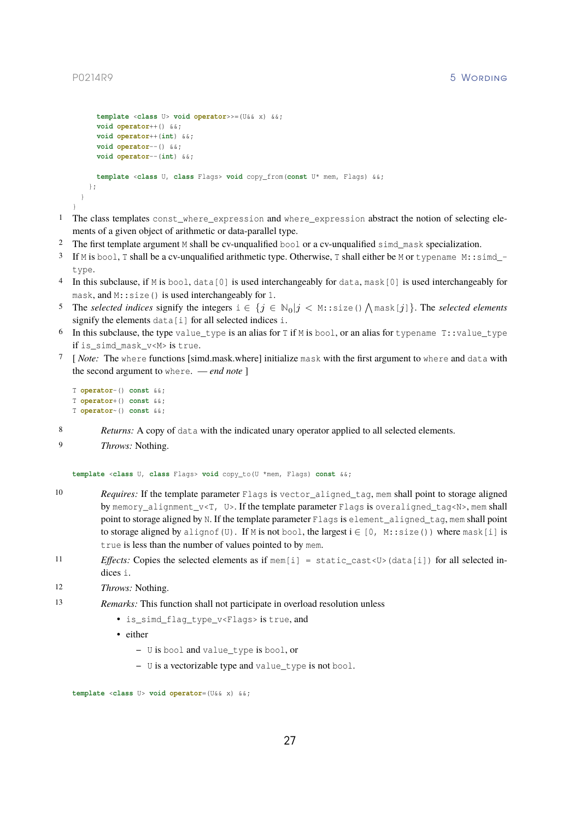```
template <class U> void operator>>=(U&& x) &&;
      void operator++() &&;
      void operator++(int) &&;
      void operator--() &&;
     void operator--(int) &&;
     template <class U, class Flags> void copy_from(const U* mem, Flags) &&;
   };
 }
}
```
- 1 The class templates const\_where\_expression and where\_expression abstract the notion of selecting elements of a given object of arithmetic or data-parallel type.
- 2 The first template argument M shall be cv-unqualified bool or a cv-unqualified simd\_mask specialization.
- 3 If M is bool, T shall be a cv-unqualified arithmetic type. Otherwise, T shall either be M or typename M::simd\_ type.
- 4 In this subclause, if M is bool, data[0] is used interchangeably for data, mask[0] is used interchangeably for mask, and M::size() is used interchangeably for 1.
- 5 The *selected indices* signify the integers  $i \in \{j \in \mathbb{N}_0 | j < \mathbb{N}:$  size ()  $\bigwedge$  mask [j]  $\}$ . The *selected elements* signify the elements data[i] for all selected indices i.
- 6 In this subclause, the type value\_type is an alias for T if M is bool, or an alias for typename T::value\_type if is\_simd\_mask\_v<M> is true.
- 7 [ *Note:* The where functions [simd.mask.where] initialize mask with the first argument to where and data with the second argument to where. — *end note* ]

```
T operator-() const &&;
T operator+() const &&;
T operator~() const &&;
```
- 8 *Returns:* A copy of data with the indicated unary operator applied to all selected elements.
- 9 *Throws:* Nothing.

```
template <class U, class Flags> void copy_to(U *mem, Flags) const &&;
```
- 10 *Requires:* If the template parameter Flags is vector\_aligned\_tag, mem shall point to storage aligned by memory\_alignment\_v<T, U>. If the template parameter Flags is overaligned\_tag<N>, mem shall point to storage aligned by N. If the template parameter Flags is element aligned tag, mem shall point to storage aligned by alignof(U). If M is not bool, the largest  $i \in [0, M: : size()$  where mask[i] is true is less than the number of values pointed to by mem.
- 11 *Effects:* Copies the selected elements as if mem[i] = static cast<U>(data[i]) for all selected indices i.
- 12 *Throws:* Nothing.
- 13 *Remarks:* This function shall not participate in overload resolution unless
	- is\_simd\_flag\_type\_v<Flags> is true, and
	- either
		- **–** U is bool and value\_type is bool, or
		- **–** U is a vectorizable type and value\_type is not bool.

```
template <class U> void operator=(U&& x) &&;
```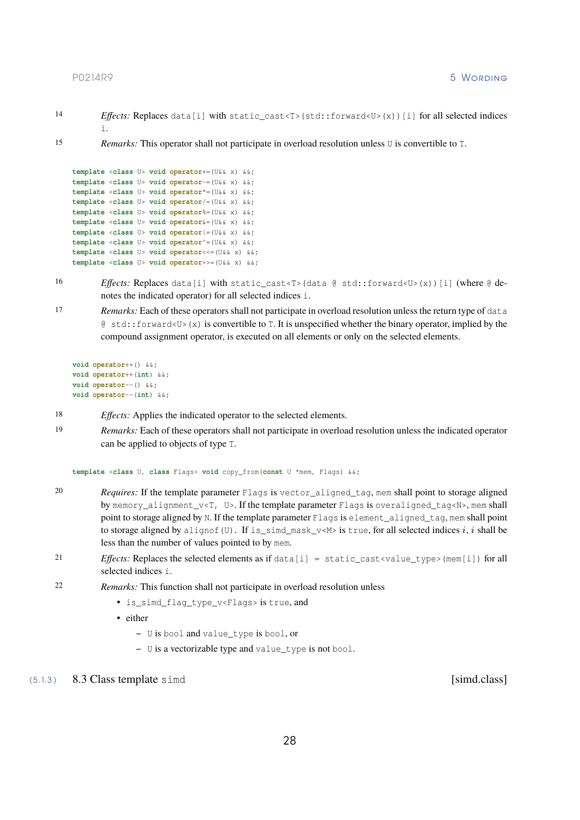- 
- 14 *Effects:* Replaces data[i] with static\_cast<T>(std::forward<U>(x))[i] for all selected indices i.
- 15 *Remarks:* This operator shall not participate in overload resolution unless U is convertible to T.

```
template <class U> void operator+=(U&& x) &&;
template <class U> void operator-=(U&& x) &&;
template <class U> void operator*=(U&& x) &&;
template <class U> void operator/=(U&& x) &&;
template <class U> void operator%=(U&& x) &&;
template <class U> void operator&=(U&& x) &&;
template <class U> void operator|=(U&& x) &&;
template <class U> void operator^=(U&& x) &&;
template <class U> void operator<<=(U&& x) &&;
template <class U> void operator>>=(U&& x) &&;
```
- 16 *Effects:* Replaces data[i] with static\_cast<T>(data @ std::forward<U>(x))[i] (where @ denotes the indicated operator) for all selected indices i.
- 17 *Remarks:* Each of these operators shall not participate in overload resolution unless the return type of data  $\&$  std::forward<U>(x) is convertible to T. It is unspecified whether the binary operator, implied by the compound assignment operator, is executed on all elements or only on the selected elements.

```
void operator++() &&;
void operator++(int) &&;
void operator--() &&;
void operator--(int) &&;
```
- 18 *Effects:* Applies the indicated operator to the selected elements.
- 19 *Remarks:* Each of these operators shall not participate in overload resolution unless the indicated operator can be applied to objects of type T.

**template** <**class** U, **class** Flags> **void** copy\_from(**const** U \*mem, Flags) &&;

- 20 *Requires:* If the template parameter Flags is vector aligned tag, mem shall point to storage aligned by memory\_alignment\_v<T, U>. If the template parameter Flags is overaligned\_tag<N>, mem shall point to storage aligned by N. If the template parameter Flags is element\_aligned\_tag, mem shall point to storage aligned by alignof(U). If is simd mask  $v \le M$  is true, for all selected indices i, i shall be less than the number of values pointed to by mem.
- 21 *Effects:* Replaces the selected elements as if data[i] = static\_cast<value\_type>(mem[i]) for all selected indices i.
- 22 *Remarks:* This function shall not participate in overload resolution unless
	- is\_simd\_flag\_type\_v<Flags> is true, and
	- either
		- **–** U is bool and value\_type is bool, or
		- **–** U is a vectorizable type and value\_type is not bool.

<span id="page-28-0"></span>(5.1.3) 8.3 Class template simd [simd.class]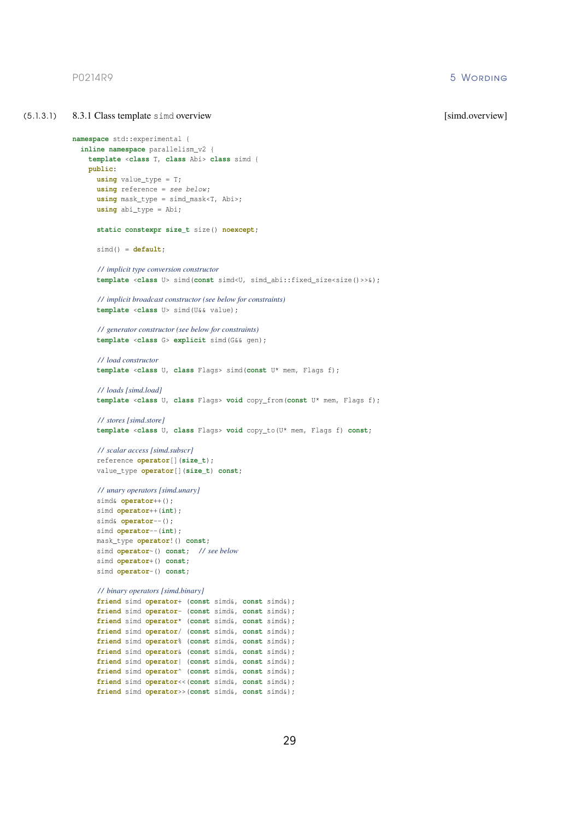<span id="page-29-0"></span>(5.1.3.1) 8.3.1 Class template simd overview [simd.overview] [simd.overview] **namespace** std::experimental { **inline namespace** parallelism\_v2 { **template** <**class** T, **class** Abi> **class** simd { **public**: **using** value\_type = T; **using** reference = *see below* ; **using** mask\_type = simd\_mask<T, Abi>; **using** abi\_type = Abi; **static constexpr size\_t** size() **noexcept**; simd() = **default**; */ / implicit type conversion constructor* **template** <**class** U> simd(**const** simd<U, simd\_abi::fixed\_size<size()>>&); */ / implicit broadcast constructor (see below for constraints)* **template** <**class** U> simd(U&& value); */ / generator constructor (see below for constraints)* **template** <**class** G> **explicit** simd(G&& gen); */ / load constructor* **template** <**class** U, **class** Flags> simd(**const** U\* mem, Flags f); */ / loads [simd.load]* **template** <**class** U, **class** Flags> **void** copy\_from(**const** U\* mem, Flags f); */ / stores [simd.store]* **template** <**class** U, **class** Flags> **void** copy\_to(U\* mem, Flags f) **const**; */ / scalar access [simd.subscr]* reference **operator**[](**size\_t**); value\_type **operator**[](**size\_t**) **const**; */ / unary operators [simd.unary]* simd& **operator**++(); simd **operator**++(**int**); simd& **operator**--(); simd **operator**--(**int**); mask\_type **operator**!() **const**; simd **operator**~() **const**; */ / see below* simd **operator**+() **const**; simd **operator**-() **const**; */ / binary operators [simd.binary]* **friend** simd **operator**+ (**const** simd&, **const** simd&); **friend** simd **operator**- (**const** simd&, **const** simd&); **friend** simd **operator**\* (**const** simd&, **const** simd&); **friend** simd **operator**/ (**const** simd&, **const** simd&); **friend** simd **operator**% (**const** simd&, **const** simd&); **friend** simd **operator**& (**const** simd&, **const** simd&); **friend** simd **operator**| (**const** simd&, **const** simd&); **friend** simd **operator**^ (**const** simd&, **const** simd&); **friend** simd **operator**<<(**const** simd&, **const** simd&); **friend** simd **operator**>>(**const** simd&, **const** simd&);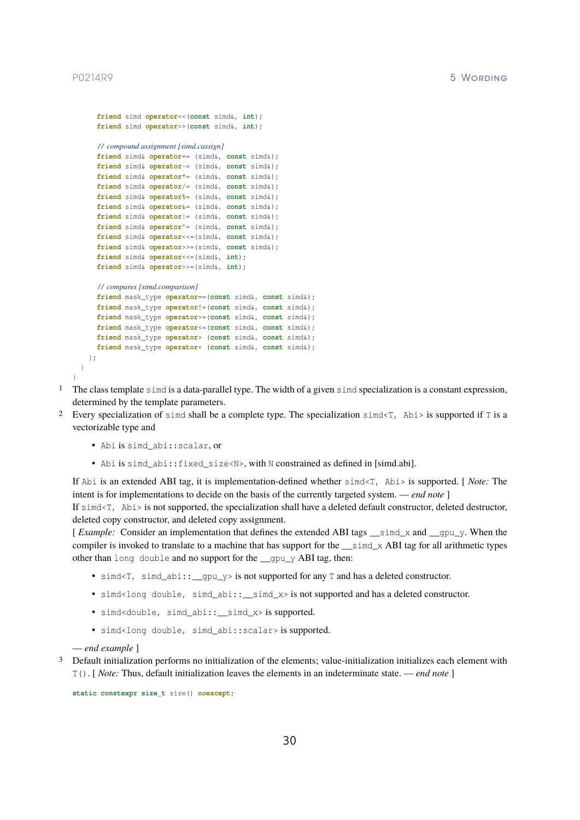<span id="page-30-0"></span>}

```
friend simd operator<<(const simd&, int);
    friend simd operator>>(const simd&, int);
    / / compound assignment [simd.cassign]
    friend simd& operator+= (simd&, const simd&);
    friend simd& operator-= (simd&, const simd&);
    friend simd& operator*= (simd&, const simd&);
    friend simd& operator/= (simd&, const simd&);
    friend simd& operator%= (simd&, const simd&);
    friend simd& operator&= (simd&, const simd&);
    friend simd& operator|= (simd&, const simd&);
    friend simd& operator^= (simd&, const simd&);
    friend simd& operator<<=(simd&, const simd&);
    friend simd& operator>>=(simd&, const simd&);
    friend simd& operator<<=(simd&, int);
    friend simd& operator>>=(simd&, int);
    / / compares [simd.comparison]
    friend mask_type operator==(const simd&, const simd&);
    friend mask_type operator!=(const simd&, const simd&);
    friend mask_type operator>=(const simd&, const simd&);
    friend mask_type operator<=(const simd&, const simd&);
    friend mask_type operator> (const simd&, const simd&);
    friend mask_type operator< (const simd&, const simd&);
  };
}
```
- 1 The class template simd is a data-parallel type. The width of a given simd specialization is a constant expression, determined by the template parameters.
- <sup>2</sup> Every specialization of simd shall be a complete type. The specialization simd $\leq$ T, Abi> is supported if T is a vectorizable type and
	- Abi is simd\_abi::scalar, or
	- •Abi is simd abi::fixed size<N>, with N constrained as defined in [\[simd.abi\].](#page-23-0)

If Abi is an extended ABI tag, it is implementation-defined whether simd<T, Abi> is supported. [ *Note:* The intent is for implementations to decide on the basis of the currently targeted system. — *end note* ]

If simd<T, Abi> is not supported, the specialization shall have a deleted default constructor, deleted destructor, deleted copy constructor, and deleted copy assignment.

[ *Example:* Consider an implementation that defines the extended ABI tags \_\_simd\_x and \_\_gpu\_y. When the compiler is invoked to translate to a machine that has support for the  $\_\text{simd} \times$  ABI tag for all arithmetic types other than long double and no support for the  $q$  qpu  $y$  ABI tag, then:

- simd<T, simd\_abi::\_gpu\_y> is not supported for any  $\text{T}$  and has a deleted constructor.
- simd<long double, simd\_abi::\_simd\_x> is not supported and has a deleted constructor.
- simd<double, simd\_abi::\_\_simd\_x> is supported.
- simd<long double, simd abi::scalar> is supported.

— *end example* ]

<sup>3</sup> Default initialization performs no initialization of the elements; value-initialization initializes each element with T(). [ *Note:* Thus, default initialization leaves the elements in an indeterminate state. — *end note* ]

**static constexpr size\_t** size() **noexcept**;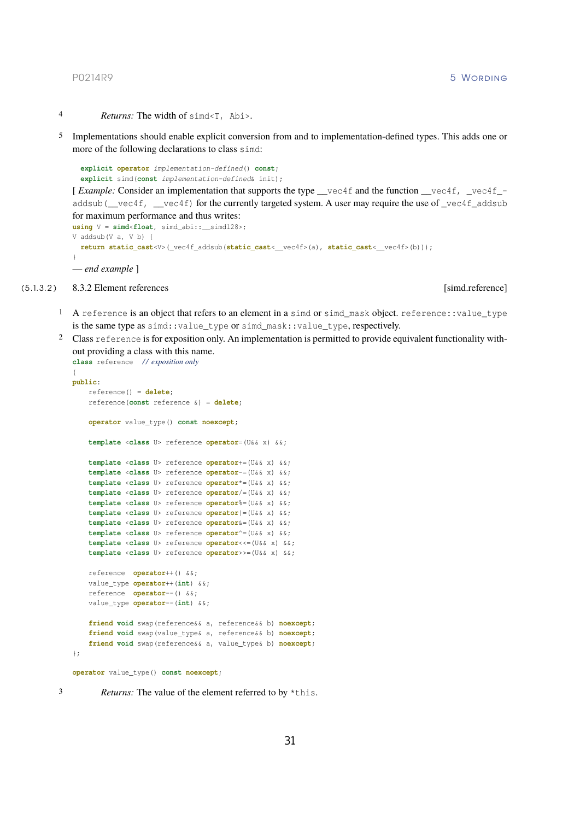- 4 *Returns:* The width of simd<T, Abi>.
- 5 Implementations should enable explicit conversion from and to implementation-defined types. This adds one or more of the following declarations to class simd:

```
explicit operator implementation-defined() const;
explicit simd(const implementation-defined& init);
```
[*Example:* Consider an implementation that supports the type <u>vec4f</u> and the function vec4f, vec4f<sub>-</sub> addsub(\_vec4f, \_vec4f) for the currently targeted system. A user may require the use of \_vec4f\_addsub for maximum performance and thus writes:

```
using V = simd<float, simd_abi::__simd128>;
V addsub(V a, V b) {
 return static_cast<V>(_vec4f_addsub(static_cast<__vec4f>(a), static_cast<__vec4f>(b)));
}
— end example ]
```
(5.1.3.2 ) 8.3.2 Element references [simd.reference]

- <span id="page-31-1"></span>1 A reference is an object that refers to an element in a simd or simd\_mask object. reference::value\_type is the same type as simd::value\_type or simd\_mask::value\_type, respectively.
- 2 Class reference is for exposition only. An implementation is permitted to provide equivalent functionality without providing a class with this name.

```
class reference / / exposition only
{
public:
   reference() = delete;
    reference(const reference &) = delete;
    operator value_type() const noexcept;
    template <class U> reference operator=(U&& x) &&;
   template <class U> reference operator+=(U&& x) &&;
    template <class U> reference operator-=(U&& x) &&;
    template <class U> reference operator*=(U&& x) &&;
    template <class U> reference operator/=(U&& x) &&;
    template <class U> reference operator%=(U&& x) &&;
    template <class U> reference operator|=(U&& x) &&;
    template <class U> reference operator&=(U&& x) &&;
    template <class U> reference operator^=(U&& x) &&;
    template <class U> reference operator<<=(U&& x) &&;
    template <class U> reference operator>>=(U&& x) &&;
   reference operator++() &&;
   value_type operator++(int) &&;
    reference operator--() &&;
   value_type operator--(int) &&;
    friend void swap(reference&& a, reference&& b) noexcept;
    friend void swap(value_type& a, reference&& b) noexcept;
    friend void swap(reference&& a, value_type& b) noexcept;
};
operator value_type() const noexcept;
```
3 *Returns:* The value of the element referred to by \*this.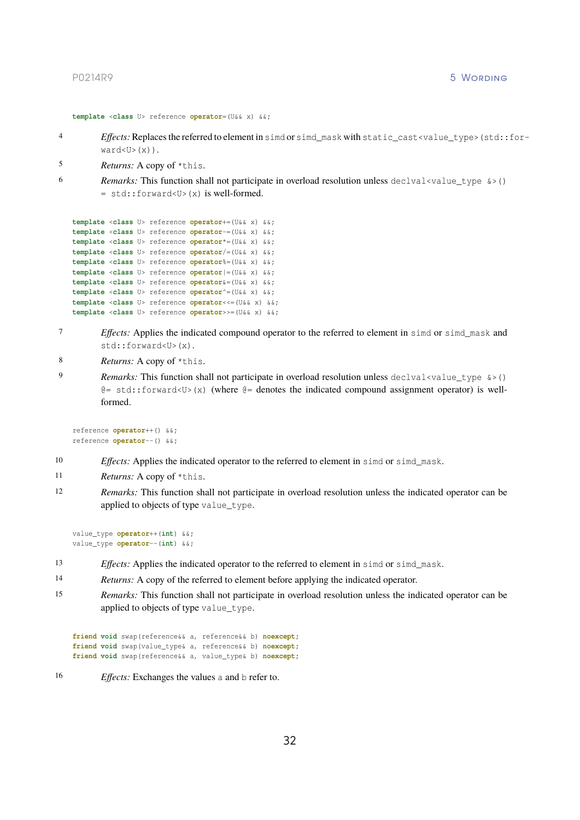```
template <class U> reference operator=(U&& x) &&;
```
- 4 *Effects:* Replaces the referred to element in simd or simd\_mask with static\_cast<value\_type>(std::for $ward < U > (x)$ ).
- 5 *Returns:* A copy of \*this.
- 6 *Remarks:* This function shall not participate in overload resolution unless declval <value\_type  $\>$  ()  $=$  std::forward<U>(x) is well-formed.

```
template <class U> reference operator+=(U&& x) &&;
template <class U> reference operator-=(U&& x) &&;
template <class U> reference operator*=(U&& x) &&;
template <class U> reference operator/=(U&& x) &&;
template <class U> reference operator%=(U&& x) &&;
template <class U> reference operator|=(U&& x) &&;
template <class U> reference operator&=(U&& x) &&;
template <class U> reference operator^=(U&& x) &&;
template <class U> reference operator<<=(U&& x) &&;
template <class U> reference operator>>=(U&& x) &&;
```
- 7 *Effects:* Applies the indicated compound operator to the referred to element in simd or simd\_mask and std::forward<U>(x).
- 8 *Returns:* A copy of \*this.
- 9 *Remarks:* This function shall not participate in overload resolution unless declval <value\_type  $\>$  ()  $\mathcal{C} = \text{std}$ ::forward<U>(x) (where  $\mathcal{C} =$  denotes the indicated compound assignment operator) is wellformed.

```
reference operator++() &&;
reference operator--() &&;
```
- 10 *Effects:* Applies the indicated operator to the referred to element in simd or simd\_mask.
- 11 *Returns:* A copy of \*this.
- 12 *Remarks:* This function shall not participate in overload resolution unless the indicated operator can be applied to objects of type value\_type.

```
value_type operator++(int) &&;
value_type operator--(int) &&;
```
- 13 *Effects:* Applies the indicated operator to the referred to element in simd or simd\_mask.
- 14 *Returns:* A copy of the referred to element before applying the indicated operator.
- 15 *Remarks:* This function shall not participate in overload resolution unless the indicated operator can be applied to objects of type value\_type.

```
friend void swap(reference&& a, reference&& b) noexcept;
friend void swap(value_type& a, reference&& b) noexcept;
friend void swap(reference&& a, value_type& b) noexcept;
```
16 *Effects:* Exchanges the values a and b refer to.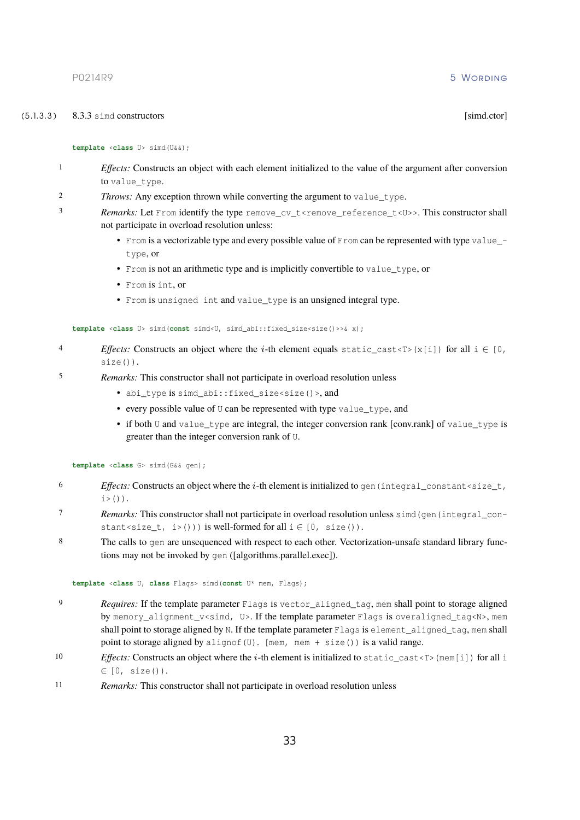### (5.1.3.3 ) 8.3.3 simd constructors [simd.ctor]

### <span id="page-33-0"></span>**template** <**class** U> simd(U&&);

- 1 *Effects:* Constructs an object with each element initialized to the value of the argument after conversion to value type.
- 2 *Throws:* Any exception thrown while converting the argument to value\_type.
- 3 *Remarks:* Let From identify the type remove\_cv\_t<remove\_reference\_t<U>>. This constructor shall not participate in overload resolution unless:
	- From is a vectorizable type and every possible value of From can be represented with type value  $$ type, or
	- From is not an arithmetic type and is implicitly convertible to value\_type, or
	- From is int, or
	- From is unsigned int and value\_type is an unsigned integral type.

```
template <class U> simd(const simd<U, simd abi::fixed size<size()>>& x);
```
- *4 Effects:* Constructs an object where the *i*-th element equals static cast<T>(x[i]) for all  $i \in [0, 1]$ size()).
- 5 *Remarks:* This constructor shall not participate in overload resolution unless
	- abi type is simd abi::fixed size<size()>, and
	- every possible value of U can be represented with type value\_type, and
	- if both U and value\_type are integral, the integer conversion rank [conv.rank] of value\_type is greater than the integer conversion rank of U.

**template** <**class** G> simd(G&& gen);

- $6$  *Effects:* Constructs an object where the *i*-th element is initialized to gen (integral constant < size t,  $i>()$ ).
- 7 *Remarks:* This constructor shall not participate in overload resolution unless simd (gen (integral constant<size\_t, i>())) is well-formed for all  $i \in [0, size()$ .
- 8 The calls to gen are unsequenced with respect to each other. Vectorization-unsafe standard library functions may not be invoked by gen ([algorithms.parallel.exec]).

**template** <**class** U, **class** Flags> simd(**const** U\* mem, Flags);

- 9 *Requires:* If the template parameter Flags is vector\_aligned\_tag, mem shall point to storage aligned by memory\_alignment\_v<simd, U>. If the template parameter Flags is overaligned\_tag<N>, mem shall point to storage aligned by N. If the template parameter Flags is element aligned tag, mem shall point to storage aligned by alignof(U). [mem, mem + size()) is a valid range.
- 10 *Effects:* Constructs an object where the *i*-th element is initialized to static\_cast<T>(mem[i]) for all i ∈ [0, size()).
- 11 *Remarks:* This constructor shall not participate in overload resolution unless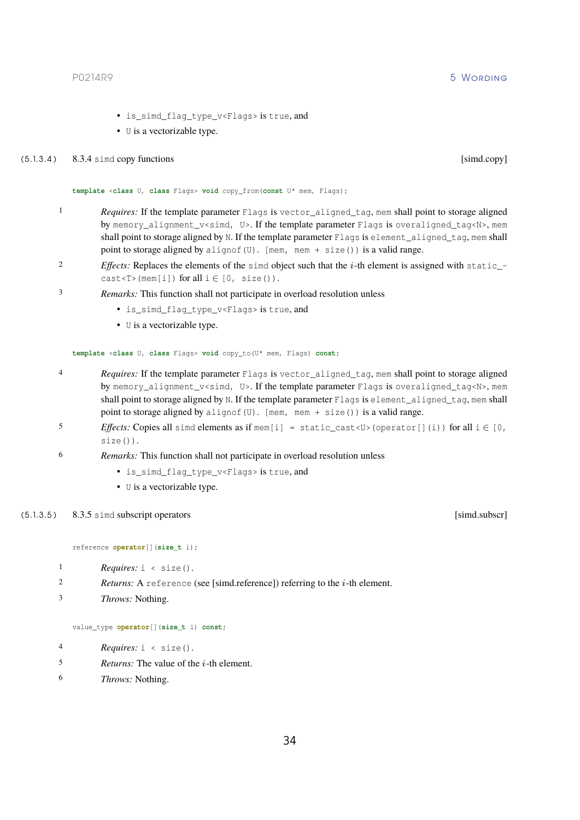- is\_simd\_flag\_type\_v<Flags> is true, and
- U is a vectorizable type.

# (5.1.3.4) 8.3.4 simd copy functions [simd.copy]

<span id="page-34-0"></span>**template** <**class** U, **class** Flags> **void** copy\_from(**const** U\* mem, Flags);

- 1 *Requires:* If the template parameter Flags is vector aligned tag, mem shall point to storage aligned by memory\_alignment\_v<simd, U>. If the template parameter Flags is overaligned\_tag<N>, mem shall point to storage aligned by N. If the template parameter Flags is element\_aligned\_tag, mem shall point to storage aligned by alignof(U). [mem, mem + size()) is a valid range.
- <sup>2</sup> *Effects:* Replaces the elements of the simd object such that the *i*-th element is assigned with static\_cast <T > (mem[i]) for all  $i \in [0, size()$ .
- 3 *Remarks:* This function shall not participate in overload resolution unless
	- is\_simd\_flag\_type\_v<Flags> is true, and
	- U is a vectorizable type.

**template** <**class** U, **class** Flags> **void** copy\_to(U\* mem, Flags) **const**;

- 4 *Requires:* If the template parameter Flags is vector\_aligned\_tag, mem shall point to storage aligned by memory\_alignment\_v<simd, U>. If the template parameter Flags is overaligned\_tag<N>, mem shall point to storage aligned by N. If the template parameter Flags is element\_aligned\_tag, mem shall point to storage aligned by alignof(U). [mem, mem + size()) is a valid range.
- 5 *Effects:* Copies all simd elements as if mem[i] = static\_cast<U>(operator[](i)) for all  $i \in [0,$ size()).
- 6 *Remarks:* This function shall not participate in overload resolution unless
	- is\_simd\_flag\_type\_v<Flags> is true, and
	- U is a vectorizable type.

### (5.1.3.5) 8.3.5 simd subscript operators [simd.subscr]

reference **operator**[](**size\_t** i);

```
1 Requires: i < size().
```

```
2 Returns: [simd.reference]) referring to the i-th element.
```

```
3 Throws: Nothing.
```
value\_type **operator**[](**size\_t** i) **const**;

- 4 *Requires:* i < size().
- 5 *Returns:* The value of the *i*-th element.
- 6 *Throws:* Nothing.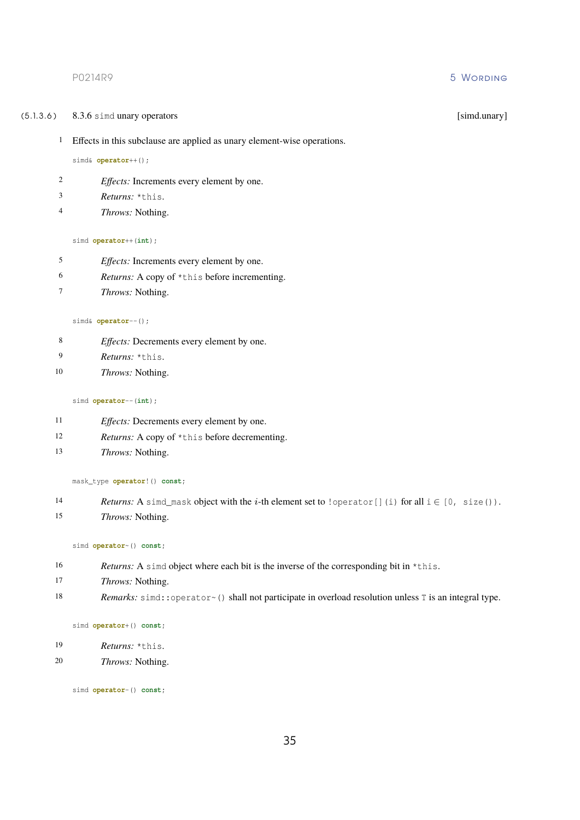# P0214R9 5 Wording to the contract of the contract of the contract of the contract of the contract of the contract of the contract of the contract of the contract of the contract of the contract of the contract of the contr

(5.1.3.6 ) 8.3.6 simd unary operators [simd.unary]

Effects in this subclause are applied as unary element-wise operations.

# simd& **operator**++();

- *Effects:* Increments every element by one.
- *Returns:* \*this.
- *Throws:* Nothing.

# simd **operator**++(**int**);

- *Effects:* Increments every element by one.
- *Returns:* A copy of \*this before incrementing.
- *Throws:* Nothing.

# simd& **operator**--();

- *Effects:* Decrements every element by one.
- *Returns:* \*this.
- *Throws:* Nothing.

# simd **operator**--(**int**);

- *Effects:* Decrements every element by one.
- *Returns:* A copy of \*this before decrementing.
- *Throws:* Nothing.

### mask\_type **operator**!() **const**;

- *Returns:* A simd\_mask object with the *i*-th element set to !operator[](i) for all  $i \in [0, size()$ .
- *Throws:* Nothing.

### simd **operator**~() **const**;

- *Returns:* A simd object where each bit is the inverse of the corresponding bit in \*this.
- *Throws:* Nothing.
- *Remarks:* simd::operator~() shall not participate in overload resolution unless T is an integral type.

### simd **operator**+() **const**;

- *Returns:* \*this.
- *Throws:* Nothing.

simd **operator**-() **const**;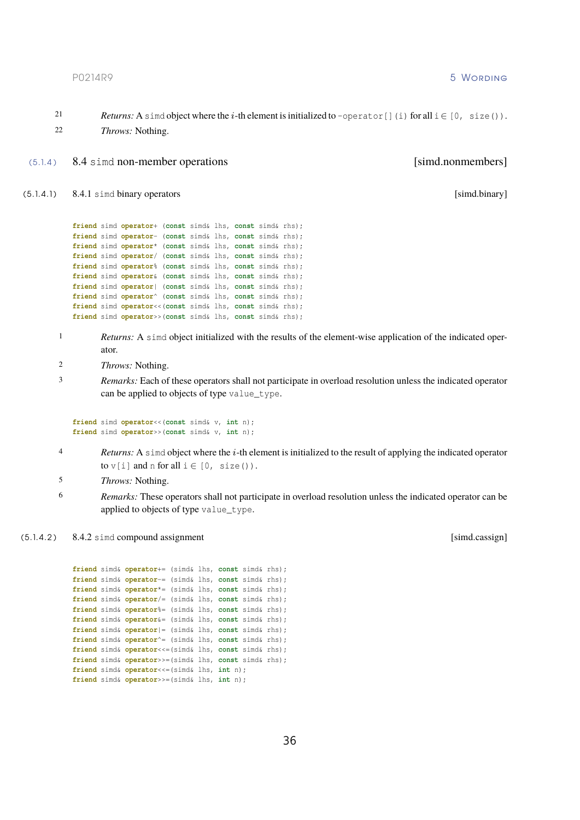21 *Returns:* A simd object where the *i*-th element is initialized to -operator [](i) for all  $i \in [0, size()$ . 22 *Throws:* Nothing.

# (5.1.4 ) 8.4 simd non-member operations [simd.nonmembers]

(5.1.4.1) 8.4.1 simd binary operators [simd.binary] [simd.binary]

```
friend simd operator+ (const simd& lhs, const simd& rhs);
friend simd operator- (const simd& lhs, const simd& rhs);
friend simd operator* (const simd& lhs, const simd& rhs);
friend simd operator/ (const simd& lhs, const simd& rhs);
friend simd operator% (const simd& lhs, const simd& rhs);
friend simd operator& (const simd& lhs, const simd& rhs);
friend simd operator| (const simd& lhs, const simd& rhs);
friend simd operator^ (const simd& lhs, const simd& rhs);
friend simd operator<<(const simd& lhs, const simd& rhs);
friend simd operator>>(const simd& lhs, const simd& rhs);
```
- 1 *Returns:* A simd object initialized with the results of the element-wise application of the indicated operator.
- 2 *Throws:* Nothing.
- 3 *Remarks:* Each of these operators shall not participate in overload resolution unless the indicated operator can be applied to objects of type value\_type.

```
friend simd operator<<(const simd& v, int n);
friend simd operator>>(const simd& v, int n);
```
- *A Returns:* A simd object where the *i*-th element is initialized to the result of applying the indicated operator to  $v[i]$  and n for all  $i \in [0, size()$ .
- 5 *Throws:* Nothing.
- 6 *Remarks:* These operators shall not participate in overload resolution unless the indicated operator can be applied to objects of type value\_type.
- (5.1.4.2 ) 8.4.2 simd compound assignment [simd.cassign]

**friend** simd& **operator**+= (simd& lhs, **const** simd& rhs); **friend** simd& **operator**-= (simd& lhs, **const** simd& rhs); **friend** simd& **operator**\*= (simd& lhs, **const** simd& rhs); **friend** simd& **operator**/= (simd& lhs, **const** simd& rhs); **friend** simd& **operator**%= (simd& lhs, **const** simd& rhs); **friend** simd& **operator**&= (simd& lhs, **const** simd& rhs); **friend** simd& **operator**|= (simd& lhs, **const** simd& rhs); **friend** simd& **operator**^= (simd& lhs, **const** simd& rhs); **friend** simd& **operator**<<=(simd& lhs, **const** simd& rhs); **friend** simd& **operator**>>=(simd& lhs, **const** simd& rhs); **friend** simd& **operator**<<=(simd& lhs, **int** n); **friend** simd& **operator**>>=(simd& lhs, **int** n);

P0214R9 5 Wording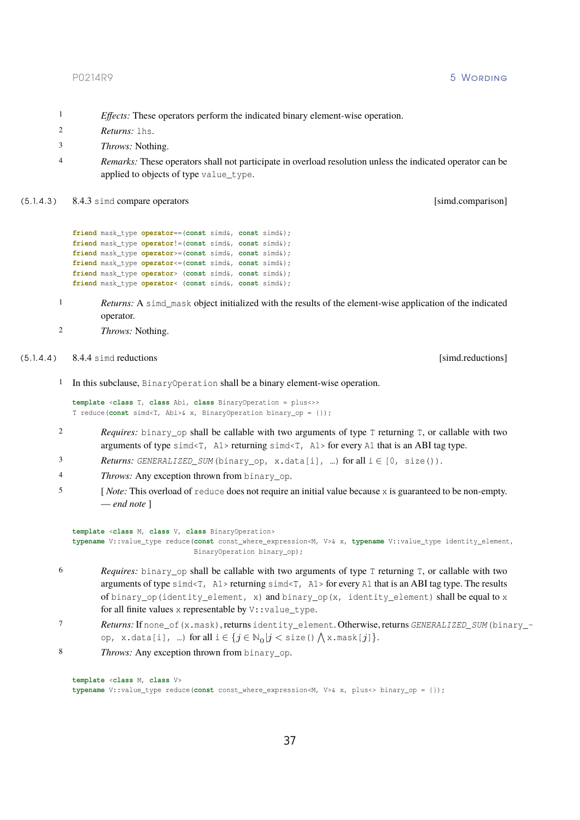- 1 *Effects:* These operators perform the indicated binary element-wise operation.
- 2 *Returns:* lhs.
- 3 *Throws:* Nothing.
- 4 *Remarks:* These operators shall not participate in overload resolution unless the indicated operator can be applied to objects of type value\_type.
- (5.1.4.3 ) 8.4.3 simd compare operators [simd.comparison]

```
friend mask_type operator==(const simd&, const simd&);
friend mask_type operator!=(const simd&, const simd&);
friend mask_type operator>=(const simd&, const simd&);
friend mask_type operator<=(const simd&, const simd&);
friend mask_type operator> (const simd&, const simd&);
friend mask_type operator< (const simd&, const simd&);
```
- 1 *Returns:* A simd mask object initialized with the results of the element-wise application of the indicated operator.
- <span id="page-37-0"></span>2 *Throws:* Nothing.
- (5.1.4.4 ) 8.4.4 simd reductions [simd.reductions]

1 In this subclause, BinaryOperation shall be a binary element-wise operation.

```
template <class T, class Abi, class BinaryOperation = plus<>>
T reduce(const simd<T, Abi>& x, BinaryOperation binary_op = {});
```
- 2 *Requires:* binary\_op shall be callable with two arguments of type T returning T, or callable with two arguments of type  $\sin \left(\frac{1}{2}\right)$ , A1> returning  $\sin \left(\frac{1}{2}\right)$ , A1> for every A1 that is an ABI tag type.
- 3 *Returns:*  $GENERALIZED\_SUM$  (binary\_op, x.data[i], ...) for all  $i \in [0, size()$ .
- 4 *Throws:* Any exception thrown from binary\_op.
- 5 [ *Note:* This overload of reduce does not require an initial value because x is guaranteed to be non-empty. — *end note* ]

```
template <class M, class V, class BinaryOperation>
typename V::value_type reduce(const const_where_expression<M, V>& x, typename V::value_type identity_element,
                              BinaryOperation binary_op);
```
- 6 *Requires:* binary\_op shall be callable with two arguments of type T returning T, or callable with two arguments of type  $\text{simd}$ , A1> returning  $\text{simd}$ , A1> for every A1 that is an ABI tag type. The results of binary\_op(identity\_element, x) and binary\_op(x, identity\_element) shall be equal to x for all finite values x representable by  $V: :value\_type$ .
- 7 *Returns:* If none\_of(x.mask), returns identity\_element. Otherwise, returns *GENERALIZED\_SUM* (binary\_ op, x.data[i], …) for all  $i \in \{j \in \mathbb{N}_0 | j < \text{\rm size}$  ()  $\bigwedge \text{\rm x}$  mask[ $j$ ]  $\}.$
- 8 *Throws:* Any exception thrown from binary\_op.

```
template <class M, class V>
typename V::value_type reduce(const const_where_expression<M, V>& x, plus<> binary_op = {});
```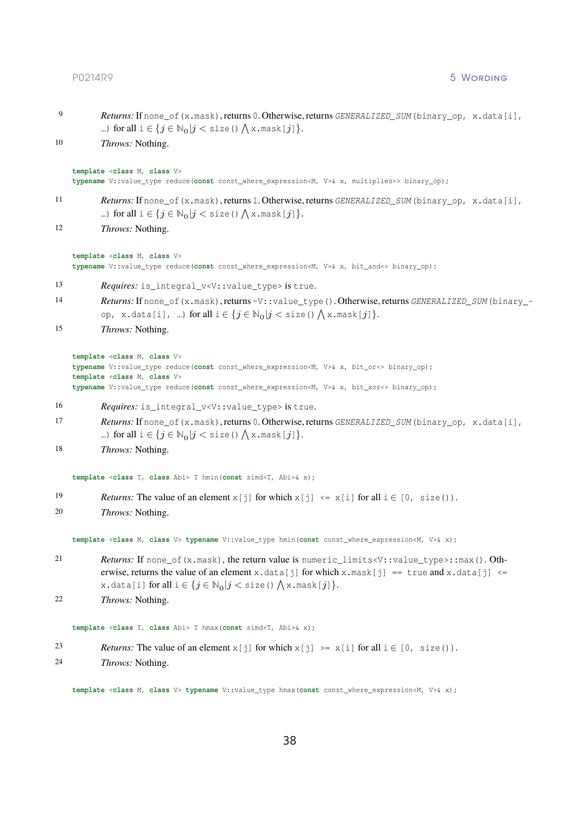# PO214R9 5 WORDING

| 9  | Returns: If none_of (x.mask), returns 0. Otherwise, returns GENERALIZED_SUM (binary_op, x.data[i],<br>) for all $i \in \{j \in \mathbb{N}_0   j <$ size () $\bigwedge x$ mask $[j]$ }.                                                                                                                                                              |
|----|-----------------------------------------------------------------------------------------------------------------------------------------------------------------------------------------------------------------------------------------------------------------------------------------------------------------------------------------------------|
| 10 | Throws: Nothing.                                                                                                                                                                                                                                                                                                                                    |
|    | template <class class="" m,="" v=""><br/>typename V::value_type reduce(const const_where_expression<m, v="">&amp; x, multiplies &lt;&gt; binary_op);</m,></class>                                                                                                                                                                                   |
| 11 | Returns: If none_of (x.mask), returns 1. Otherwise, returns GENERALIZED_SUM (binary_op, x.data[i],<br>) for all $i \in \{j \in \mathbb{N}_0   j <$ size () $\bigwedge x$ mask $[j]$ }.                                                                                                                                                              |
| 12 | Throws: Nothing.                                                                                                                                                                                                                                                                                                                                    |
|    | template <class class="" m,="" v=""><br/>typename V::value_type reduce(const const_where_expression<m, v="">&amp; x, bit_and&lt;&gt; binary_op);</m,></class>                                                                                                                                                                                       |
| 13 | Requires: is_integral_v <v::value_type> is true.</v::value_type>                                                                                                                                                                                                                                                                                    |
| 14 | Returns: If none_of (x.mask), returns ~V:: value_type (). Otherwise, returns GENERALIZED_SUM (binary_-<br>op, x.data[i], ) for all $i \in \{j \in \mathbb{N}_0   j <$ size () $\bigwedge$ x.mask[j] $\}.$                                                                                                                                           |
| 15 | Throws: Nothing.                                                                                                                                                                                                                                                                                                                                    |
|    | template <class class="" m,="" v=""><br/>typename V::value_type reduce(const const_where_expression<m, v="">&amp; x, bit_or&lt;&gt; binary_op);<br/>template <class class="" m,="" v=""><br/>typename V::value_type reduce(const const_where_expression<m, v="">&amp; x, bit_xor&lt;&gt; binary_op);</m,></class></m,></class>                      |
| 16 | Requires: is_integral_v <v:: value_type=""> is true.</v::>                                                                                                                                                                                                                                                                                          |
| 17 | Returns: If none_of (x.mask), returns 0. Otherwise, returns GENERALIZED_SUM (binary_op, x.data[i],<br>) for all $i \in \{j \in \mathbb{N}_0   j <$ size () $\bigwedge x$ mask $[j]$ }.                                                                                                                                                              |
| 18 | Throws: Nothing.                                                                                                                                                                                                                                                                                                                                    |
|    | template <class abi="" class="" t,=""> T hmin(const simd<t, abi="">&amp; x);</t,></class>                                                                                                                                                                                                                                                           |
| 19 | <i>Returns:</i> The value of an element $x[j]$ for which $x[j] \leq x[i]$ for all $i \in [0, \text{ size}()$ .                                                                                                                                                                                                                                      |
| 20 | Throws: Nothing.                                                                                                                                                                                                                                                                                                                                    |
|    | template <class class="" m,="" v=""> typename V:: value_type hmin(const const_where_expression<m, v="">&amp; x);</m,></class>                                                                                                                                                                                                                       |
| 21 | Returns: If none_of(x.mask), the return value is numeric_limits <v::value_type>::max(). Oth-<br/>erwise, returns the value of an element x.data[j] for which x.mask[j] == true and x.data[j] &lt;=<br/>x.data[i] for all <math>i \in \{j \in \mathbb{N}_0   j &lt;</math> size () <math>\bigwedge</math> x.mask[j] <math>\}.</math></v::value_type> |
| 22 | Throws: Nothing.                                                                                                                                                                                                                                                                                                                                    |
|    | template <class abi="" class="" t,=""> T hmax (const simd<t, abi="">&amp; x);</t,></class>                                                                                                                                                                                                                                                          |
| 23 | <i>Returns:</i> The value of an element $x[j]$ for which $x[j] \geq x[i]$ for all $i \in [0, \text{ size}()$ .                                                                                                                                                                                                                                      |
| 24 | Throws: Nothing.                                                                                                                                                                                                                                                                                                                                    |
|    |                                                                                                                                                                                                                                                                                                                                                     |

**template** <**class** M, **class** V> **typename** V::value\_type hmax(**const** const\_where\_expression<M, V>& x);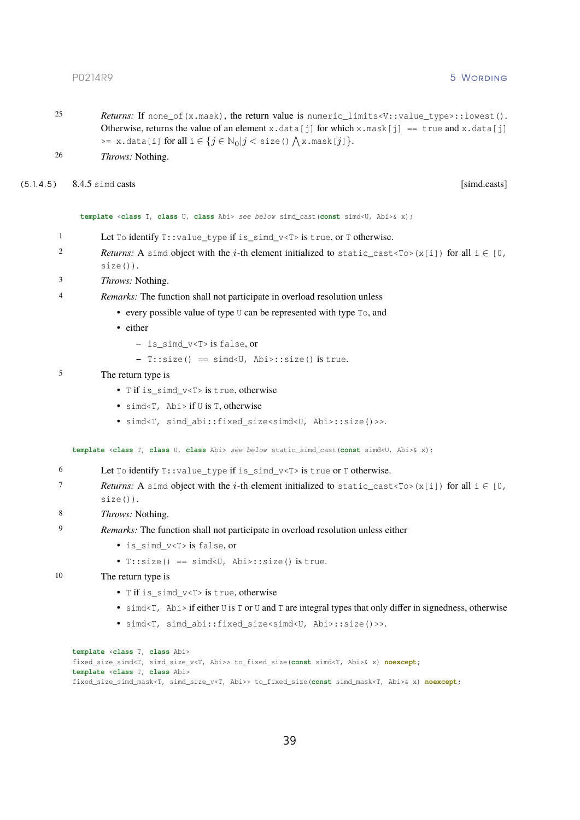- 25 *Returns:* If none\_of(x.mask), the return value is numeric\_limits<V::value\_type>::lowest(). Otherwise, returns the value of an element x.data[j] for which x.mask[j] == true and x.data[j]  $\Rightarrow$  x.data[i] for all  $i \in \{j \in \mathbb{N}_0 | j < \text{size(}) \bigwedge \text{x}$ .mask[ $j$ ]  $\}.$
- <span id="page-39-0"></span>26 *Throws:* Nothing.

### (5.1.4.5 ) 8.4.5 simd casts [simd.casts]

**template** <**class** T, **class** U, **class** Abi> *see below* simd\_cast(**const** simd<U, Abi>& x);

- 1 Let To identify T::value\_type if is\_simd\_v<T> is true, or T otherwise.
- 2 *Returns:* A simd object with the *i*-th element initialized to static\_cast<To>(x[i]) for all  $i \in [0, 1]$ size()).
- 3 *Throws:* Nothing.

# 4 *Remarks:* The function shall not participate in overload resolution unless

- every possible value of type U can be represented with type To, and
- either
	- **–** is\_simd\_v<T> is false, or
	- **–** T::size() == simd<U, Abi>::size() is true.

# 5 The return type is

- T if is simd v<T> is true, otherwise
- simd<T, Abi> if U is T, otherwise
- simd<T, simd\_abi::fixed\_size<simd<U, Abi>::size()>>.

**template** <**class** T, **class** U, **class** Abi> *see below* static\_simd\_cast(**const** simd<U, Abi>& x);

```
6 Let To identify T::value_type if is_simd_v<T> is true or T otherwise.
```
- *7 Returns:* A simd object with the i-th element initialized to static cast<To>(x[i]) for all  $i \in [0,$ size()).
- 8 *Throws:* Nothing.
- 9 *Remarks:* The function shall not participate in overload resolution unless either
	- is simd v<T> is false, or
		- T::size() == simd<U, Abi>::size() is true.

# 10 The return type is

- T if is simd v<T> is true, otherwise
- simd<T,  $Abi > i$  f either U is T or U and T are integral types that only differ in signedness, otherwise
- simd<T, simd abi::fixed size<simd<U, Abi>::size()>>.

```
template <class T, class Abi>
fixed_size_simd<T, simd_size_v<T, Abi>> to_fixed_size(const simd<T, Abi>& x) noexcept;
template <class T, class Abi>
fixed_size_simd_mask<T, simd_size_v<T, Abi>> to_fixed_size(const simd_mask<T, Abi>& x) noexcept;
```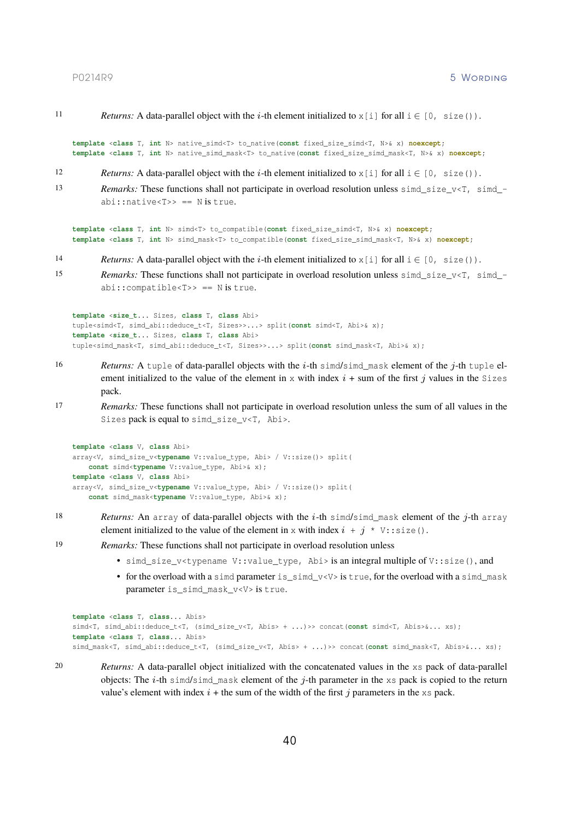11 *Returns:* A data-parallel object with the *i*-th element initialized to  $x[i]$  for all  $i \in [0, size()$ .

**template** <**class** T, **int** N> native\_simd<T> to\_native(**const** fixed\_size\_simd<T, N>& x) **noexcept**; **template** <**class** T, **int** N> native\_simd\_mask<T> to\_native(**const** fixed\_size\_simd\_mask<T, N>& x) **noexcept**;

- 12 *Returns:* A data-parallel object with the *i*-th element initialized to  $x[i]$  for all  $i \in [0, \text{ size}())$ .
- 13 *Remarks:* These functions shall not participate in overload resolution unless simd size v<T, simd  $abi::native  $T>> == N$  is true.$

**template** <**class** T, **int** N> simd<T> to\_compatible(**const** fixed\_size\_simd<T, N>& x) **noexcept**; **template** <**class** T, **int** N> simd\_mask<T> to\_compatible(**const** fixed\_size\_simd\_mask<T, N>& x) **noexcept**;

- 14 *Returns:* A data-parallel object with the *i*-th element initialized to  $x[i]$  for all  $i \in [0, \text{ size}())$ .
- 15 *Remarks:* These functions shall not participate in overload resolution unless sime\_size\_v<T, sime\_abi::compatible<T>> == N is true.

```
template <size_t... Sizes, class T, class Abi>
tuple<simd<T, simd_abi::deduce_t<T, Sizes>>...> split(const simd<T, Abi>& x);
template <size_t... Sizes, class T, class Abi>
tuple<simd_mask<T, simd_abi::deduce_t<T, Sizes>>...> split(const simd_mask<T, Abi>& x);
```
- 16 *Returns:* A tuple of data-parallel objects with the *i*-th simd/simd\_mask element of the *j*-th tuple element initialized to the value of the element in x with index  $i + \text{sum of the first } j$  values in the Sizes pack.
- 17 *Remarks:* These functions shall not participate in overload resolution unless the sum of all values in the Sizes pack is equal to simd\_size\_v<T, Abi>.

```
template <class V, class Abi>
array<V, simd size v<typename V::value type, Abi> / V::size()> split(
    const simd<typename V::value_type, Abi>& x);
template <class V, class Abi>
array<V, simd_size_v<typename V::value_type, Abi> / V::size()> split(
    const simd_mask<typename V::value_type, Abi>& x);
```
- 18 *Returns:* An array of data-parallel objects with the  $i$ -th simd/simd\_mask element of the  $j$ -th array element initialized to the value of the element in x with index  $i + j * v$ : size().
- 19 *Remarks:* These functions shall not participate in overload resolution unless
	- simd size v<typename V::value type, Abi> is an integral multiple of V::size(), and
	- for the overload with a simd parameter is  $sim$  v<V $>$  is true, for the overload with a simd mask parameter is\_simd\_mask\_v<V> is true.

```
template <class T, class... Abis>
simd<T, simd_abi::deduce_t<T, (simd_size_v<T, Abis> + ...)>> concat(const simd<T, Abis>&... xs);
template <class T, class... Abis>
simd_mask<T, simd_abi::deduce_t<T, (simd_size_v<T, Abis> + ...)>> concat(const simd_mask<T, Abis>&... xs);
```
20 *Returns:* A data-parallel object initialized with the concatenated values in the xs pack of data-parallel objects: The i-th simd/simd\_mask element of the j-th parameter in the xs pack is copied to the return value's element with index  $i +$  the sum of the width of the first j parameters in the xs pack.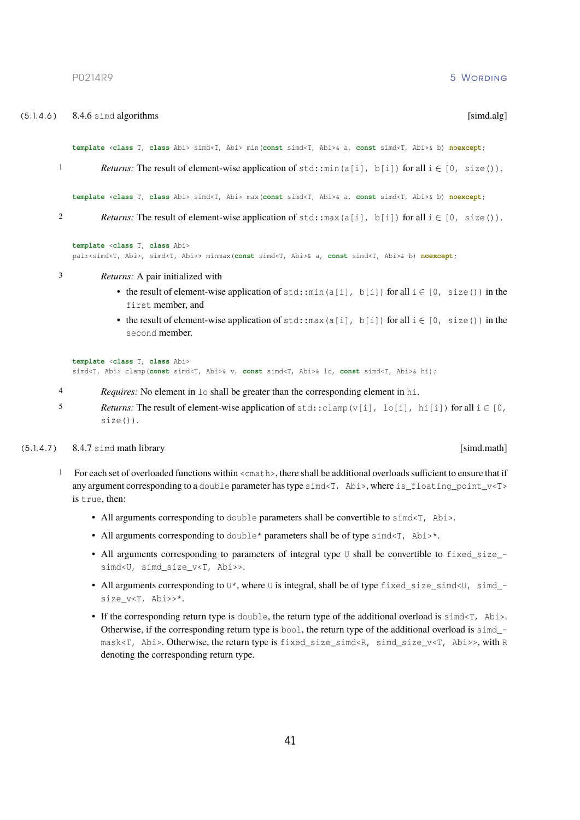(5.1.4.6) 8.4.6 simd algorithms [simd.alg]

41

<span id="page-41-1"></span>P0214R9 5 Wording

*Returns:* The result of element-wise application of std::min(a[i], b[i]) for all  $i \in [0, size()$ .

**template** <**class** T, **class** Abi> simd<T, Abi> min(**const** simd<T, Abi>& a, **const** simd<T, Abi>& b) **noexcept**;

**template** <**class** T, **class** Abi> simd<T, Abi> max(**const** simd<T, Abi>& a, **const** simd<T, Abi>& b) **noexcept**;

2 *Returns:* The result of element-wise application of  $\text{std: } \text{max}(a[i], b[i])$  for all  $i \in [0, \text{ size}())$ .

**template** <**class** T, **class** Abi> pair<simd<T, Abi>, simd<T, Abi>> minmax(**const** simd<T, Abi>& a, **const** simd<T, Abi>& b) **noexcept**;

- 3 *Returns:* A pair initialized with
	- the result of element-wise application of  $\text{std}$ :  $\min(a[i], b[i])$  for all  $i \in [0, \text{ size}())$  in the first member, and
	- the result of element-wise application of  $std: max(a[i], b[i])$  for all  $i \in [0, size() )$  in the second member.

```
template <class T, class Abi>
simd<T, Abi> clamp(const simd<T, Abi>& v, const simd<T, Abi>& lo, const simd<T, Abi>& hi);
```
- 4 *Requires:* No element in lo shall be greater than the corresponding element in hi.
- 5 *Returns:* The result of element-wise application of  $std::clamp(v[i], lo[i], hi[i])$  for all  $i \in [0,$ size()).

# $(5.1.4.7)$  8.4.7 simd math library [simd.math]

- <span id="page-41-0"></span>1 For each set of overloaded functions within <cmath>, there shall be additional overloads sufficient to ensure that if any argument corresponding to a double parameter has type  $sim < T$ , Abi>, where is floating point  $v < T$ > is true, then:
	- All arguments corresponding to double parameters shall be convertible to simd<T, Abi>.
	- All arguments corresponding to double  $*$  parameters shall be of type simd $\leq$  7, Abi $\geq$ .
	- All arguments corresponding to parameters of integral type  $\mathbb U$  shall be convertible to fixed size  $-\mathbb I$ simd<U, simd\_size\_v<T, Abi>>.
	- All arguments corresponding to  $U^*$ , where U is integral, shall be of type  $fixed\_size\_simd < U$ , simd\_size v<T, Abi>>\*.
	- If the corresponding return type is double, the return type of the additional overload is  $simd<sub>T</sub>$ , Abi>. Otherwise, if the corresponding return type is  $b \circ \circ 1$ , the return type of the additional overload is simd  $$ mask<T, Abi>. Otherwise, the return type is fixed\_size\_simd<R, simd\_size\_v<T, Abi>>, with R denoting the corresponding return type.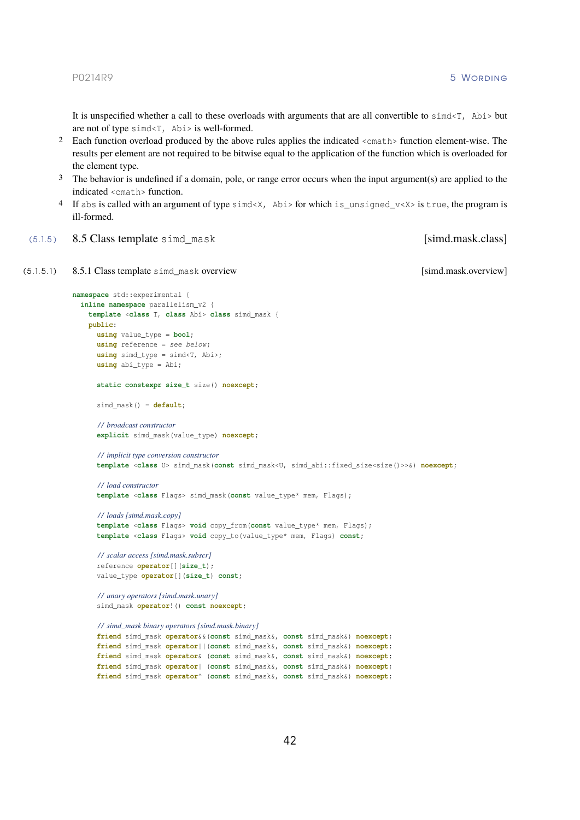It is unspecified whether a call to these overloads with arguments that are all convertible to  $\sin \alpha < \tau$ , Abi  $>$  but are not of type simd<T, Abi> is well-formed.

- 2 Each function overload produced by the above rules applies the indicated <cmath> function element-wise. The results per element are not required to be bitwise equal to the application of the function which is overloaded for the element type.
- 3 The behavior is undefined if a domain, pole, or range error occurs when the input argument(s) are applied to the indicated <cmath> function.
- <span id="page-42-0"></span>4 If abs is called with an argument of type simd<X, Abi> for which is\_unsigned\_v<X> is true, the program is ill-formed.
- (5.1.5) 8.5 Class template simd\_mask [simd.mask.class]

```
(5.1.5.1 ) 8.5.1 Class template simd_mask overview [simd.mask.overview]
```

```
namespace std::experimental {
 inline namespace parallelism_v2 {
   template <class T, class Abi> class simd_mask {
    public:
      using value_type = bool;
      using reference = see below ;
      using simd_type = simd<T, Abi>;
      using abi_type = Abi;
      static constexpr size_t size() noexcept;
      simd mask() = default;
      / / broadcast constructor
      explicit simd_mask(value_type) noexcept;
      / / implicit type conversion constructor
      template <class U> simd_mask(const simd_mask<U, simd_abi::fixed_size<size()>>&) noexcept;
      / / load constructor
      template <class Flags> simd_mask(const value_type* mem, Flags);
      / / loads [simd.mask.copy]
      template <class Flags> void copy_from(const value_type* mem, Flags);
      template <class Flags> void copy_to(value_type* mem, Flags) const;
      / / scalar access [simd.mask.subscr]
      reference operator[](size_t);
      value_type operator[](size_t) const;
      / / unary operators [simd.mask.unary]
      simd_mask operator!() const noexcept;
      / / simd_mask binary operators [simd.mask.binary]
      friend simd_mask operator&&(const simd_mask&, const simd_mask&) noexcept;
      friend simd_mask operator||(const simd_mask&, const simd_mask&) noexcept;
      friend simd_mask operator& (const simd_mask&, const simd_mask&) noexcept;
      friend simd_mask operator| (const simd_mask&, const simd_mask&) noexcept;
      friend simd_mask operator^ (const simd_mask&, const simd_mask&) noexcept;
```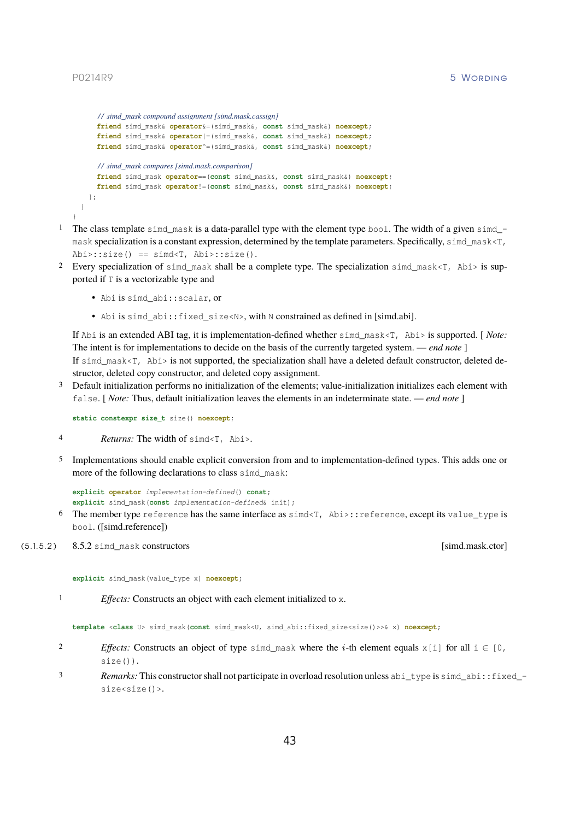<span id="page-43-0"></span>}

```
/ / simd_mask compound assignment [simd.mask.cassign]
    friend simd_mask& operator&=(simd_mask&, const simd_mask&) noexcept;
    friend simd_mask& operator|=(simd_mask&, const simd_mask&) noexcept;
    friend simd_mask& operator^=(simd_mask&, const simd_mask&) noexcept;
    / / simd_mask compares [simd.mask.comparison]
   friend simd_mask operator==(const simd_mask&, const simd_mask&) noexcept;
   friend simd_mask operator!=(const simd_mask&, const simd_mask&) noexcept;
 };
}
```
- 1 The class template simd\_mask is a data-parallel type with the element type bool. The width of a given simd\_ mask specialization is a constant expression, determined by the template parameters. Specifically, simd\_mask<T,  $Abi$ >::size() == simd[T, Abi>::size().
- 2 Every specialization of simd\_mask shall be a complete type. The specialization simd\_mask<T, Abi> is supported if T is a vectorizable type and
	- Abi is simd\_abi::scalar, or
	- •Abi is simd abi::fixed size<N>, with N constrained as defined in [\[simd.abi\].](#page-23-0)

If Abi is an extended ABI tag, it is implementation-defined whether simd\_mask<T, Abi> is supported. [ *Note:* The intent is for implementations to decide on the basis of the currently targeted system. — *end note* ] If simd mask $\leq$ , Abi> is not supported, the specialization shall have a deleted default constructor, deleted destructor, deleted copy constructor, and deleted copy assignment.

3 Default initialization performs no initialization of the elements; value-initialization initializes each element with false. [ *Note:* Thus, default initialization leaves the elements in an indeterminate state. — *end note* ]

**static constexpr size\_t** size() **noexcept**;

- 4 *Returns:* The width of simd<T, Abi>.
- 5 Implementations should enable explicit conversion from and to implementation-defined types. This adds one or more of the following declarations to class simd\_mask:

```
explicit operator implementation-defined() const;
explicit simd_mask(const implementation-defined& init);
```
<span id="page-43-1"></span>6 The member type reference has the same interface as simd<T, Abi>::reference, except its value\_type is bool. [\(\[simd.reference\]\)](#page-31-1)

### (5.1.5.2 ) 8.5.2 simd\_mask constructors [simd.mask.ctor]

**explicit** simd\_mask(value\_type x) **noexcept**;

1 *Effects:* Constructs an object with each element initialized to x.

**template** <**class** U> simd\_mask(**const** simd\_mask<U, simd\_abi::fixed\_size<size()>>& x) **noexcept**;

- 2 *Effects:* Constructs an object of type simd\_mask where the *i*-th element equals  $x[i]$  for all  $i \in [0, 1]$ size()).
- 3 *Remarks:* This constructor shall not participate in overload resolution unless abi\_type is simd\_abi::fixed\_ size<size()>.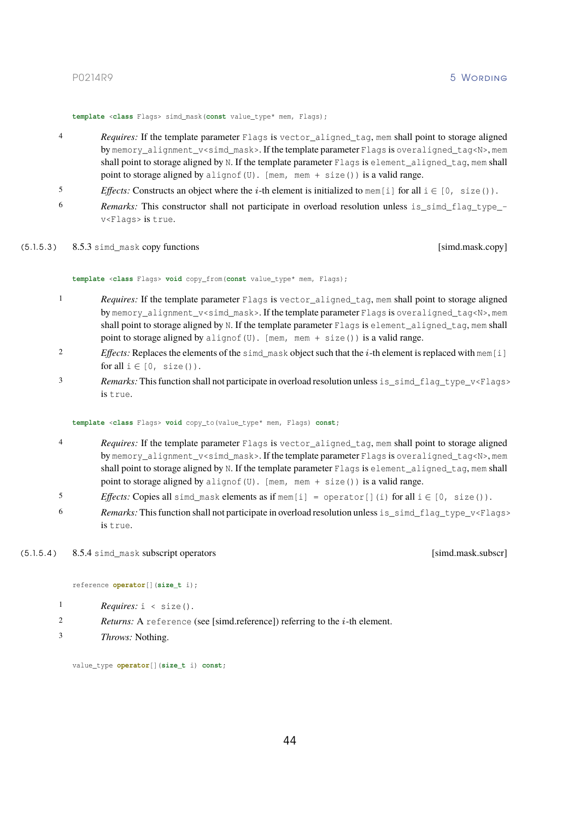**template** <**class** Flags> simd\_mask(**const** value\_type\* mem, Flags);

- 4 *Requires:* If the template parameter Flags is vector\_aligned\_tag, mem shall point to storage aligned by memory\_alignment\_v<simd\_mask>. If the template parameter Flags is overaligned\_tag<N>, mem shall point to storage aligned by N. If the template parameter Flags is element\_aligned\_tag, mem shall point to storage aligned by alignof(U). [mem, mem + size()) is a valid range.
- 5 *Effects:* Constructs an object where the *i*-th element is initialized to mem[i] for all  $i \in [0, \text{ size}()$ .
- 6 *Remarks:* This constructor shall not participate in overload resolution unless is\_simd\_flag\_type\_ v<Flags> is true.
- (5.1.5.3) 8.5.3 simd\_mask copy functions [simd.mask.copy]

<span id="page-44-0"></span>**template** <**class** Flags> **void** copy\_from(**const** value\_type\* mem, Flags);

- 1 *Requires:* If the template parameter Flags is vector\_aligned\_tag, mem shall point to storage aligned by memory\_alignment\_v<simd\_mask>. If the template parameter Flags is overaligned\_tag<N>, mem shall point to storage aligned by N. If the template parameter Flags is element aligned tag, mem shall point to storage aligned by alignof(U). [mem, mem + size()) is a valid range.
- 2 *Effects:* Replaces the elements of the simd\_mask object such that the  $i$ -th element is replaced with mem[i] for all  $i \in [0, size()$ .
- 3 *Remarks:* This function shall not participate in overload resolution unless is\_simd\_flag\_type\_v<Flags> is true.

**template** <**class** Flags> **void** copy\_to(value\_type\* mem, Flags) **const**;

- *A Requires:* If the template parameter Flags is vector aligned tag, mem shall point to storage aligned by memory alignment v<simd mask>. If the template parameter Flags is overaligned tag<N>, mem shall point to storage aligned by N. If the template parameter Flags is element\_aligned\_tag, mem shall point to storage aligned by alignof(U). [mem, mem + size()) is a valid range.
- 5 *Effects:* Copies all simd mask elements as if mem $[i]$  = operator $[i]$  (i) for all  $i \in [0, \text{ size}())$ .
- 6 *Remarks:* This function shall not participate in overload resolution unless is\_simd\_flag\_type\_v<Flags> is true.

# (5.1.5.4 ) 8.5.4 simd\_mask subscript operators [simd.mask.subscr]

<span id="page-44-1"></span>reference **operator**[](**size\_t** i);

- 1 *Requires:* i < size().
- 2 *Returns:* A reference (see [\[simd.reference\]\)](#page-31-1) referring to the  $i$ -th element.
- 3 *Throws:* Nothing.

value\_type **operator**[](**size\_t** i) **const**;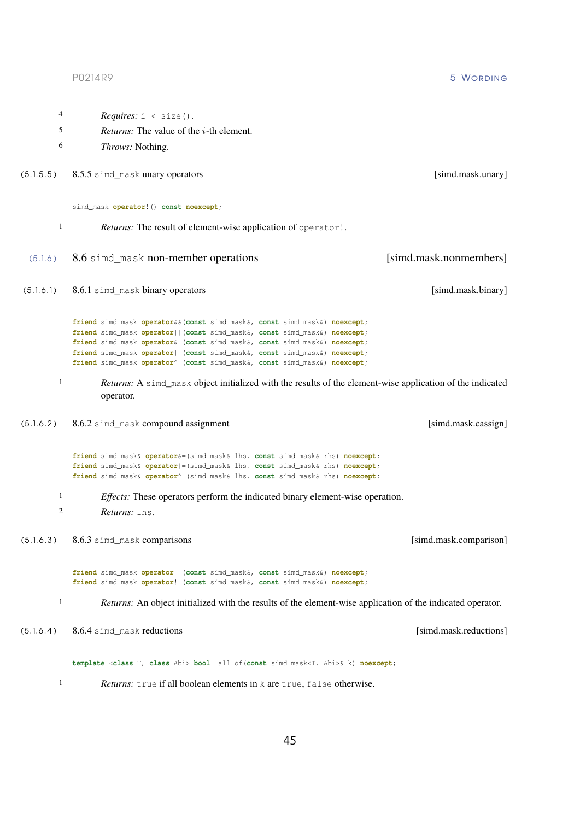| simd_mask operator! () const noexcept; |  |
|----------------------------------------|--|
|                                        |  |

5 *Returns:* The value of the *i*-th element.

4 *Requires:* i < size().

<span id="page-45-3"></span>6 *Throws:* Nothing.

- 1 *Returns:* The result of element-wise application of operator!.
- (5.1.6 ) 8.6 simd\_mask non-member operations [simd.mask.nonmembers]
- (5.1.6.1 ) 8.6.1 simd\_mask binary operators [simd.mask.binary]

<span id="page-45-1"></span>**friend** simd\_mask **operator**&&(**const** simd\_mask&, **const** simd\_mask&) **noexcept**; **friend** simd\_mask **operator**||(**const** simd\_mask&, **const** simd\_mask&) **noexcept**; **friend** simd\_mask **operator**& (**const** simd\_mask&, **const** simd\_mask&) **noexcept**; **friend** simd\_mask **operator**| (**const** simd\_mask&, **const** simd\_mask&) **noexcept**; **friend** simd\_mask **operator**^ (**const** simd\_mask&, **const** simd\_mask&) **noexcept**;

1 *Returns:* A simd\_mask object initialized with the results of the element-wise application of the indicated operator.

(5.1.5.5 ) 8.5.5 simd\_mask unary operators [simd.mask.unary]

 $(5.1.6.2)$  8.6.2 simd mask compound assignment [simd.mask.cassign]

<span id="page-45-4"></span>**friend** simd\_mask& **operator**&=(simd\_mask& lhs, **const** simd\_mask& rhs) **noexcept**; **friend** simd\_mask& **operator**|=(simd\_mask& lhs, **const** simd\_mask& rhs) **noexcept**; **friend** simd\_mask& **operator**^=(simd\_mask& lhs, **const** simd\_mask& rhs) **noexcept**;

- 1 *Effects:* These operators perform the indicated binary element-wise operation.
- <span id="page-45-0"></span>2 *Returns:* lhs.

(5.1.6.3 ) 8.6.3 simd\_mask comparisons [simd.mask.comparison]

**friend** simd\_mask **operator**==(**const** simd\_mask&, **const** simd\_mask&) **noexcept**; **friend** simd\_mask **operator**!=(**const** simd\_mask&, **const** simd\_mask&) **noexcept**;

<span id="page-45-2"></span>1 *Returns:* An object initialized with the results of the element-wise application of the indicated operator.

(5.1.6.4 ) 8.6.4 simd\_mask reductions [simd.mask.reductions]

**template** <**class** T, **class** Abi> **bool** all\_of(**const** simd\_mask<T, Abi>& k) **noexcept**;

1 *Returns:* true if all boolean elements in k are true, false otherwise.

P0214R9 5 Wording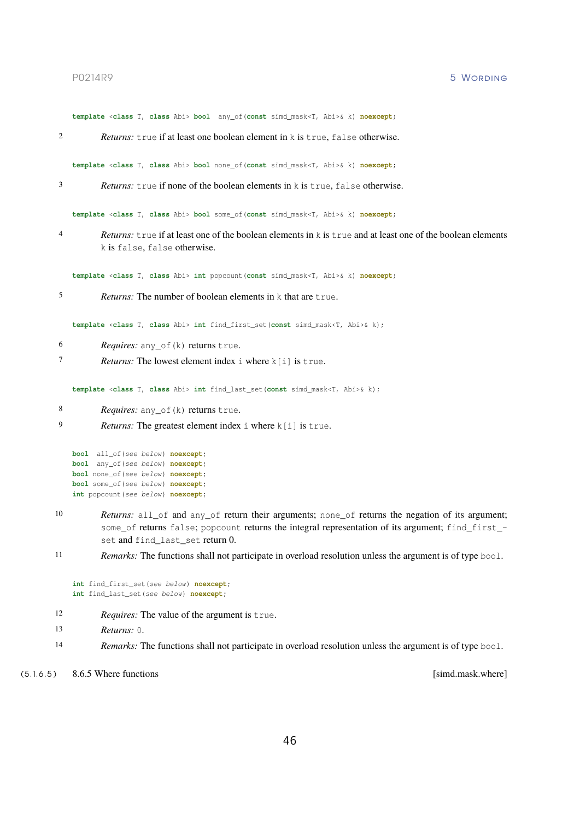**template** <**class** T, **class** Abi> **bool** any\_of(**const** simd\_mask<T, Abi>& k) **noexcept**;

2 *Returns:* true if at least one boolean element in k is true, false otherwise.

**template** <**class** T, **class** Abi> **bool** none\_of(**const** simd\_mask<T, Abi>& k) **noexcept**;

3 *Returns:* true if none of the boolean elements in k is true, false otherwise.

**template** <**class** T, **class** Abi> **bool** some\_of(**const** simd\_mask<T, Abi>& k) **noexcept**;

4 *Returns:* true if at least one of the boolean elements in k is true and at least one of the boolean elements k is false, false otherwise.

**template** <**class** T, **class** Abi> **int** popcount(**const** simd\_mask<T, Abi>& k) **noexcept**;

5 *Returns:* The number of boolean elements in k that are true.

**template** <**class** T, **class** Abi> **int** find\_first\_set(**const** simd\_mask<T, Abi>& k);

- 6 *Requires:* any\_of(k) returns true.
- 7 *Returns:* The lowest element index i where k[i] is true.

**template** <**class** T, **class** Abi> **int** find\_last\_set(**const** simd\_mask<T, Abi>& k);

- 8 **Requires:** any of (k) returns true.
- 9 *Returns:* The greatest element index i where k[i] is true.

```
bool all_of(see below ) noexcept;
bool any_of(see below ) noexcept;
bool none_of(see below ) noexcept;
bool some_of(see below ) noexcept;
int popcount (see below) noexcept;
```
10 *Returns:* all\_of and any\_of return their arguments; none\_of returns the negation of its argument; some\_of returns false; popcount returns the integral representation of its argument; find\_first\_set and find\_last\_set return 0.

11 *Remarks:* The functions shall not participate in overload resolution unless the argument is of type bool.

```
int find_first_set(see below ) noexcept;
int find_last_set(see below ) noexcept;
```
- 12 *Requires:* The value of the argument is true.
- 13 *Returns:* 0.
- <span id="page-46-0"></span>14 *Remarks:* The functions shall not participate in overload resolution unless the argument is of type bool.
- (5.1.6.5) 8.6.5 Where functions [simd.mask.where]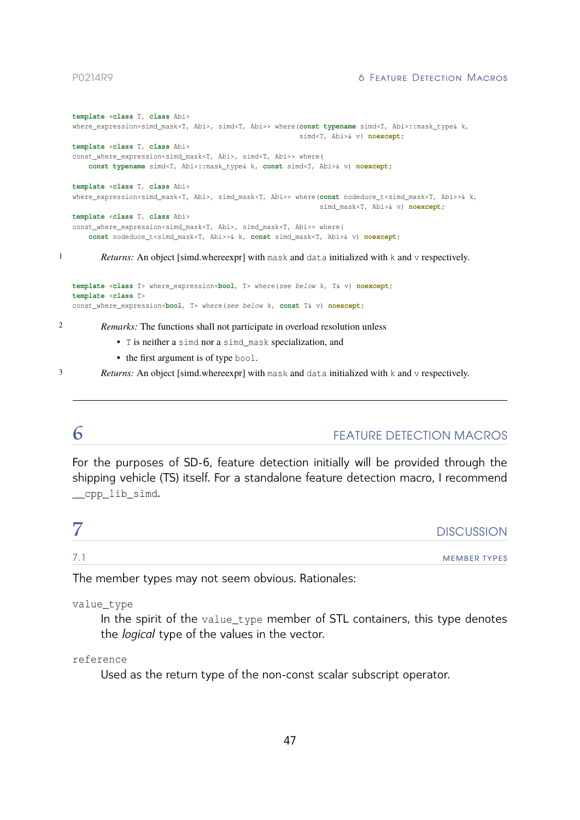# P0214R9 **6 Feature Detection Macros**

```
template <class T, class Abi>
   where expression<simd_mask<T, Abi>, simd<T, Abi>> where(const typename simd<T, Abi>::mask_type& k,
                                                           simd<T, Abi>& v) noexcept;
   template <class T, class Abi>
   const_where_expression<simd_mask<T, Abi>, simd<T, Abi>> where(
       const typename simd<T, Abi>::mask_type& k, const simd<T, Abi>& v) noexcept;
   template <class T, class Abi>
   where_expression<simd_mask<T, Abi>, simd_mask<T, Abi>> where(const nodeduce_t<simd_mask<T, Abi>>& k,
                                                                simd mask<T, Abi>& v) noexcept;
   template <class T, class Abi>
   const_where_expression<simd_mask<T, Abi>, simd_mask<T, Abi>> where(
       const nodeduce_t<simd_mask<T, Abi>>& k, const simd_mask<T, Abi>& v) noexcept;
1 Returns: An object [simd.whereexpr] with mask and data initialized with k and v respectively.
```
**template** <**class** T> where\_expression<**bool**, T> where(*see below* k, T& v) **noexcept**; **template** <**class** T> const\_where\_expression<**bool**, T> where(*see below* k, **const** T& v) **noexcept**;

2 *Remarks:* The functions shall not participate in overload resolution unless

- T is neither a simd nor a simd\_mask specialization, and
- the first argument is of type bool.

3 *Returns:* An object [\[simd.whereexpr\]](#page-26-0) with mask and data initialized with k and v respectively.

# <span id="page-47-0"></span>**6** FEATURE DETECTION MACROS

For the purposes of SD-6, feature detection initially will be provided through the shipping vehicle (TS) itself. For a standalone feature detection macro, I recommend \_\_cpp\_lib\_simd.

<span id="page-47-1"></span>

|     | <b>DISCUSSION</b>   |
|-----|---------------------|
| 7.7 | <b>MEMBER TYPES</b> |

The member types may not seem obvious. Rationales:

value\_type

In the spirit of the value\_type member of STL containers, this type denotes the *logical* type of the values in the vector.

reference

Used as the return type of the non-const scalar subscript operator.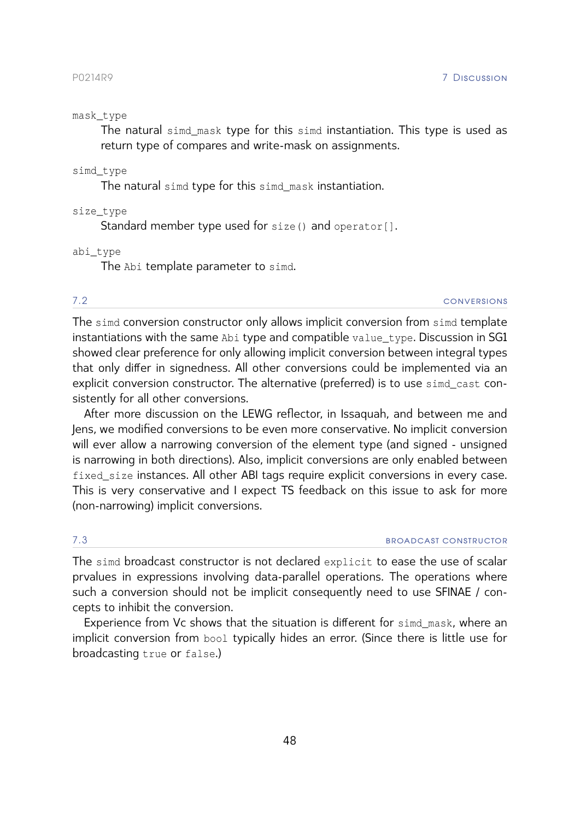# mask\_type

The natural simd\_mask type for this simd instantiation. This type is used as return type of compares and write-mask on assignments.

# simd\_type

The natural simd type for this simd\_mask instantiation.

size\_type

Standard member type used for size() and operator[].

abi\_type

The Abi template parameter to simd.

7.2 conversions

The simd conversion constructor only allows implicit conversion from simd template instantiations with the same Abi type and compatible value\_type. Discussion in SG1 showed clear preference for only allowing implicit conversion between integral types that only differ in signedness. All other conversions could be implemented via an explicit conversion constructor. The alternative (preferred) is to use simd\_cast consistently for all other conversions.

After more discussion on the LEWG reflector, in Issaquah, and between me and Jens, we modified conversions to be even more conservative. No implicit conversion will ever allow a narrowing conversion of the element type (and signed - unsigned is narrowing in both directions). Also, implicit conversions are only enabled between fixed\_size instances. All other ABI tags require explicit conversions in every case. This is very conservative and I expect TS feedback on this issue to ask for more (non-narrowing) implicit conversions.

# 7.3 broadcast constructor

The simd broadcast constructor is not declared explicit to ease the use of scalar prvalues in expressions involving data-parallel operations. The operations where such a conversion should not be implicit consequently need to use SFINAE / concepts to inhibit the conversion.

Experience from Vc shows that the situation is different for simd mask, where an implicit conversion from bool typically hides an error. (Since there is little use for broadcasting true or false.)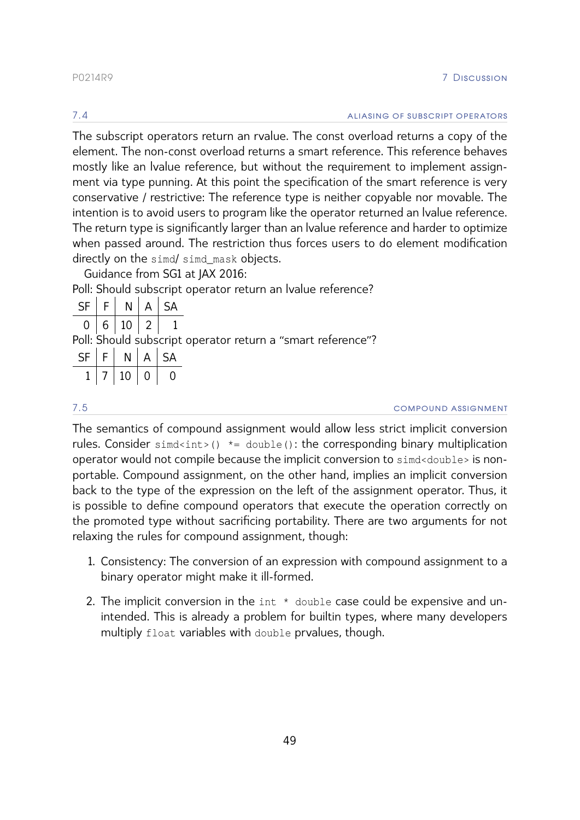The subscript operators return an rvalue. The const overload returns a copy of the element. The non-const overload returns a smart reference. This reference behaves mostly like an lvalue reference, but without the requirement to implement assignment via type punning. At this point the specification of the smart reference is very conservative / restrictive: The reference type is neither copyable nor movable. The intention is to avoid users to program like the operator returned an lvalue reference. The return type is significantly larger than an lvalue reference and harder to optimize when passed around. The restriction thus forces users to do element modification directly on the simd/ simd mask objects.

Guidance from SG1 at JAX 2016:

Poll: Should subscript operator return an lvalue reference?

|  | $SF \mid F \mid N \mid A \mid SA$ |  |                                                             |
|--|-----------------------------------|--|-------------------------------------------------------------|
|  | 0   6   10   2   1                |  |                                                             |
|  |                                   |  | Poll: Should subscript operator return a "smart reference"? |
|  | $SF$ $F$ $N$ $A$ $SA$             |  |                                                             |
|  | 10 0 0                            |  |                                                             |

7.5 compound assignment

The semantics of compound assignment would allow less strict implicit conversion rules. Consider  $sim\left($ )  $*$ = double(): the corresponding binary multiplication operator would not compile because the implicit conversion to simd<double> is nonportable. Compound assignment, on the other hand, implies an implicit conversion back to the type of the expression on the left of the assignment operator. Thus, it is possible to define compound operators that execute the operation correctly on the promoted type without sacrificing portability. There are two arguments for not relaxing the rules for compound assignment, though:

- 1. Consistency: The conversion of an expression with compound assignment to a binary operator might make it ill-formed.
- 2. The implicit conversion in the int \* double case could be expensive and unintended. This is already a problem for builtin types, where many developers multiply float variables with double prvalues, though.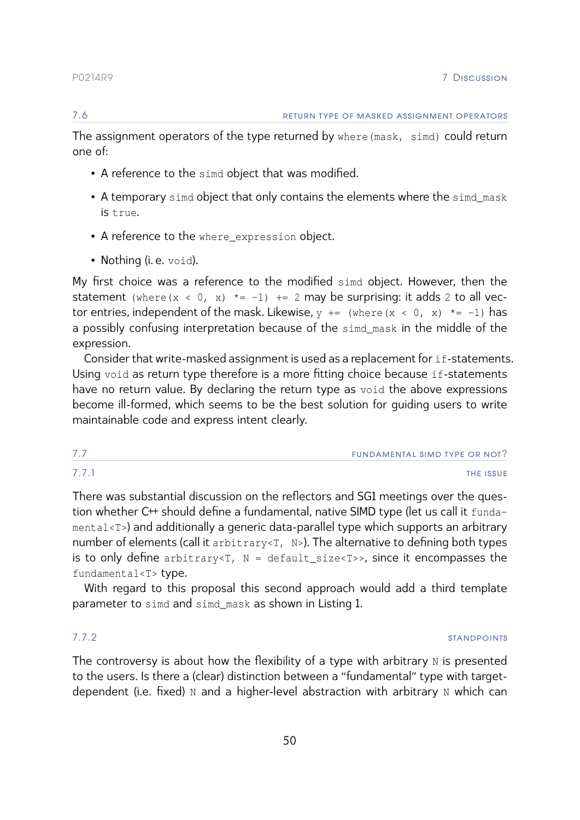The assignment operators of the type returned by where (mask, simd) could return one of:

- A reference to the simd object that was modified.
- A temporary simd object that only contains the elements where the simd mask is true.
- A reference to the where\_expression object.
- Nothing (i.e. void).

My first choice was a reference to the modified simd object. However, then the statement (where(x < 0, x)  $*= -1$ )  $+= 2$  may be surprising: it adds 2 to all vector entries, independent of the mask. Likewise,  $y \leftarrow \{x \in [x] \mid x \in [x] \}$  where  $(x \leftarrow 0, x) \leftarrow \{x \in [-1] \}$  has a possibly confusing interpretation because of the simd mask in the middle of the expression.

Consider that write-masked assignment is used as a replacement for if-statements. Using void as return type therefore is a more fitting choice because if-statements have no return value. By declaring the return type as void the above expressions become ill-formed, which seems to be the best solution for guiding users to write maintainable code and express intent clearly.

| 7.7   | FUNDAMENTAL SIMD TYPE OR NOT? |
|-------|-------------------------------|
| 7.7.1 | <b>THE ISSUE</b>              |

There was substantial discussion on the reflectors and SG1 meetings over the question whether C<sup>++</sup> should define a fundamental, native SIMD type (let us call it fundamental<T>) and additionally a generic data-parallel type which supports an arbitrary number of elements (call it arbitrary<T, N>). The alternative to defining both types is to only define arbitrary<T,  $N =$  default\_size<T>>, since it encompasses the fundamental<T> type.

With regard to this proposal this second approach would add a third template parameter to simd and simd mask as shown in Listing [1.](#page-51-0)

**7.7.2** standpoints and the standard standard standard standard standard standard standard standard standard standard standard standard standard standard standard standard standard standard standard standard standard stand

The controversy is about how the flexibility of a type with arbitrary  $N$  is presented to the users. Is there a (clear) distinction between a "fundamental" type with targetdependent (i.e. fixed)  $N$  and a higher-level abstraction with arbitrary  $N$  which can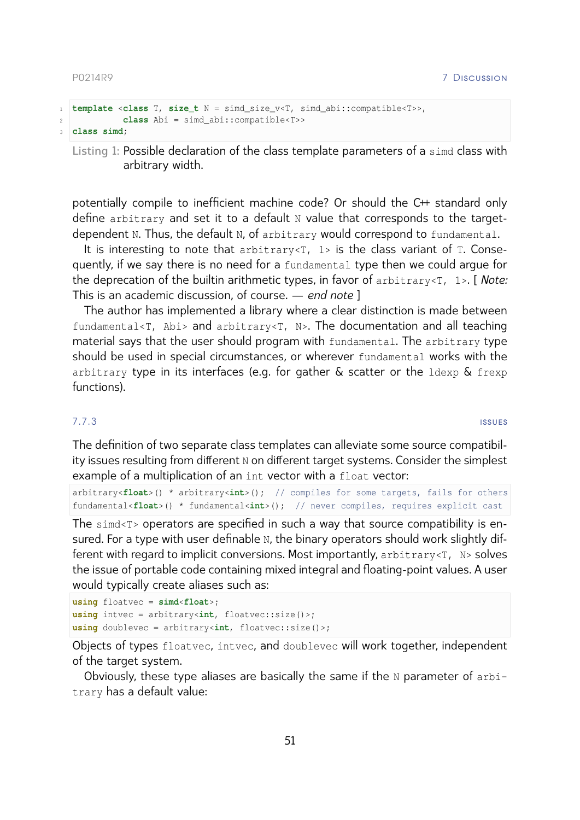```
1 template <class T, size_t N = simd_size_v<T, simd_abi::compatible<T>>,
2 class Abi = simd_abi::compatible<T>>
3 class simd;
```
**Listing 1:** Possible declaration of the class template parameters of a simd class with arbitrary width.

potentially compile to inefficient machine code? Or should the C++ standard only define arbitrary and set it to a default N value that corresponds to the targetdependent N. Thus, the default N, of arbitrary would correspond to fundamental.

It is interesting to note that arbitrary $\langle T, 1 \rangle$  is the class variant of T. Consequently, if we say there is no need for a fundamental type then we could argue for the deprecation of the builtin arithmetic types, in favor of arbitrary<T, 1>. [ *Note:* This is an academic discussion, of course. — *end note* ]

The author has implemented a library where a clear distinction is made between fundamental<T, Abi> and arbitrary<T, N>. The documentation and all teaching material says that the user should program with fundamental. The arbitrary type should be used in special circumstances, or wherever fundamental works with the arbitrary type in its interfaces (e.g. for gather & scatter or the ldexp & frexp functions).

7.7.3 issues

The definition of two separate class templates can alleviate some source compatibility issues resulting from different N on different target systems. Consider the simplest example of a multiplication of an int vector with a float vector:

```
arbitrary<float>() * arbitrary<int>(); // compiles for some targets, fails for others
fundamental<float>() * fundamental<int>(); // never compiles, requires explicit cast
```
The simd<T> operators are specified in such a way that source compatibility is ensured. For a type with user definable N, the binary operators should work slightly different with regard to implicit conversions. Most importantly, arbitrary<T, N> solves the issue of portable code containing mixed integral and floating-point values. A user would typically create aliases such as:

```
using floatvec = simd<float>;
using intvec = arbitrary<int, floatvec::size()>;
using doublevec = arbitrary<int, floatvec::size()>;
```
Objects of types floatvec, intvec, and doublevec will work together, independent of the target system.

Obviously, these type aliases are basically the same if the N parameter of arbitrary has a default value: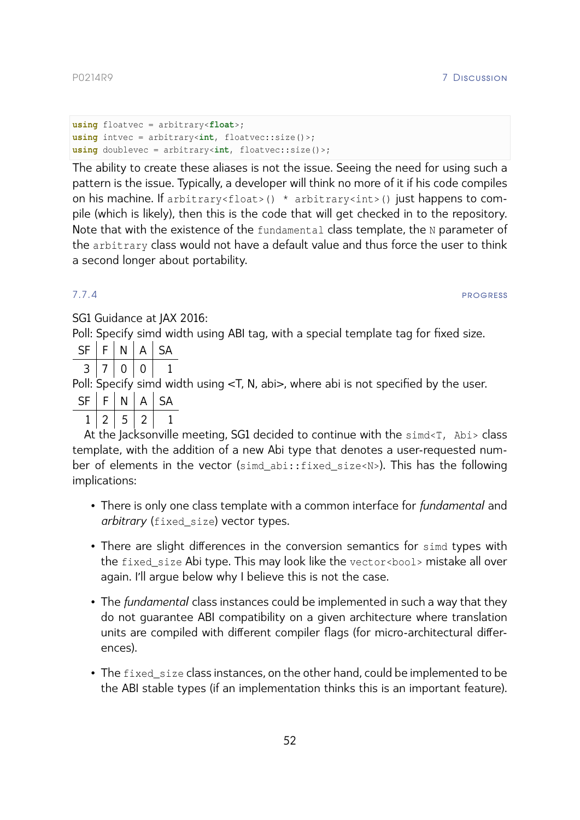```
using floatvec = arbitrary<float>;
using intvec = arbitrary<int, floatvec::size()>;
using doublevec = arbitrary<int, floatvec::size()>;
```
The ability to create these aliases is not the issue. Seeing the need for using such a pattern is the issue. Typically, a developer will think no more of it if his code compiles on his machine. If arbitrary<float>() \* arbitrary<int>() just happens to compile (which is likely), then this is the code that will get checked in to the repository. Note that with the existence of the fundamental class template, the N parameter of the arbitrary class would not have a default value and thus force the user to think a second longer about portability.

# <span id="page-52-0"></span>7.7.4 progress to the contract of the contract of the contract of the contract of the contract of the contract of the contract of the contract of the contract of the contract of the contract of the contract of the contract

SG1 Guidance at JAX 2016:

Poll: Specify simd width using ABI tag, with a special template tag for fixed size.

| SF | E | V | $\triangleleft$ | $\sim$ $\mu$ |
|----|---|---|-----------------|--------------|
|    |   |   |                 |              |

Poll: Specify simd width using <T, N, abi>, where abi is not specified by the user.

|  |  | _ |
|--|--|---|
|  |  |   |

 $1 | 2 | 5 | 2 | 1$ 

At the Jacksonville meeting, SG1 decided to continue with the simd<T, Abi> class template, with the addition of a new Abi type that denotes a user-requested number of elements in the vector (simd abi::fixed size<N>). This has the following implications:

- There is only one class template with a common interface for *fundamental* and *arbitrary* (fixed\_size) vector types.
- There are slight differences in the conversion semantics for simd types with the fixed\_size Abi type. This may look like the vector<bool> mistake all over again. I'll argue below why I believe this is not the case.
- The *fundamental* class instances could be implemented in such a way that they do not guarantee ABI compatibility on a given architecture where translation units are compiled with different compiler flags (for micro-architectural differences).
- The fixed\_size class instances, on the other hand, could be implemented to be the ABI stable types (if an implementation thinks this is an important feature).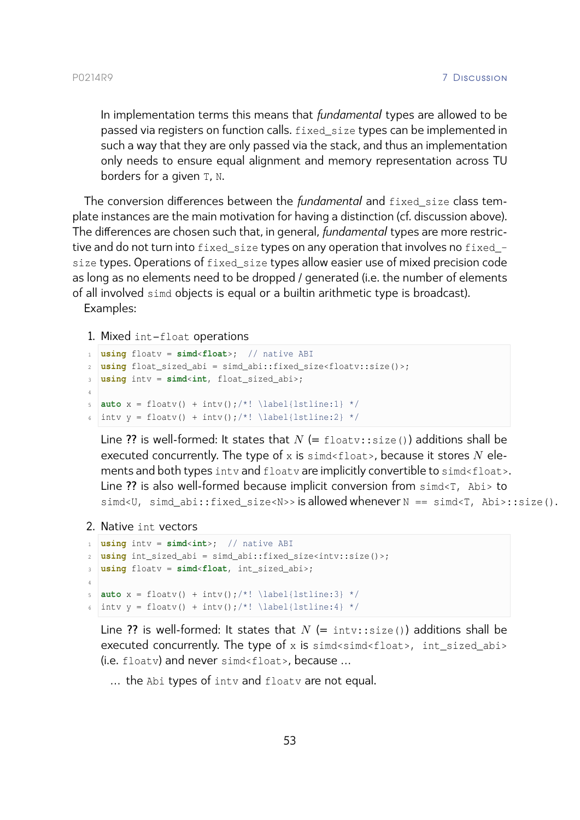In implementation terms this means that *fundamental* types are allowed to be passed via registers on function calls. fixed\_size types can be implemented in such a way that they are only passed via the stack, and thus an implementation only needs to ensure equal alignment and memory representation across TU borders for a given T, N.

The conversion differences between the *fundamental* and fixed\_size class template instances are the main motivation for having a distinction (cf. discussion above). The differences are chosen such that, in general, *fundamental* types are more restrictive and do not turn into fixed\_size types on any operation that involves no fixed\_ size types. Operations of fixed\_size types allow easier use of mixed precision code as long as no elements need to be dropped / generated (i.e. the number of elements of all involved simd objects is equal or a builtin arithmetic type is broadcast). Examples:

1. Mixed int–float operations

```
1 using floatv = simd<float>; // native ABI
2 using float_sized_abi = simd_abi::fixed_size<floatv::size()>;
3 using intv = simd<int, float_sized_abi>;
4
\mathbf{s} auto x = \text{floatv() } + \text{intv()}; \mathbf{(*)} \leq \text{listline:1} \cdot \mathbf{(*)}6 intv y = floatv() + intv();/*! \label{lstline:2} */
```
Line ?? is well-formed: It states that  $N$  (= floatv::size()) additions shall be executed concurrently. The type of x is  $simd<sub>1</sub>$  is  $simd<sub>2</sub>$ , because it stores N elements and both types inty and floaty are implicitly convertible to simd<float>. Line ?? is also well-formed because implicit conversion from simd<T, Abi> to simd<U, simd\_abi::fixed\_size<N>> is allowed whenever N == simd<T, Abi>::size().

2. Native int vectors

```
1 using intv = simd<int>; // native ABI
2 using int_sized_abi = simd_abi::fixed_size<intv::size()>;
3 using floatv = simd<float, int_sized_abi>;
4
5 auto x = \text{floatv() } + \text{intv()};/*!\label{lstline:3} */6 intv y = floatv() + intv();/*! \label{lstline:4} */
```
Line ?? is well-formed: It states that  $N$  (= intv::size()) additions shall be executed concurrently. The type of x is  $simd<sub>simd</sub>$  abi-(i.e. floatv) and never simd<float>, because …

… the Abi types of intv and floatv are not equal.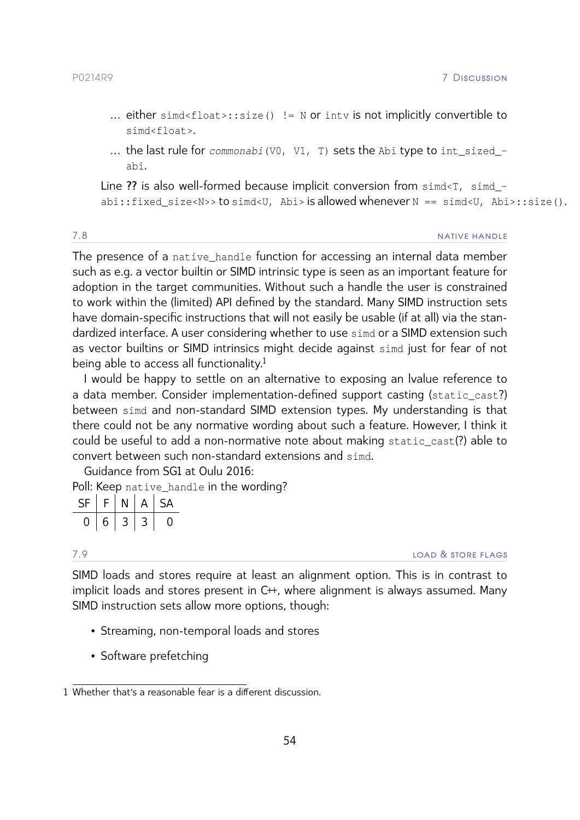- … either simd<float>::size() != N or intv is not implicitly convertible to simd<float>.
- … the last rule for *commonabi*(V0, V1, T) sets the Abi type to int\_sized\_ abi.

Line ?? is also well-formed because implicit conversion from simd<T, simd\_abi::fixed size<N>> to simd<U, Abi> is allowed whenever N == simd<U, Abi>::size().

# <span id="page-54-0"></span>7.8 native HANDIE

The presence of a native\_handle function for accessing an internal data member such as e.g. a vector builtin or SIMD intrinsic type is seen as an important feature for adoption in the target communities. Without such a handle the user is constrained to work within the (limited) API defined by the standard. Many SIMD instruction sets have domain-specific instructions that will not easily be usable (if at all) via the standardized interface. A user considering whether to use simd or a SIMD extension such as vector builtins or SIMD intrinsics might decide against simd just for fear of not being able to access all functionality.<sup>1</sup>

I would be happy to settle on an alternative to exposing an lvalue reference to a data member. Consider implementation-defined support casting (static\_cast?) between simd and non-standard SIMD extension types. My understanding is that there could not be any normative wording about such a feature. However, I think it could be useful to add a non-normative note about making static\_cast(?) able to convert between such non-standard extensions and simd.

Guidance from SG1 at Oulu 2016:

Poll: Keep native\_handle in the wording?

| SF | F. | N | $\mathsf{A}$ | SA |
|----|----|---|--------------|----|
|    | 6  | 3 |              |    |

7.9 load & store flags

SIMD loads and stores require at least an alignment option. This is in contrast to implicit loads and stores present in  $C^+$ , where alignment is always assumed. Many SIMD instruction sets allow more options, though:

- Streaming, non-temporal loads and stores
- Software prefetching

<sup>1</sup> Whether that's a reasonable fear is a different discussion.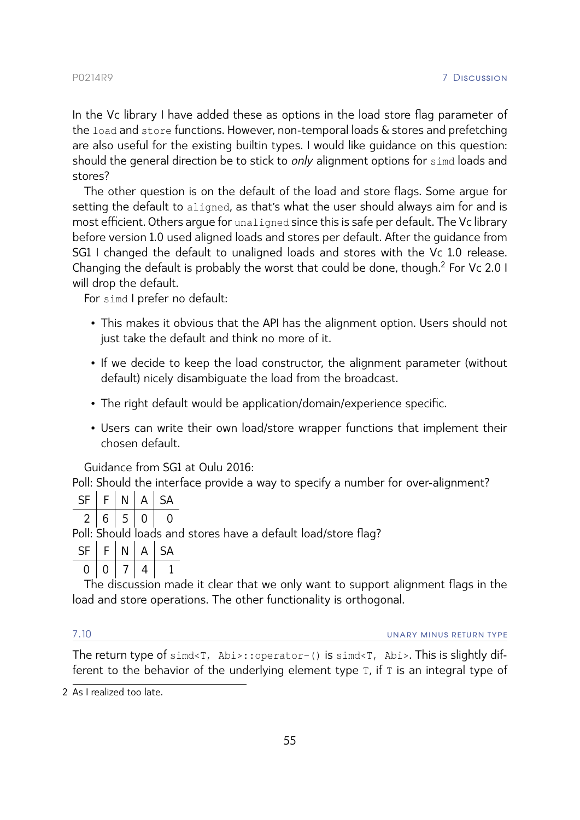In the Vc library I have added these as options in the load store flag parameter of the load and store functions. However, non-temporal loads & stores and prefetching are also useful for the existing builtin types. I would like guidance on this question: should the general direction be to stick to *only* alignment options for simd loads and stores?

The other question is on the default of the load and store flags. Some argue for setting the default to aligned, as that's what the user should always aim for and is most efficient. Others argue for unaligned since this is safe per default. The Vc library before version 1.0 used aligned loads and stores per default. After the guidance from SG1 I changed the default to unaligned loads and stores with the Vc 1.0 release. Changing the default is probably the worst that could be done, though.<sup>2</sup> For Vc 2.0 I will drop the default.

For simd I prefer no default:

- This makes it obvious that the API has the alignment option. Users should not just take the default and think no more of it.
- If we decide to keep the load constructor, the alignment parameter (without default) nicely disambiguate the load from the broadcast.
- The right default would be application/domain/experience specific.
- Users can write their own load/store wrapper functions that implement their chosen default.

Guidance from SG1 at Oulu 2016:

Poll: Should the interface provide a way to specify a number for over-alignment?

|                                                               | $SF$ $F$ $N$ $A$ $SA$ |  |  |
|---------------------------------------------------------------|-----------------------|--|--|
|                                                               | 2 6 5 0 0             |  |  |
| Poll: Should loads and stores have a default load/store flag? |                       |  |  |

 $SF \mid F \mid N \mid A \mid SA$ 

 $0 | 0 | 7 | 4 | 1$ 

The discussion made it clear that we only want to support alignment flags in the load and store operations. The other functionality is orthogonal.

<span id="page-55-0"></span>7.10 unary minus return type

The return type of simd<T, Abi>::operator-() is simd<T, Abi>. This is slightly different to the behavior of the underlying element type T, if T is an integral type of

<sup>2</sup> As I realized too late.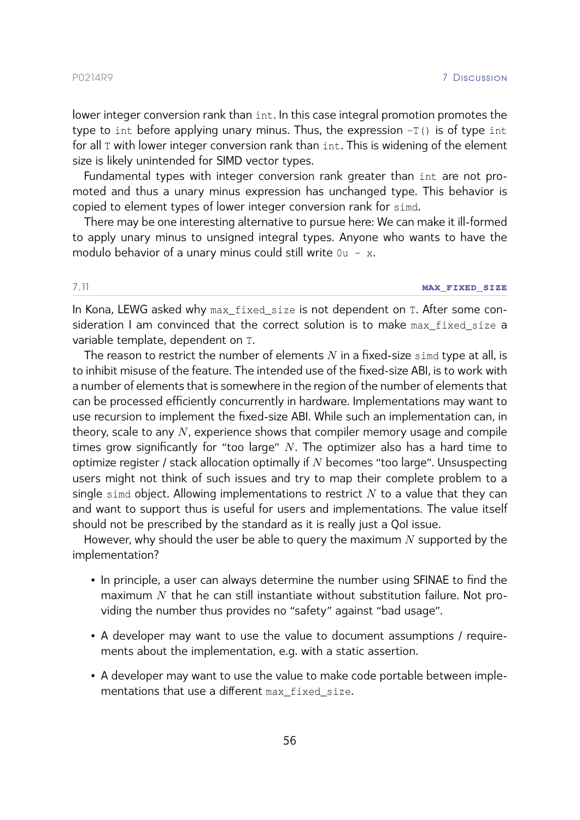lower integer conversion rank than int. In this case integral promotion promotes the type to int before applying unary minus. Thus, the expression  $-T()$  is of type int for all T with lower integer conversion rank than int. This is widening of the element size is likely unintended for SIMD vector types.

Fundamental types with integer conversion rank greater than int are not promoted and thus a unary minus expression has unchanged type. This behavior is copied to element types of lower integer conversion rank for simd.

There may be one interesting alternative to pursue here: We can make it ill-formed to apply unary minus to unsigned integral types. Anyone who wants to have the modulo behavior of a unary minus could still write  $0u - x$ .

# <span id="page-56-0"></span>7.11 **max\_fixed\_size**

In Kona, LEWG asked why max fixed size is not dependent on T. After some consideration I am convinced that the correct solution is to make max fixed size a variable template, dependent on T.

The reason to restrict the number of elements  $N$  in a fixed-size simd type at all, is to inhibit misuse of the feature. The intended use of the fixed-size ABI, is to work with a number of elements that is somewhere in the region of the number of elements that can be processed efficiently concurrently in hardware. Implementations may want to use recursion to implement the fixed-size ABI. While such an implementation can, in theory, scale to any  $N$ , experience shows that compiler memory usage and compile times grow significantly for "too large"  $N$ . The optimizer also has a hard time to optimize register / stack allocation optimally if  $N$  becomes "too large". Unsuspecting users might not think of such issues and try to map their complete problem to a single simd object. Allowing implementations to restrict  $N$  to a value that they can and want to support thus is useful for users and implementations. The value itself should not be prescribed by the standard as it is really just a QoI issue.

However, why should the user be able to query the maximum  $N$  supported by the implementation?

- In principle, a user can always determine the number using SFINAE to find the maximum  $N$  that he can still instantiate without substitution failure. Not providing the number thus provides no "safety" against "bad usage".
- A developer may want to use the value to document assumptions / requirements about the implementation, e.g. with a static assertion.
- A developer may want to use the value to make code portable between implementations that use a different max fixed size.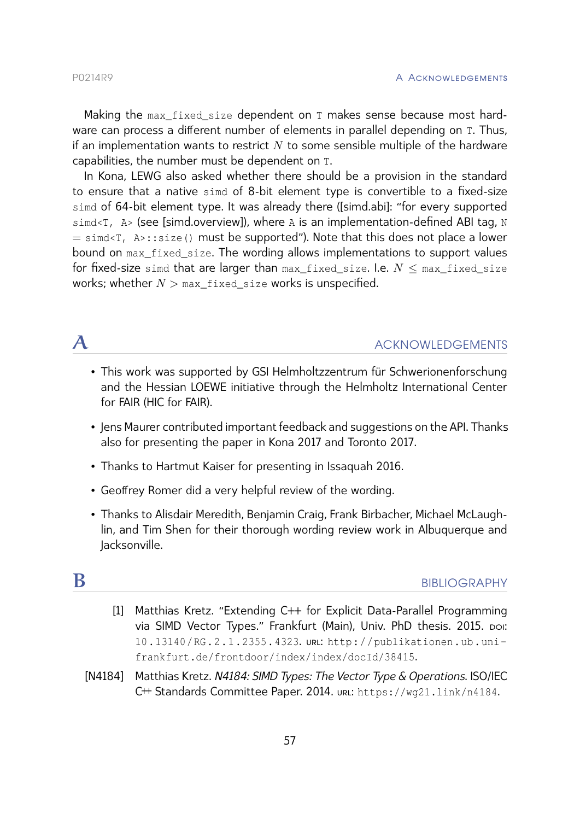Making the max fixed size dependent on T makes sense because most hardware can process a different number of elements in parallel depending on T. Thus, if an implementation wants to restrict  $N$  to some sensible multiple of the hardware capabilities, the number must be dependent on T.

In Kona, LEWG also asked whether there should be a provision in the standard to ensure that a native simd of 8-bit element type is convertible to a fixed-size simd of 64-bit element type. It was already there [\(\[simd.abi\]:](#page-23-0) "for every supported simd<T, A> (see [\[simd.overview\]\)](#page-30-0), where A is an implementation-defined ABI tag, N  $=$  simd<T, A>::size() must be supported"). Note that this does not place a lower bound on max fixed size. The wording allows implementations to support values for fixed-size simd that are larger than  $max\_fixed\_size$ . I.e.  $N \leq max\_fixed\_size$ works; whether  $N > \max$  fixed size works is unspecified.

# <span id="page-57-0"></span> $\mathcal A$  acknowledgements

- This work was supported by GSI Helmholtzzentrum für Schwerionenforschung and the Hessian LOEWE initiative through the Helmholtz International Center for FAIR (HIC for FAIR).
- Jens Maurer contributed important feedback and suggestions on the API. Thanks also for presenting the paper in Kona 2017 and Toronto 2017.
- Thanks to Hartmut Kaiser for presenting in Issaquah 2016.
- Geoffrey Romer did a very helpful review of the wording.
- Thanks to Alisdair Meredith, Benjamin Craig, Frank Birbacher, Michael McLaughlin, and Tim Shen for their thorough wording review work in Albuquerque and Jacksonville.

# <span id="page-57-3"></span><span id="page-57-1"></span>BIBLIOGRAPHY

- [1] Matthias Kretz. "Extending C++ for Explicit Data-Parallel Programming via SIMD Vector Types." Frankfurt (Main), Univ. PhD thesis. 2015. poi: [10 . 13140 / RG . 2 . 1 . 2355 . 4323](http://dx.doi.org/10.13140/RG.2.1.2355.4323). url: [http : / / publikationen . ub . uni](http://publikationen.ub.uni-frankfurt.de/frontdoor/index/index/docId/38415)  [frankfurt.de/frontdoor/index/index/docId/38415](http://publikationen.ub.uni-frankfurt.de/frontdoor/index/index/docId/38415).
- <span id="page-57-2"></span>[N4184] Matthias Kretz. *N4184: SIMD Types: The Vector Type & Operations*. ISO/IEC C++ Standards Committee Paper. 2014. url: <https://wg21.link/n4184>.